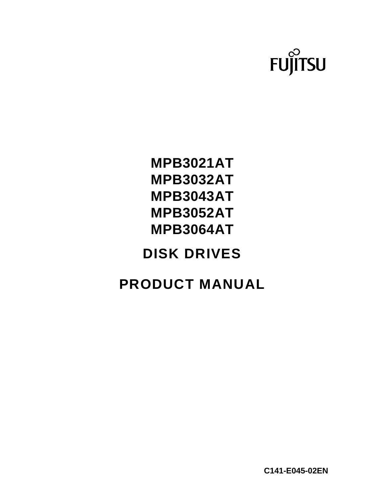

# **MPB3021AT MPB3032AT MPB3043AT MPB3052AT MPB3064AT**

# **DISK DRIVES**

# **PRODUCT MANUAL**

**C141-E045-02EN**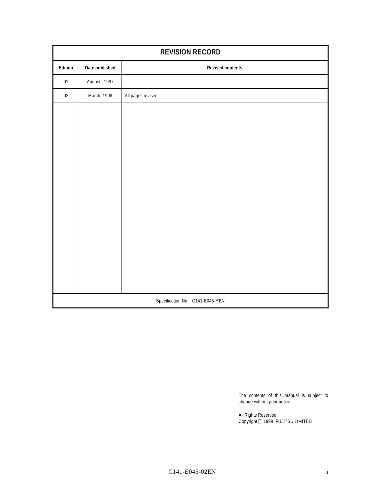| <b>REVISION RECORD</b>            |                                           |                    |  |  |  |  |  |  |
|-----------------------------------|-------------------------------------------|--------------------|--|--|--|--|--|--|
| Edition                           | Date published<br><b>Revised contents</b> |                    |  |  |  |  |  |  |
| 01                                | August., 1997                             |                    |  |  |  |  |  |  |
| $02\,$                            | March, 1998                               | All pages revised. |  |  |  |  |  |  |
|                                   |                                           |                    |  |  |  |  |  |  |
|                                   |                                           |                    |  |  |  |  |  |  |
|                                   |                                           |                    |  |  |  |  |  |  |
|                                   |                                           |                    |  |  |  |  |  |  |
|                                   |                                           |                    |  |  |  |  |  |  |
|                                   |                                           |                    |  |  |  |  |  |  |
|                                   |                                           |                    |  |  |  |  |  |  |
|                                   |                                           |                    |  |  |  |  |  |  |
|                                   |                                           |                    |  |  |  |  |  |  |
|                                   |                                           |                    |  |  |  |  |  |  |
|                                   |                                           |                    |  |  |  |  |  |  |
|                                   |                                           |                    |  |  |  |  |  |  |
|                                   |                                           |                    |  |  |  |  |  |  |
|                                   |                                           |                    |  |  |  |  |  |  |
| Specification No.: C141-E045-**EN |                                           |                    |  |  |  |  |  |  |

The contents of this manual is subject to change without prior notice.

All Rights Reserved. Copyright © 1998 FUJITSU LIMITED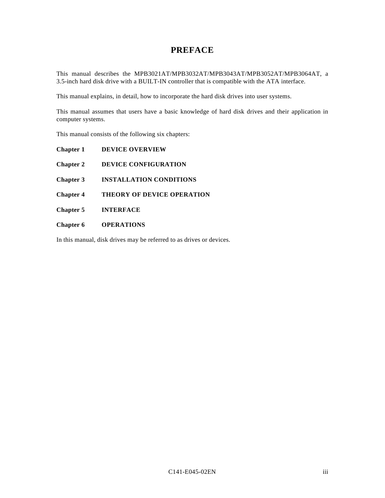## **PREFACE**

This manual describes the MPB3021AT/MPB3032AT/MPB3043AT/MPB3052AT/MPB3064AT, a 3.5-inch hard disk drive with a BUILT-IN controller that is compatible with the ATA interface.

This manual explains, in detail, how to incorporate the hard disk drives into user systems.

This manual assumes that users have a basic knowledge of hard disk drives and their application in computer systems.

This manual consists of the following six chapters:

**Chapter 1 DEVICE OVERVIEW**

**Chapter 2 DEVICE CONFIGURATION**

**Chapter 3 INSTALLATION CONDITIONS**

**Chapter 4 THEORY OF DEVICE OPERATION**

**Chapter 5 INTERFACE**

**Chapter 6 OPERATIONS**

In this manual, disk drives may be referred to as drives or devices.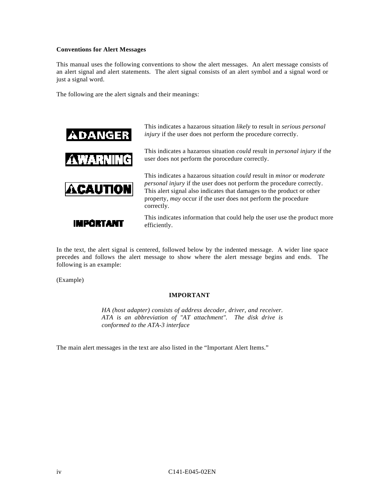#### **Conventions for Alert Messages**

This manual uses the following conventions to show the alert messages. An alert message consists of an alert signal and alert statements. The alert signal consists of an alert symbol and a signal word or just a signal word.

The following are the alert signals and their meanings:



This indicates a hazarous situation *likely* to result in *serious personal injury* if the user does not perform the procedure correctly.

This indicates a hazarous situation *could* result in *personal injury* if the user does not perform the porocedure correctly.

This indicates a hazarous situation *could* result in *minor* or *moderate personal injury* if the user does not perform the procedure correctly. This alert signal also indicates that damages to the product or other property, *may* occur if the user does not perform the procedure correctly.

**IMPORTANT** 

This indicates information that could help the user use the product more efficiently.

In the text, the alert signal is centered, followed below by the indented message. A wider line space precedes and follows the alert message to show where the alert message begins and ends. The following is an example:

(Example)

#### **IMPORTANT**

*HA (host adapter) consists of address decoder, driver, and receiver. ATA is an abbreviation of "AT attachment". The disk drive is conformed to the ATA-3 interface*

The main alert messages in the text are also listed in the "Important Alert Items."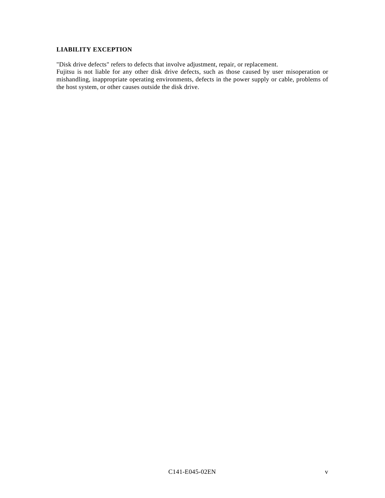#### **LIABILITY EXCEPTION**

"Disk drive defects" refers to defects that involve adjustment, repair, or replacement.

Fujitsu is not liable for any other disk drive defects, such as those caused by user misoperation or mishandling, inappropriate operating environments, defects in the power supply or cable, problems of the host system, or other causes outside the disk drive.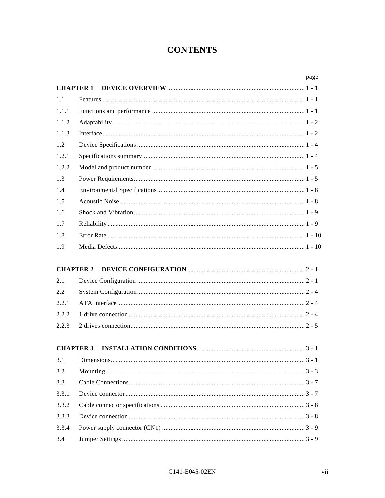## **CONTENTS**

|       |                  | page |
|-------|------------------|------|
|       | <b>CHAPTER 1</b> |      |
| 1.1   |                  |      |
| 1.1.1 |                  |      |
| 1.1.2 |                  |      |
| 1.1.3 |                  |      |
| 1.2   |                  |      |
| 1.2.1 |                  |      |
| 1.2.2 |                  |      |
| 1.3   |                  |      |
| 1.4   |                  |      |
| 1.5   |                  |      |
| 1.6   |                  |      |
| 1.7   |                  |      |
| 1.8   |                  |      |
| 1.9   |                  |      |
|       |                  |      |
|       | <b>CHAPTER 2</b> |      |
| 2.1   |                  |      |
| 2.2   |                  |      |
| 2.2.1 |                  |      |
| 2.2.2 |                  |      |
| 2.2.3 |                  |      |
|       |                  |      |
|       | <b>CHAPTER 3</b> |      |
| 3.1   |                  |      |
| 3.2   |                  |      |
| 3.3   |                  |      |
| 3.3.1 |                  |      |
| 3.3.2 |                  |      |
| 3.3.3 |                  |      |
| 3.3.4 |                  |      |
| 3.4   |                  |      |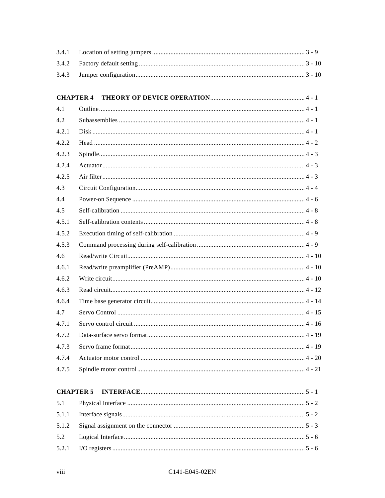| 3.4.1            |  |
|------------------|--|
| 3.4.2            |  |
| 3.4.3            |  |
|                  |  |
| <b>CHAPTER 4</b> |  |
| 4.1              |  |
| 4.2              |  |
| 4.2.1            |  |
| 4.2.2            |  |
| 4.2.3            |  |
| 4.2.4            |  |
| 4.2.5            |  |
| 4.3              |  |
| 4.4              |  |
| 4.5              |  |
| 4.5.1            |  |
| 4.5.2            |  |
| 4.5.3            |  |
| 4.6              |  |
| 4.6.1            |  |
| 4.6.2            |  |
| 4.6.3            |  |
| 4.6.4            |  |
| 4.7              |  |
| 4.7.1            |  |
| 4.7.2            |  |
| 4.7.3            |  |
| 4.7.4            |  |
| 4.7.5            |  |
|                  |  |
| <b>CHAPTER 5</b> |  |
| 5.1              |  |
| 5.1.1            |  |
| 5.1.2            |  |
| 5.2              |  |
| 5.2.1            |  |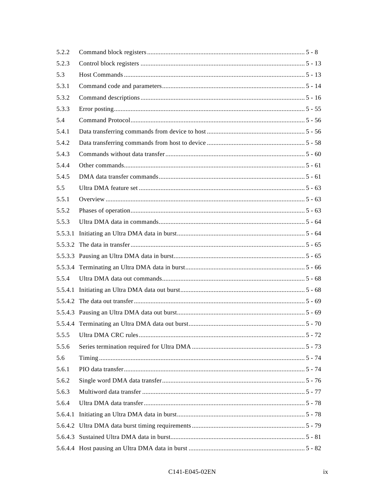| 5.2.2   |  |  |
|---------|--|--|
| 5.2.3   |  |  |
| 5.3     |  |  |
| 5.3.1   |  |  |
| 5.3.2   |  |  |
| 5.3.3   |  |  |
| 5.4     |  |  |
| 5.4.1   |  |  |
| 5.4.2   |  |  |
| 5.4.3   |  |  |
| 5.4.4   |  |  |
| 5.4.5   |  |  |
| 5.5     |  |  |
| 5.5.1   |  |  |
| 5.5.2   |  |  |
| 5.5.3   |  |  |
| 5.5.3.1 |  |  |
|         |  |  |
|         |  |  |
|         |  |  |
| 5.5.4   |  |  |
|         |  |  |
|         |  |  |
|         |  |  |
|         |  |  |
| 5.5.5   |  |  |
| 5.5.6   |  |  |
| 5.6     |  |  |
| 5.6.1   |  |  |
| 5.6.2   |  |  |
| 5.6.3   |  |  |
| 5.6.4   |  |  |
| 5.6.4.1 |  |  |
|         |  |  |
|         |  |  |
|         |  |  |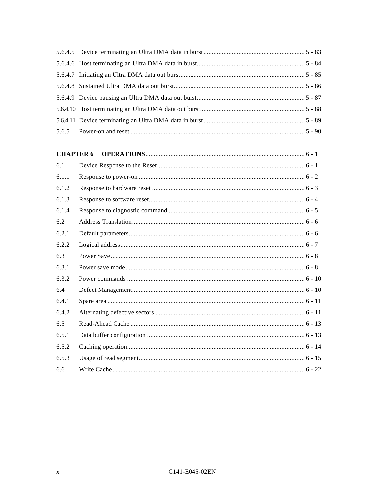| <b>CHAPTER 6</b> |  |
|------------------|--|
| 6.1              |  |
| 6.1.1            |  |
| 6.1.2            |  |
| 6.1.3            |  |
| 6.1.4            |  |
| 6.2              |  |
| 6.2.1            |  |
| 6.2.2            |  |
| 6.3              |  |
| 6.3.1            |  |
| 6.3.2            |  |
| 6.4              |  |
| 6.4.1            |  |
| 6.4.2            |  |
| 6.5              |  |
| 6.5.1            |  |
| 6.5.2            |  |
| 6.5.3            |  |
| 6.6              |  |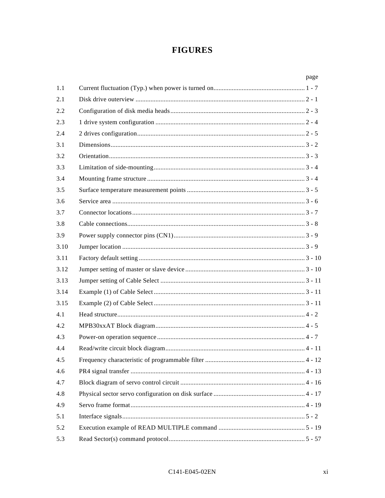## **FIGURES**

|      | page |
|------|------|
| 1.1  |      |
| 2.1  |      |
| 2.2  |      |
| 2.3  |      |
| 2.4  |      |
| 3.1  |      |
| 3.2  |      |
| 3.3  |      |
| 3.4  |      |
| 3.5  |      |
| 3.6  |      |
| 3.7  |      |
| 3.8  |      |
| 3.9  |      |
| 3.10 |      |
| 3.11 |      |
| 3.12 |      |
| 3.13 |      |
| 3.14 |      |
| 3.15 |      |
| 4.1  |      |
| 4.2  |      |
| 4.3  |      |
| 4.4  |      |
| 4.5  |      |
| 4.6  |      |
| 4.7  |      |
| 4.8  |      |
| 4.9  |      |
| 5.1  |      |
| 5.2  |      |
| 5.3  |      |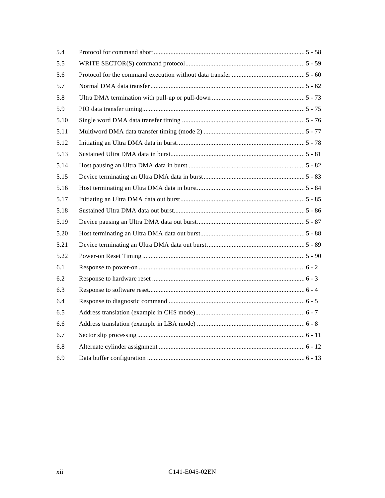| 5.4  |  |
|------|--|
| 5.5  |  |
| 5.6  |  |
| 5.7  |  |
| 5.8  |  |
| 5.9  |  |
| 5.10 |  |
| 5.11 |  |
| 5.12 |  |
| 5.13 |  |
| 5.14 |  |
| 5.15 |  |
| 5.16 |  |
| 5.17 |  |
| 5.18 |  |
| 5.19 |  |
| 5.20 |  |
| 5.21 |  |
| 5.22 |  |
| 6.1  |  |
| 6.2  |  |
| 6.3  |  |
| 6.4  |  |
| 6.5  |  |
| 6.6  |  |
| 6.7  |  |
| 6.8  |  |
| 6.9  |  |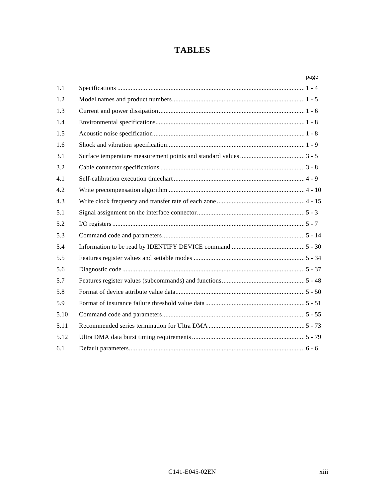## **TABLES**

|      | page |
|------|------|
| 1.1  |      |
| 1.2  |      |
| 1.3  |      |
| 1.4  |      |
| 1.5  |      |
| 1.6  |      |
| 3.1  |      |
| 3.2  |      |
| 4.1  |      |
| 4.2  |      |
| 4.3  |      |
| 5.1  |      |
| 5.2  |      |
| 5.3  |      |
| 5.4  |      |
| 5.5  |      |
| 5.6  |      |
| 5.7  |      |
| 5.8  |      |
| 5.9  |      |
| 5.10 |      |
| 5.11 |      |
| 5.12 |      |
| 6.1  |      |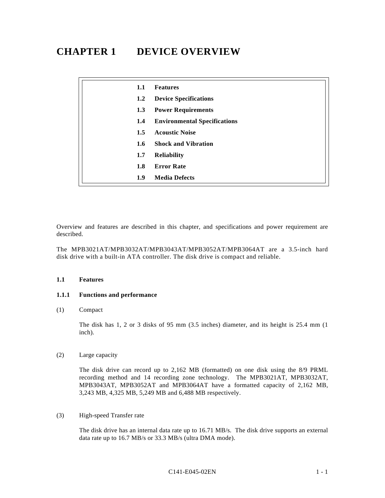# **CHAPTER 1 DEVICE OVERVIEW**

| 1.1           | <b>Features</b>                     |
|---------------|-------------------------------------|
| 1.2           | <b>Device Specifications</b>        |
| 1.3           | <b>Power Requirements</b>           |
| 1.4           | <b>Environmental Specifications</b> |
| 1.5           | <b>Acoustic Noise</b>               |
| $1.6^{\circ}$ | <b>Shock and Vibration</b>          |
| 1.7           | <b>Reliability</b>                  |
| 1.8           | <b>Error Rate</b>                   |
| 1.9           | <b>Media Defects</b>                |

Overview and features are described in this chapter, and specifications and power requirement are described.

The MPB3021AT/MPB3032AT/MPB3043AT/MPB3052AT/MPB3064AT are a 3.5-inch hard disk drive with a built-in ATA controller. The disk drive is compact and reliable.

#### **1.1 Features**

#### **1.1.1 Functions and performance**

#### (1) Compact

The disk has 1, 2 or 3 disks of 95 mm (3.5 inches) diameter, and its height is 25.4 mm (1 inch).

(2) Large capacity

The disk drive can record up to 2,162 MB (formatted) on one disk using the 8/9 PRML recording method and 14 recording zone technology. The MPB3021AT, MPB3032AT, MPB3043AT, MPB3052AT and MPB3064AT have a formatted capacity of 2,162 MB, 3,243 MB, 4,325 MB, 5,249 MB and 6,488 MB respectively.

(3) High-speed Transfer rate

The disk drive has an internal data rate up to 16.71 MB/s. The disk drive supports an external data rate up to 16.7 MB/s or 33.3 MB/s (ultra DMA mode).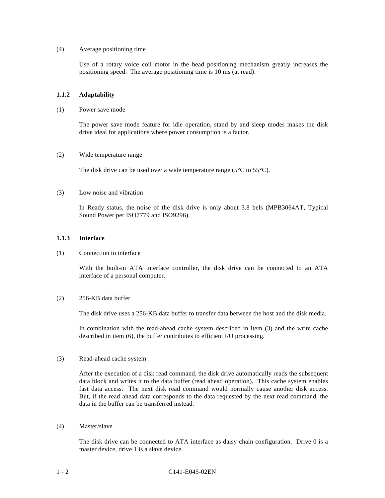#### (4) Average positioning time

Use of a rotary voice coil motor in the head positioning mechanism greatly increases the positioning speed. The average positioning time is 10 ms (at read).

#### **1.1.2 Adaptability**

(1) Power save mode

The power save mode feature for idle operation, stand by and sleep modes makes the disk drive ideal for applications where power consumption is a factor.

#### (2) Wide temperature range

The disk drive can be used over a wide temperature range ( $5^{\circ}$ C to  $55^{\circ}$ C).

#### (3) Low noise and vibration

In Ready status, the noise of the disk drive is only about 3.8 bels (MPB3064AT, Typical Sound Power per ISO7779 and ISO9296).

#### **1.1.3 Interface**

#### (1) Connection to interface

With the built-in ATA interface controller, the disk drive can be connected to an ATA interface of a personal computer.

#### (2) 256-KB data buffer

The disk drive uses a 256-KB data buffer to transfer data between the host and the disk media.

In combination with the read-ahead cache system described in item (3) and the write cache described in item (6), the buffer contributes to efficient I/O processing.

#### (3) Read-ahead cache system

After the execution of a disk read command, the disk drive automatically reads the subsequent data block and writes it to the data buffer (read ahead operation). This cache system enables fast data access. The next disk read command would normally cause another disk access. But, if the read ahead data corresponds to the data requested by the next read command, the data in the buffer can be transferred instead.

(4) Master/slave

The disk drive can be connected to ATA interface as daisy chain configuration. Drive 0 is a master device, drive 1 is a slave device.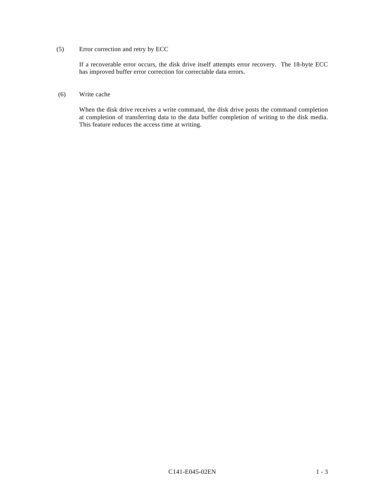#### (5) Error correction and retry by ECC

If a recoverable error occurs, the disk drive itself attempts error recovery. The 18-byte ECC has improved buffer error correction for correctable data errors.

#### (6) Write cache

When the disk drive receives a write command, the disk drive posts the command completion at completion of transferring data to the data buffer completion of writing to the disk media. This feature reduces the access time at writing.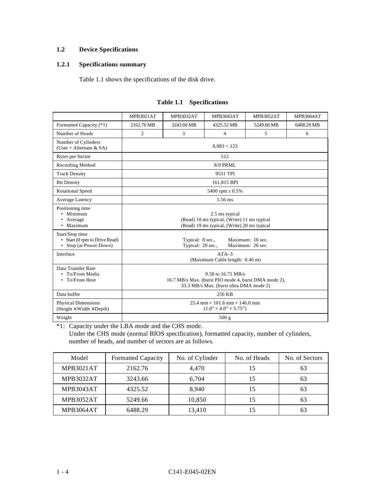### **1.2 Device Specifications**

#### **1.2.1 Specifications summary**

Table 1.1 shows the specifications of the disk drive.

|                                                                               | <b>MPB3021AT</b>                                                                                                      | MPB3032AT  | <b>MPB3043AT</b>     | <b>MPB3052AT</b> | <b>MPB3064AT</b> |
|-------------------------------------------------------------------------------|-----------------------------------------------------------------------------------------------------------------------|------------|----------------------|------------------|------------------|
| Formatted Capacity (*1)                                                       | 2162.76 MB                                                                                                            | 3243.66 MB | 4325.52 MB           | 5249.66 MB       | 6488.29 MB       |
| Number of Heads                                                               | $\overline{2}$                                                                                                        | 3          | 4                    | 5                | 6                |
| Number of Cylinders<br>(User + Alternate $&$ SA)                              | $8,983 + 123$                                                                                                         |            |                      |                  |                  |
| <b>Bytes per Sector</b>                                                       |                                                                                                                       |            | 512                  |                  |                  |
| Recording Method                                                              |                                                                                                                       |            | 8/9 PRML             |                  |                  |
| <b>Track Density</b>                                                          |                                                                                                                       |            | 9531 TPI             |                  |                  |
| <b>Bit Density</b>                                                            |                                                                                                                       |            | 161,815 BPI          |                  |                  |
| <b>Rotational Speed</b>                                                       |                                                                                                                       |            | 5400 rpm $\pm 0.5\%$ |                  |                  |
| Average Latency                                                               | 5.56 ms                                                                                                               |            |                      |                  |                  |
| Positioning time<br>• Minimum<br>• Average<br>• Maximum                       | 2.5 ms typical<br>(Read) 10 ms typical, (Write) 11 ms typical<br>(Read) 19 ms typical, (Write) 20 ms typical          |            |                      |                  |                  |
| Start/Stop time<br>• Start (0 rpm to Drive Read)<br>Stop (at Power Down)<br>٠ | Typical: 8 sec.,<br>Maximum: 16 sec.<br>Typical: 20 sec.,<br>Maximum: 26 sec.                                         |            |                      |                  |                  |
| Interface                                                                     | $ATA-3$<br>(Maximum Cable length: 0.46 m)                                                                             |            |                      |                  |                  |
| Data Transfer Rate<br>• To/From Media<br>• To/From Host                       | 9.58 to 16.71 MB/s<br>16.7 MB/s Max. (burst PIO mode 4, burst DMA mode 2),<br>33.3 MB/s Max. (burst ultra DMA mode 2) |            |                      |                  |                  |
| Data buffer                                                                   |                                                                                                                       |            | 256 KB               |                  |                  |
| <b>Physical Dimensions</b><br>$(Height \times Width \times Depth)$            | $25.4$ mm $\times$ 101.6 mm $\times$ 146.0 mm<br>$(1.0" \times 4.0" \times 5.75")$                                    |            |                      |                  |                  |
| Weight                                                                        | 500 g                                                                                                                 |            |                      |                  |                  |

#### **Table 1.1 Specifications**

\*1: Capacity under the LBA mode and the CHS mode.

Under the CHS mode (normal BIOS specification), formatted capacity, number of cylinders, number of heads, and number of sectors are as follows.

| Model            | <b>Formatted Capacity</b> | No. of Cylinder | No. of Heads | No. of Sectors |
|------------------|---------------------------|-----------------|--------------|----------------|
| <b>MPB3021AT</b> | 2162.76                   | 4.470           | 15           | 63             |
| MPB3032AT        | 3243.66                   | 6.704           | 15           | 63             |
| <b>MPB3043AT</b> | 4325.52                   | 8.940           | 15           | 63             |
| MPB3052AT        | 5249.66                   | 10,850          | 15           | 63             |
| MPB3064AT        | 6488.29                   | 13.410          | 15           | 63             |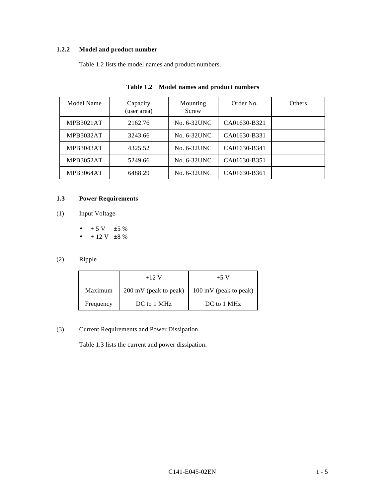## **1.2.2 Model and product number**

Table 1.2 lists the model names and product numbers.

| Model Name       | Capacity<br>(user area) | Mounting<br>Screw | Order No.    | <b>Others</b> |
|------------------|-------------------------|-------------------|--------------|---------------|
| <b>MPB3021AT</b> | 2162.76                 | No. 6-32UNC       | CA01630-B321 |               |
| MPB3032AT        | 3243.66                 | No. 6-32UNC       | CA01630-B331 |               |
| <b>MPB3043AT</b> | 4325.52                 | No. 6-32UNC       | CA01630-B341 |               |
| MPB3052AT        | 5249.66                 | No. 6-32UNC       | CA01630-B351 |               |
| MPB3064AT        | 6488.29                 | No. 6-32UNC       | CA01630-B361 |               |

| Table 1.2 Model names and product numbers |  |  |  |
|-------------------------------------------|--|--|--|
|                                           |  |  |  |

### **1.3 Power Requirements**

- (1) Input Voltage
	- $+ 5 \text{ V}$   $\pm 5 \%$
	- $\bullet$  + 12 V  $\pm 8 \%$

### (2) Ripple

|           | $+12$ V               | $+5$ V                |
|-----------|-----------------------|-----------------------|
| Maximum   | 200 mV (peak to peak) | 100 mV (peak to peak) |
| Frequency | DC to 1 MHz           | DC to 1 MHz           |

#### (3) Current Requirements and Power Dissipation

Table 1.3 lists the current and power dissipation.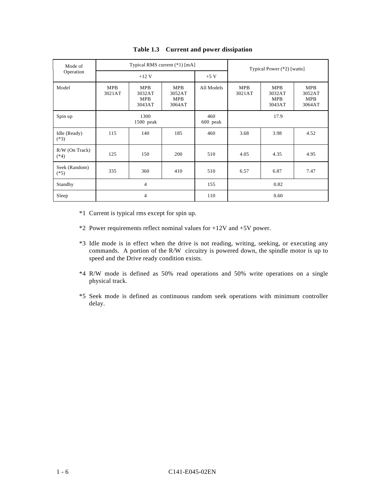| Mode of                    | Typical RMS current (*1) [mA] |                                              |                                              |                 | Typical Power (*2) [watts]                                    |      |                                              |
|----------------------------|-------------------------------|----------------------------------------------|----------------------------------------------|-----------------|---------------------------------------------------------------|------|----------------------------------------------|
| Operation                  |                               | $+12$ V                                      |                                              | $+5$ V          |                                                               |      |                                              |
| Model                      | <b>MPB</b><br>3021AT          | <b>MPB</b><br>3032AT<br><b>MPB</b><br>3043AT | <b>MPB</b><br>3052AT<br><b>MPB</b><br>3064AT | All Models      | <b>MPB</b><br>MPB<br>3021AT<br>3032AT<br><b>MPB</b><br>3043AT |      | <b>MPB</b><br>3052AT<br><b>MPB</b><br>3064AT |
| Spin up                    | 1300<br>$1500$ peak           |                                              |                                              | 460<br>600 peak | 17.9                                                          |      |                                              |
| Idle (Ready)<br>$(*3)$     | 115                           | 140                                          | 185                                          | 460             | 3.68                                                          | 3.98 | 4.52                                         |
| $R/W$ (On Track)<br>$(*4)$ | 125                           | 150                                          | 200                                          | 510             | 4.05                                                          | 4.35 | 4.95                                         |
| Seek (Random)<br>$(*5)$    | 335                           | 360                                          | 410                                          | 510             | 6.57                                                          | 6.87 | 7.47                                         |
| Standby                    | 4                             |                                              |                                              | 155             |                                                               | 0.82 |                                              |
| Sleep                      | 4                             |                                              |                                              | 110             | 0.60                                                          |      |                                              |

#### **Table 1.3 Current and power dissipation**

- \*1 Current is typical rms except for spin up.
- \*2 Power requirements reflect nominal values for +12V and +5V power.
- \*3 Idle mode is in effect when the drive is not reading, writing, seeking, or executing any commands. A portion of the R/W circuitry is powered down, the spindle motor is up to speed and the Drive ready condition exists.
- \*4 R/W mode is defined as 50% read operations and 50% write operations on a single physical track.
- \*5 Seek mode is defined as continuous random seek operations with minimum controller delay.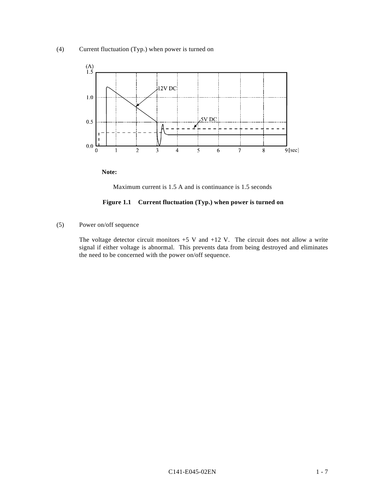

**Note:**

Maximum current is 1.5 A and is continuance is 1.5 seconds

#### **Figure 1.1 Current fluctuation (Typ.) when power is turned on**

(5) Power on/off sequence

The voltage detector circuit monitors  $+5$  V and  $+12$  V. The circuit does not allow a write signal if either voltage is abnormal. This prevents data from being destroyed and eliminates the need to be concerned with the power on/off sequence.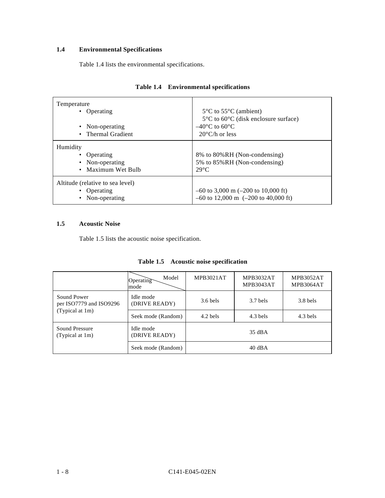## **1.4 Environmental Specifications**

Table 1.4 lists the environmental specifications.

| Temperature<br>• Operating<br>• Non-operating<br>• Thermal Gradient           | $5^{\circ}$ C to $55^{\circ}$ C (ambient)<br>$5^{\circ}$ C to $60^{\circ}$ C (disk enclosure surface)<br>$-40^{\circ}$ C to 60 <sup>o</sup> C<br>$20^{\circ}$ C/h or less |
|-------------------------------------------------------------------------------|---------------------------------------------------------------------------------------------------------------------------------------------------------------------------|
| Humidity<br>• Operating<br>• Non-operating<br>• Maximum Wet Bulb              | 8% to 80%RH (Non-condensing)<br>5% to 85% RH (Non-condensing)<br>$29^{\circ}$ C                                                                                           |
| Altitude (relative to sea level)<br>• Operating<br>Non-operating<br>$\bullet$ | $-60$ to 3,000 m ( $-200$ to 10,000 ft)<br>$-60$ to 12,000 m $(-200$ to 40,000 ft)                                                                                        |

|  | Table 1.4 Environmental specifications |  |
|--|----------------------------------------|--|
|--|----------------------------------------|--|

#### **1.5 Acoustic Noise**

Table 1.5 lists the acoustic noise specification.

|                                        | Model<br>Operating<br>mode | <b>MPB3021AT</b>         | <b>MPB3032AT</b><br><b>MPB3043AT</b> | <b>MPB3052AT</b><br>MPB3064AT |  |
|----------------------------------------|----------------------------|--------------------------|--------------------------------------|-------------------------------|--|
| Sound Power<br>per ISO7779 and ISO9296 | Idle mode<br>(DRIVE READY) | $3.6$ bels               | $3.7$ bels                           | $3.8$ bels                    |  |
| (Typical at 1m)                        | Seek mode (Random)         | $4.3$ bels<br>$4.2$ bels |                                      | $4.3$ bels                    |  |
| Sound Pressure<br>(Typical at 1m)      | Idle mode<br>(DRIVE READY) | 35 dBA                   |                                      |                               |  |
|                                        | Seek mode (Random)         | $40 \text{ dB}$ A        |                                      |                               |  |

| Table 1.5 |  | <b>Acoustic noise specification</b> |
|-----------|--|-------------------------------------|
|           |  |                                     |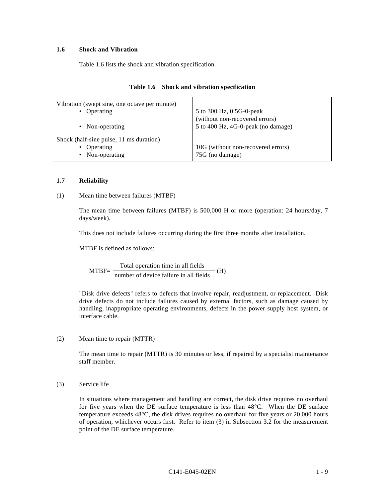#### **1.6 Shock and Vibration**

Table 1.6 lists the shock and vibration specification.

| Vibration (swept sine, one octave per minute)                             | 5 to 300 Hz, 0.5G-0-peak                              |
|---------------------------------------------------------------------------|-------------------------------------------------------|
| • Operating                                                               | (without non-recovered errors)                        |
| • Non-operating                                                           | 5 to 400 Hz, 4G-0-peak (no damage)                    |
| Shock (half-sine pulse, 11 ms duration)<br>• Operating<br>• Non-operating | 10G (without non-recovered errors)<br>75G (no damage) |

#### **Table 1.6 Shock and vibration specification**

#### **1.7 Reliability**

#### (1) Mean time between failures (MTBF)

The mean time between failures (MTBF) is 500,000 H or more (operation: 24 hours/day, 7 days/week).

This does not include failures occurring during the first three months after installation.

MTBF is defined as follows:

 $MTBF = \frac{1}{1 + (1 + (1 + 1)(1 + 1))} (H)$ Total operation time in all fields number of device failure in all fields

"Disk drive defects" refers to defects that involve repair, readjustment, or replacement. Disk drive defects do not include failures caused by external factors, such as damage caused by handling, inappropriate operating environments, defects in the power supply host system, or interface cable.

#### (2) Mean time to repair (MTTR)

The mean time to repair (MTTR) is 30 minutes or less, if repaired by a specialist maintenance staff member.

(3) Service life

In situations where management and handling are correct, the disk drive requires no overhaul for five years when the DE surface temperature is less than 48°C. When the DE surface temperature exceeds 48°C, the disk drives requires no overhaul for five years or 20,000 hours of operation, whichever occurs first. Refer to item (3) in Subsection 3.2 for the measurement point of the DE surface temperature.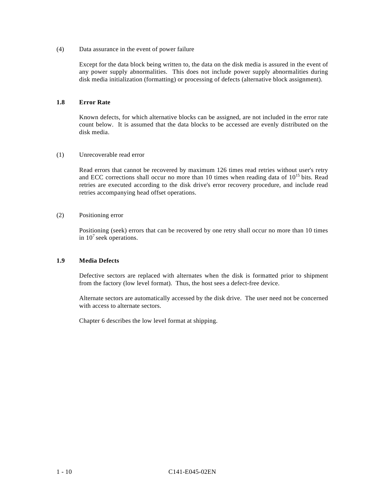(4) Data assurance in the event of power failure

Except for the data block being written to, the data on the disk media is assured in the event of any power supply abnormalities. This does not include power supply abnormalities during disk media initialization (formatting) or processing of defects (alternative block assignment).

#### **1.8 Error Rate**

Known defects, for which alternative blocks can be assigned, are not included in the error rate count below. It is assumed that the data blocks to be accessed are evenly distributed on the disk media.

#### (1) Unrecoverable read error

Read errors that cannot be recovered by maximum 126 times read retries without user's retry and ECC corrections shall occur no more than 10 times when reading data of  $10^{15}$  bits. Read retries are executed according to the disk drive's error recovery procedure, and include read retries accompanying head offset operations.

#### (2) Positioning error

Positioning (seek) errors that can be recovered by one retry shall occur no more than 10 times in  $10^7$  seek operations.

#### **1.9 Media Defects**

Defective sectors are replaced with alternates when the disk is formatted prior to shipment from the factory (low level format). Thus, the host sees a defect-free device.

Alternate sectors are automatically accessed by the disk drive. The user need not be concerned with access to alternate sectors.

Chapter 6 describes the low level format at shipping.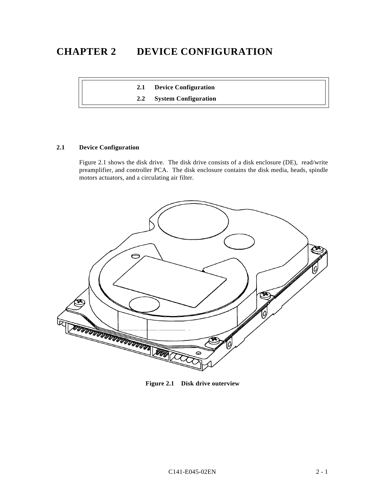# **CHAPTER 2 DEVICE CONFIGURATION**

**2.1 Device Configuration**

**2.2 System Configuration**

#### **2.1 Device Configuration**

Figure 2.1 shows the disk drive. The disk drive consists of a disk enclosure (DE), read/write preamplifier, and controller PCA. The disk enclosure contains the disk media, heads, spindle motors actuators, and a circulating air filter.



**Figure 2.1 Disk drive outerview**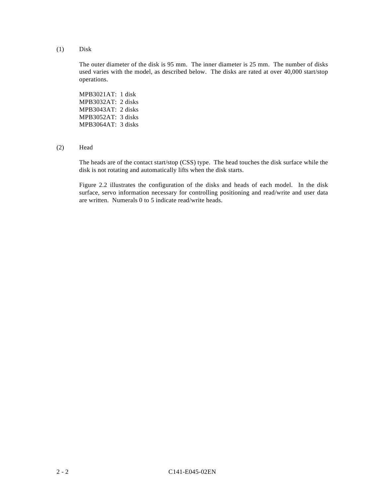(1) Disk

The outer diameter of the disk is 95 mm. The inner diameter is 25 mm. The number of disks used varies with the model, as described below. The disks are rated at over 40,000 start/stop operations.

MPB3021AT: 1 disk MPB3032AT: 2 disks MPB3043AT: 2 disks MPB3052AT: 3 disks MPB3064AT: 3 disks

(2) Head

The heads are of the contact start/stop (CSS) type. The head touches the disk surface while the disk is not rotating and automatically lifts when the disk starts.

Figure 2.2 illustrates the configuration of the disks and heads of each model. In the disk surface, servo information necessary for controlling positioning and read/write and user data are written. Numerals 0 to 5 indicate read/write heads.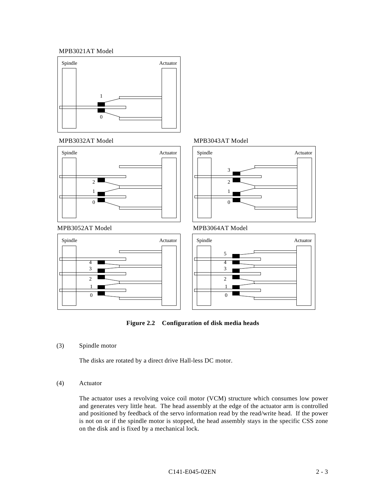#### MPB3021 Model MPB3021AT Model







#### MPB3052AT Model



# Spindle 3



Actuator

## MPB3052AT Model MPB3064AT Model



**Figure 2.2 Configuration of disk media heads**

(3) Spindle motor

The disks are rotated by a direct drive Hall-less DC motor.

#### (4) Actuator

The actuator uses a revolving voice coil motor (VCM) structure which consumes low power and generates very little heat. The head assembly at the edge of the actuator arm is controlled and positioned by feedback of the servo information read by the read/write head. If the power is not on or if the spindle motor is stopped, the head assembly stays in the specific CSS zone on the disk and is fixed by a mechanical lock.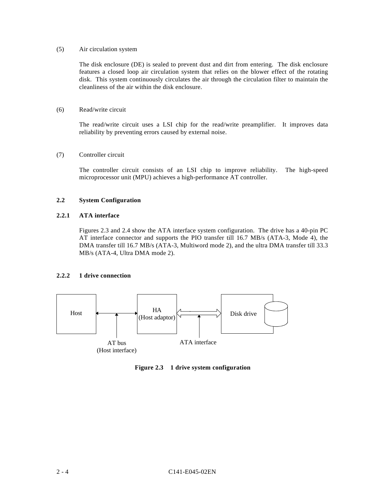#### (5) Air circulation system

The disk enclosure (DE) is sealed to prevent dust and dirt from entering. The disk enclosure features a closed loop air circulation system that relies on the blower effect of the rotating disk. This system continuously circulates the air through the circulation filter to maintain the cleanliness of the air within the disk enclosure.

#### (6) Read/write circuit

The read/write circuit uses a LSI chip for the read/write preamplifier. It improves data reliability by preventing errors caused by external noise.

#### (7) Controller circuit

The controller circuit consists of an LSI chip to improve reliability. The high-speed microprocessor unit (MPU) achieves a high-performance AT controller.

#### **2.2 System Configuration**

#### **2.2.1 ATA interface**

Figures 2.3 and 2.4 show the ATA interface system configuration. The drive has a 40-pin PC AT interface connector and supports the PIO transfer till 16.7 MB/s (ATA-3, Mode 4), the DMA transfer till 16.7 MB/s (ATA-3, Multiword mode 2), and the ultra DMA transfer till 33.3 MB/s (ATA-4, Ultra DMA mode 2).

#### **2.2.2 1 drive connection**



**Figure 2.3 1 drive system configuration**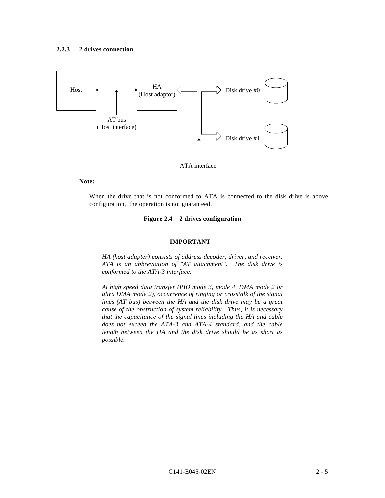

#### **Note:**

When the drive that is not conformed to ATA is connected to the disk drive is above configuration, the operation is not guaranteed.

#### **Figure 2.4 2 drives configuration**

#### **IMPORTANT**

*HA (host adapter) consists of address decoder, driver, and receiver. ATA is an abbreviation of "AT attachment". The disk drive is conformed to the ATA-3 interface.*

*At high speed data transfer (PIO mode 3, mode 4, DMA mode 2 or ultra DMA mode 2), occurrence of ringing or crosstalk of the signal lines (AT bus) between the HA and the disk drive may be a great cause of the obstruction of system reliability. Thus, it is necessary that the capacitance of the signal lines including the HA and cable does not exceed the ATA-3 and ATA-4 standard, and the cable length between the HA and the disk drive should be as short as possible.*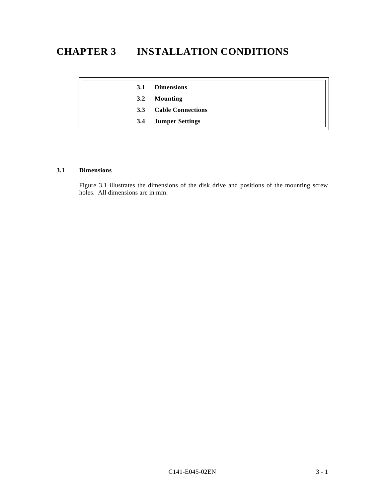# **CHAPTER 3 INSTALLATION CONDITIONS**

| 3.1 | <b>Dimensions</b>        |
|-----|--------------------------|
| 3.2 | <b>Mounting</b>          |
| 3.3 | <b>Cable Connections</b> |
| 3.4 | <b>Jumper Settings</b>   |

#### **3.1 Dimensions**

Figure 3.1 illustrates the dimensions of the disk drive and positions of the mounting screw holes. All dimensions are in mm.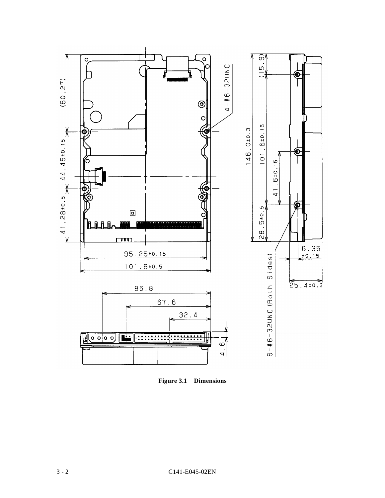

**Figure 3.1 Dimensions**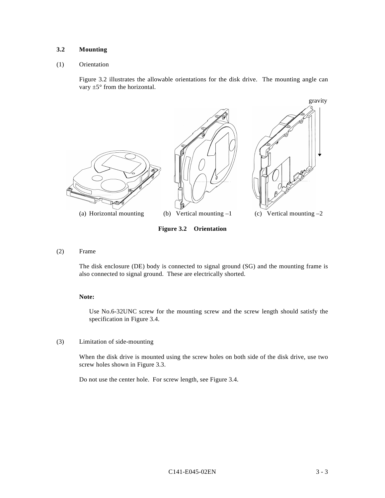#### **3.2 Mounting**

#### (1) Orientation

Figure 3.2 illustrates the allowable orientations for the disk drive. The mounting angle can vary  $\pm 5^{\circ}$  from the horizontal.



**Figure 3.2 Orientation**

(2) Frame

The disk enclosure (DE) body is connected to signal ground (SG) and the mounting frame is also connected to signal ground. These are electrically shorted.

#### **Note:**

Use No.6-32UNC screw for the mounting screw and the screw length should satisfy the specification in Figure 3.4.

(3) Limitation of side-mounting

When the disk drive is mounted using the screw holes on both side of the disk drive, use two screw holes shown in Figure 3.3.

Do not use the center hole. For screw length, see Figure 3.4.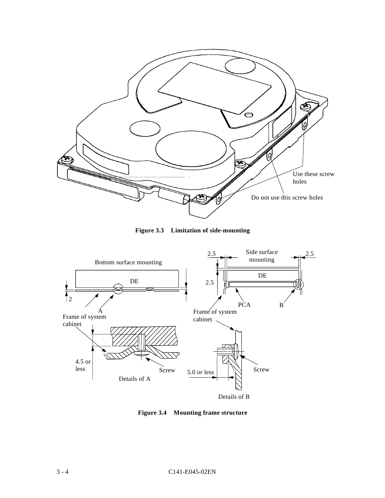

**Figure 3.3 Limitation of side-mounting**



**Figure 3.4 Mounting frame structure**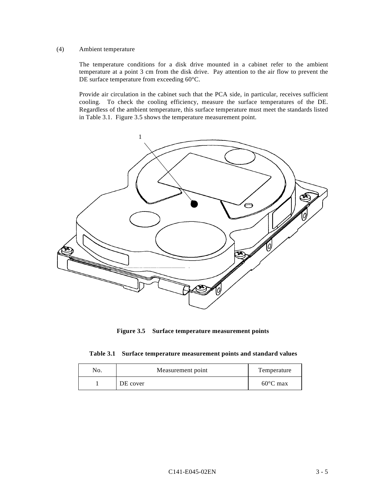#### (4) Ambient temperature

The temperature conditions for a disk drive mounted in a cabinet refer to the ambient temperature at a point 3 cm from the disk drive. Pay attention to the air flow to prevent the DE surface temperature from exceeding 60°C.

Provide air circulation in the cabinet such that the PCA side, in particular, receives sufficient cooling. To check the cooling efficiency, measure the surface temperatures of the DE. Regardless of the ambient temperature, this surface temperature must meet the standards listed in Table 3.1. Figure 3.5 shows the temperature measurement point.



**Figure 3.5 Surface temperature measurement points**

|  |  |  | Table 3.1 Surface temperature measurement points and standard values |  |  |  |
|--|--|--|----------------------------------------------------------------------|--|--|--|
|--|--|--|----------------------------------------------------------------------|--|--|--|

| No. | Measurement point | Temperature        |
|-----|-------------------|--------------------|
|     | DE cover          | $60^{\circ}$ C max |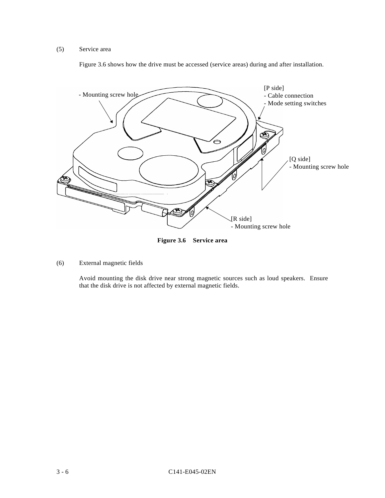# (5) Service area

Figure 3.6 shows how the drive must be accessed (service areas) during and after installation.



**Figure 3.6 Service area**

(6) External magnetic fields

Avoid mounting the disk drive near strong magnetic sources such as loud speakers. Ensure that the disk drive is not affected by external magnetic fields.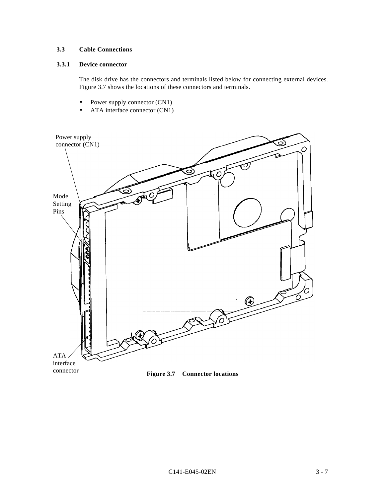# **3.3 Cable Connections**

# **3.3.1 Device connector**

The disk drive has the connectors and terminals listed below for connecting external devices. Figure 3.7 shows the locations of these connectors and terminals.

- Power supply connector (CN1)
- ATA interface connector (CN1)

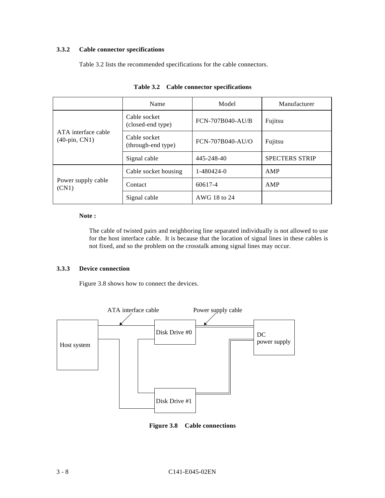# **3.3.2 Cable connector specifications**

Table 3.2 lists the recommended specifications for the cable connectors.

|                                         | Name                               | Model                   | Manufacturer          |  |
|-----------------------------------------|------------------------------------|-------------------------|-----------------------|--|
|                                         | Cable socket<br>(closed-end type)  | <b>FCN-707B040-AU/B</b> | Fujitsu               |  |
| ATA interface cable<br>$(40$ -pin, CN1) | Cable socket<br>(through-end type) | FCN-707B040-AU/O        | Fujitsu               |  |
|                                         | Signal cable                       | 445-248-40              | <b>SPECTERS STRIP</b> |  |
|                                         | Cable socket housing               | 1-480424-0              | AMP                   |  |
| Power supply cable<br>(CN1)             | Contact                            | 60617-4                 | AMP                   |  |
|                                         | Signal cable                       | AWG 18 to 24            |                       |  |

**Table 3.2 Cable connector specifications**

#### **Note :**

The cable of twisted pairs and neighboring line separated individually is not allowed to use for the host interface cable. It is because that the location of signal lines in these cables is not fixed, and so the problem on the crosstalk among signal lines may occur.

# **3.3.3 Device connection**

Figure 3.8 shows how to connect the devices.



**Figure 3.8 Cable connections**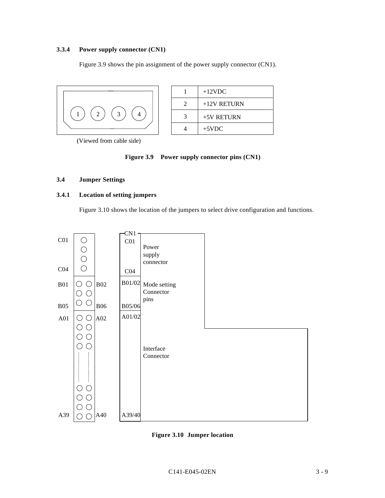# **3.3.4 Power supply connector (CN1)**

Figure 3.9 shows the pin assignment of the power supply connector (CN1).



|   | $+12$ VDC     |
|---|---------------|
| 2 | $+12V$ RETURN |
| 3 | $+5V$ RETURN  |
|   | $+5$ VDC      |

(Viewed from cable side)

# **Figure 3.9 Power supply connector pins (CN1)**

# **3.4 Jumper Settings**

# **3.4.1 Location of setting jumpers**

Figure 3.10 shows the location of the jumpers to select drive configuration and functions.



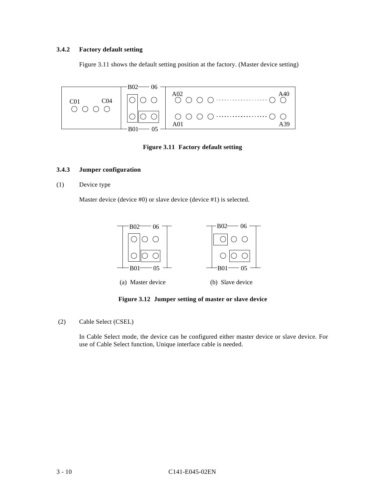# **3.4.2 Factory default setting**

Figure 3.11 shows the default setting position at the factory. (Master device setting)



**Figure 3.11 Factory default setting**

# **3.4.3 Jumper configuration**

(1) Device type

Master device (device #0) or slave device (device #1) is selected.



**Figure 3.12 Jumper setting of master or slave device**

(2) Cable Select (CSEL)

In Cable Select mode, the device can be configured either master device or slave device. For use of Cable Select function, Unique interface cable is needed.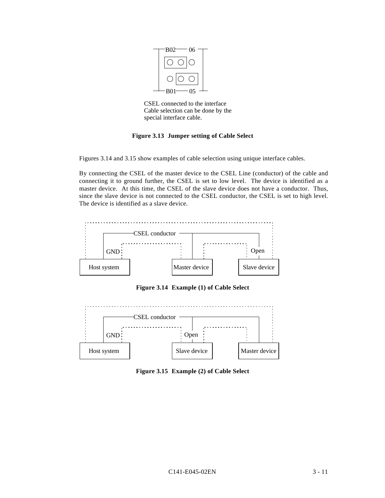

CSEL connected to the interface Cable selection can be done by the special interface cable.

#### **Figure 3.13 Jumper setting of Cable Select**

Figures 3.14 and 3.15 show examples of cable selection using unique interface cables.

By connecting the CSEL of the master device to the CSEL Line (conductor) of the cable and connecting it to ground further, the CSEL is set to low level. The device is identified as a master device. At this time, the CSEL of the slave device does not have a conductor. Thus, since the slave device is not connected to the CSEL conductor, the CSEL is set to high level. The device is identified as a slave device.



**Figure 3.14 Example (1) of Cable Select**



**Figure 3.15 Example (2) of Cable Select**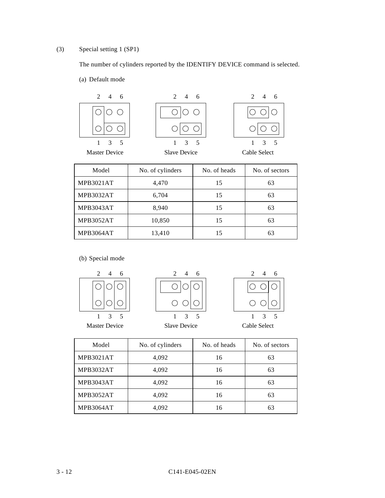# (3) Special setting 1 (SP1)

The number of cylinders reported by the IDENTIFY DEVICE command is selected.

(a) Default mode



| Model     | No. of cylinders | No. of heads | No. of sectors |
|-----------|------------------|--------------|----------------|
| MPB3021AT | 4,470            | 15           | 63             |
| MPB3032AT | 6,704            | 15           | 63             |
| MPB3043AT | 8,940            | 15           | 63             |
| MPB3052AT | 10,850           | 15           | 63             |
| MPB3064AT | 13,410           | 15           | 63             |

(b) Special mode



| Model            | No. of cylinders | No. of heads | No. of sectors |
|------------------|------------------|--------------|----------------|
| <b>MPB3021AT</b> | 4,092            | 16           | 63             |
| MPB3032AT        | 4,092            | 16           | 63             |
| <b>MPB3043AT</b> | 4,092            | 16           | 63             |
| <b>MPB3052AT</b> | 4,092            | 16           | 63             |
| MPB3064AT        | 4,092            | 16           | 63             |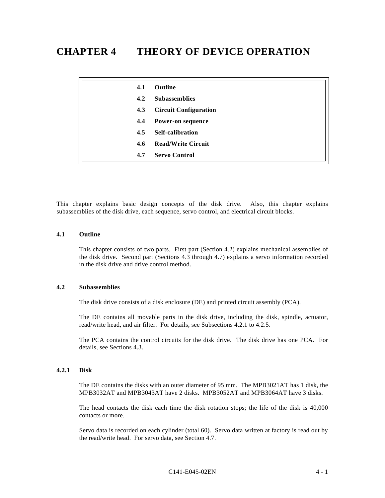# **CHAPTER 4 THEORY OF DEVICE OPERATION**

| 4.1 | Outline                      |
|-----|------------------------------|
| 4.2 | <b>Subassemblies</b>         |
| 4.3 | <b>Circuit Configuration</b> |
| 4.4 | <b>Power-on sequence</b>     |
| 4.5 | <b>Self-calibration</b>      |
| 4.6 | <b>Read/Write Circuit</b>    |
| 4.7 | <b>Servo Control</b>         |

This chapter explains basic design concepts of the disk drive. Also, this chapter explains subassemblies of the disk drive, each sequence, servo control, and electrical circuit blocks.

#### **4.1 Outline**

This chapter consists of two parts. First part (Section 4.2) explains mechanical assemblies of the disk drive. Second part (Sections 4.3 through 4.7) explains a servo information recorded in the disk drive and drive control method.

#### **4.2 Subassemblies**

The disk drive consists of a disk enclosure (DE) and printed circuit assembly (PCA).

The DE contains all movable parts in the disk drive, including the disk, spindle, actuator, read/write head, and air filter. For details, see Subsections 4.2.1 to 4.2.5.

The PCA contains the control circuits for the disk drive. The disk drive has one PCA. For details, see Sections 4.3.

# **4.2.1 Disk**

The DE contains the disks with an outer diameter of 95 mm. The MPB3021AT has 1 disk, the MPB3032AT and MPB3043AT have 2 disks. MPB3052AT and MPB3064AT have 3 disks.

The head contacts the disk each time the disk rotation stops; the life of the disk is 40,000 contacts or more.

Servo data is recorded on each cylinder (total 60). Servo data written at factory is read out by the read/write head. For servo data, see Section 4.7.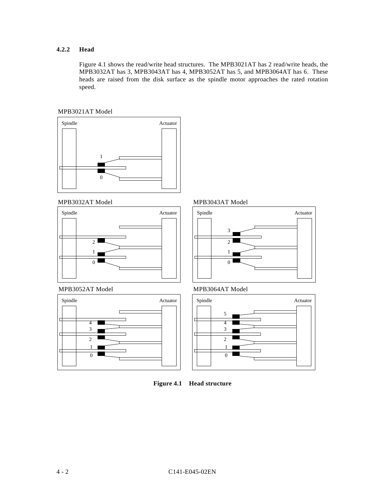# **4.2.2 Head**

Figure 4.1 shows the read/write head structures. The MPB3021AT has 2 read/write heads, the MPB3032AT has 3, MPB3043AT has 4, MPB3052AT has 5, and MPB3064AT has 6. These heads are raised from the disk surface as the spindle motor approaches the rated rotation speed.





MPB3032AT Model MPB3032AT Model MPB3043AT Model















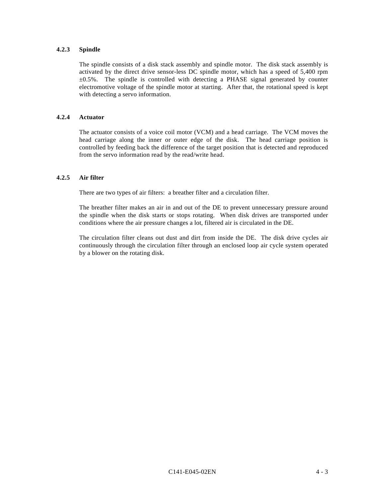# **4.2.3 Spindle**

The spindle consists of a disk stack assembly and spindle motor. The disk stack assembly is activated by the direct drive sensor-less DC spindle motor, which has a speed of 5,400 rpm ±0.5%. The spindle is controlled with detecting a PHASE signal generated by counter electromotive voltage of the spindle motor at starting. After that, the rotational speed is kept with detecting a servo information.

#### **4.2.4 Actuator**

The actuator consists of a voice coil motor (VCM) and a head carriage. The VCM moves the head carriage along the inner or outer edge of the disk. The head carriage position is controlled by feeding back the difference of the target position that is detected and reproduced from the servo information read by the read/write head.

#### **4.2.5 Air filter**

There are two types of air filters: a breather filter and a circulation filter.

The breather filter makes an air in and out of the DE to prevent unnecessary pressure around the spindle when the disk starts or stops rotating. When disk drives are transported under conditions where the air pressure changes a lot, filtered air is circulated in the DE.

The circulation filter cleans out dust and dirt from inside the DE. The disk drive cycles air continuously through the circulation filter through an enclosed loop air cycle system operated by a blower on the rotating disk.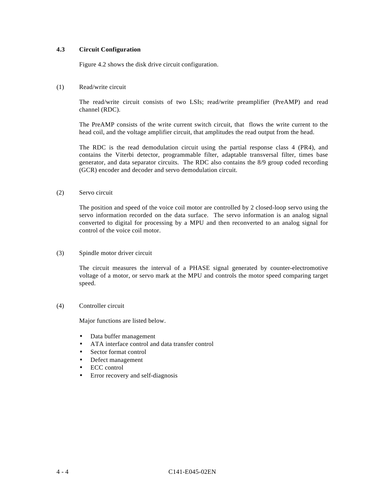#### **4.3 Circuit Configuration**

Figure 4.2 shows the disk drive circuit configuration.

# (1) Read/write circuit

The read/write circuit consists of two LSIs; read/write preamplifier (PreAMP) and read channel (RDC).

The PreAMP consists of the write current switch circuit, that flows the write current to the head coil, and the voltage amplifier circuit, that amplitudes the read output from the head.

The RDC is the read demodulation circuit using the partial response class 4 (PR4), and contains the Viterbi detector, programmable filter, adaptable transversal filter, times base generator, and data separator circuits. The RDC also contains the 8/9 group coded recording (GCR) encoder and decoder and servo demodulation circuit.

#### (2) Servo circuit

The position and speed of the voice coil motor are controlled by 2 closed-loop servo using the servo information recorded on the data surface. The servo information is an analog signal converted to digital for processing by a MPU and then reconverted to an analog signal for control of the voice coil motor.

#### (3) Spindle motor driver circuit

The circuit measures the interval of a PHASE signal generated by counter-electromotive voltage of a motor, or servo mark at the MPU and controls the motor speed comparing target speed.

#### (4) Controller circuit

Major functions are listed below.

- Data buffer management
- ATA interface control and data transfer control
- Sector format control
- Defect management
- ECC control
- Error recovery and self-diagnosis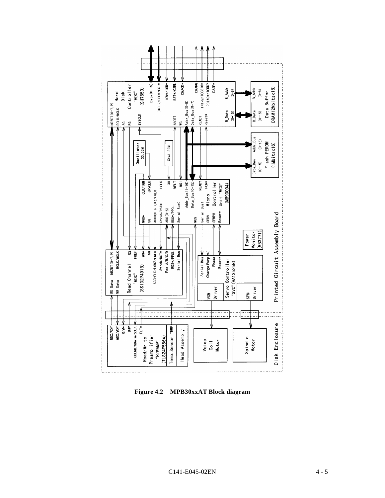

**Figure 4.2 MPB30xxAT Block diagram**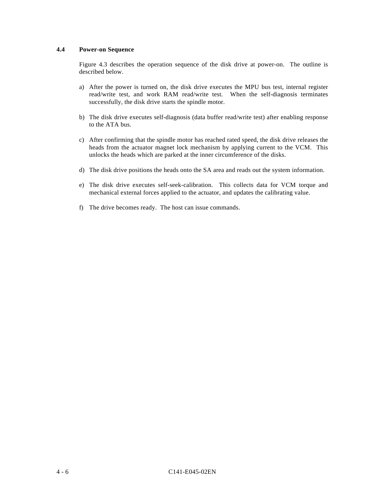# **4.4 Power-on Sequence**

Figure 4.3 describes the operation sequence of the disk drive at power-on. The outline is described below.

- a) After the power is turned on, the disk drive executes the MPU bus test, internal register read/write test, and work RAM read/write test. When the self-diagnosis terminates successfully, the disk drive starts the spindle motor.
- b) The disk drive executes self-diagnosis (data buffer read/write test) after enabling response to the ATA bus.
- c) After confirming that the spindle motor has reached rated speed, the disk drive releases the heads from the actuator magnet lock mechanism by applying current to the VCM. This unlocks the heads which are parked at the inner circumference of the disks.
- d) The disk drive positions the heads onto the SA area and reads out the system information.
- e) The disk drive executes self-seek-calibration. This collects data for VCM torque and mechanical external forces applied to the actuator, and updates the calibrating value.
- f) The drive becomes ready. The host can issue commands.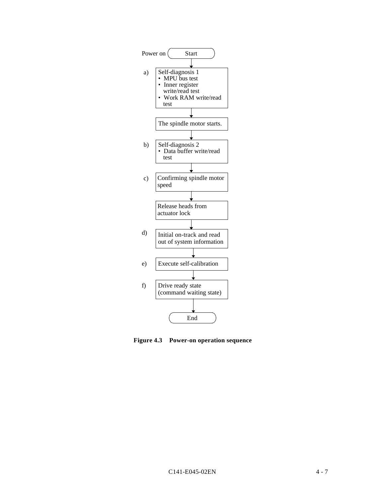

**Figure 4.3 Power-on operation sequence**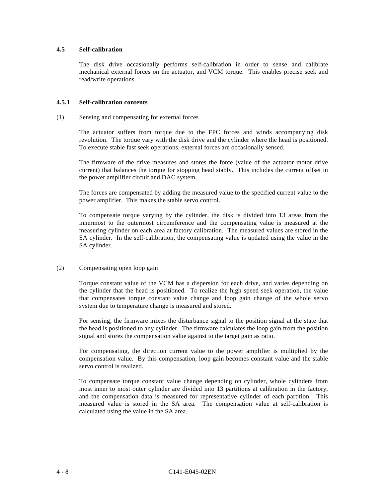# **4.5 Self-calibration**

The disk drive occasionally performs self-calibration in order to sense and calibrate mechanical external forces on the actuator, and VCM torque. This enables precise seek and read/write operations.

# **4.5.1 Self-calibration contents**

#### (1) Sensing and compensating for external forces

The actuator suffers from torque due to the FPC forces and winds accompanying disk revolution. The torque vary with the disk drive and the cylinder where the head is positioned. To execute stable fast seek operations, external forces are occasionally sensed.

The firmware of the drive measures and stores the force (value of the actuator motor drive current) that balances the torque for stopping head stably. This includes the current offset in the power amplifier circuit and DAC system.

The forces are compensated by adding the measured value to the specified current value to the power amplifier. This makes the stable servo control.

To compensate torque varying by the cylinder, the disk is divided into 13 areas from the innermost to the outermost circumference and the compensating value is measured at the measuring cylinder on each area at factory calibration. The measured values are stored in the SA cylinder. In the self-calibration, the compensating value is updated using the value in the SA cylinder.

#### (2) Compensating open loop gain

Torque constant value of the VCM has a dispersion for each drive, and varies depending on the cylinder that the head is positioned. To realize the high speed seek operation, the value that compensates torque constant value change and loop gain change of the whole servo system due to temperature change is measured and stored.

For sensing, the firmware mixes the disturbance signal to the position signal at the state that the head is positioned to any cylinder. The firmware calculates the loop gain from the position signal and stores the compensation value against to the target gain as ratio.

For compensating, the direction current value to the power amplifier is multiplied by the compensation value. By this compensation, loop gain becomes constant value and the stable servo control is realized.

To compensate torque constant value change depending on cylinder, whole cylinders from most inner to most outer cylinder are divided into 13 partitions at calibration in the factory, and the compensation data is measured for representative cylinder of each partition. This measured value is stored in the SA area. The compensation value at self-calibration is calculated using the value in the SA area.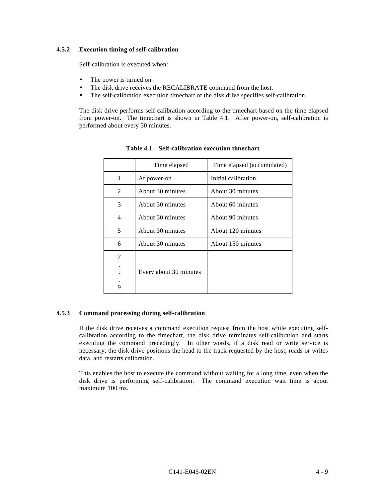# **4.5.2 Execution timing of self-calibration**

Self-calibration is executed when:

- The power is turned on.
- The disk drive receives the RECALIBRATE command from the host.
- The self-calibration execution timechart of the disk drive specifies self-calibration.

The disk drive performs self-calibration according to the timechart based on the time elapsed from power-on. The timechart is shown in Table 4.1. After power-on, self-calibration is performed about every 30 minutes.

|   | Time elapsed           | Time elapsed (accumulated) |
|---|------------------------|----------------------------|
| 1 | At power-on            | Initial calibration        |
| 2 | About 30 minutes       | About 30 minutes           |
| 3 | About 30 minutes       | About 60 minutes           |
| 4 | About 30 minutes       | About 90 minutes           |
| 5 | About 30 minutes       | About 120 minutes          |
| 6 | About 30 minutes       | About 150 minutes          |
| 7 |                        |                            |
|   |                        |                            |
|   | Every about 30 minutes |                            |
|   |                        |                            |
| 9 |                        |                            |

**Table 4.1 Self-calibration execution timechart**

# **4.5.3 Command processing during self-calibration**

If the disk drive receives a command execution request from the host while executing selfcalibration according to the timechart, the disk drive terminates self-calibration and starts executing the command precedingly. In other words, if a disk read or write service is necessary, the disk drive positions the head to the track requested by the host, reads or writes data, and restarts calibration.

This enables the host to execute the command without waiting for a long time, even when the disk drive is performing self-calibration. The command execution wait time is about maximum 100 ms.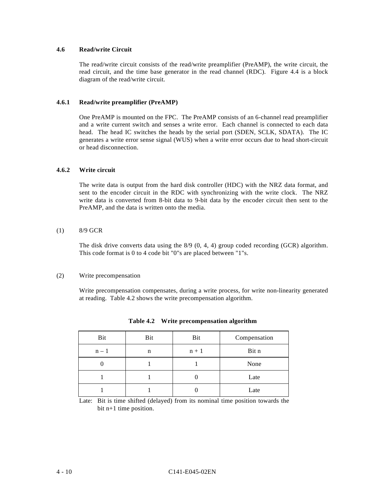# **4.6 Read/write Circuit**

The read/write circuit consists of the read/write preamplifier (PreAMP), the write circuit, the read circuit, and the time base generator in the read channel (RDC). Figure 4.4 is a block diagram of the read/write circuit.

#### **4.6.1 Read/write preamplifier (PreAMP)**

One PreAMP is mounted on the FPC. The PreAMP consists of an 6-channel read preamplifier and a write current switch and senses a write error. Each channel is connected to each data head. The head IC switches the heads by the serial port (SDEN, SCLK, SDATA). The IC generates a write error sense signal (WUS) when a write error occurs due to head short-circuit or head disconnection.

# **4.6.2 Write circuit**

The write data is output from the hard disk controller (HDC) with the NRZ data format, and sent to the encoder circuit in the RDC with synchronizing with the write clock. The NRZ write data is converted from 8-bit data to 9-bit data by the encoder circuit then sent to the PreAMP, and the data is written onto the media.

#### (1) 8/9 GCR

The disk drive converts data using the 8/9 (0, 4, 4) group coded recording (GCR) algorithm. This code format is 0 to 4 code bit "0"s are placed between "1"s.

#### (2) Write precompensation

Write precompensation compensates, during a write process, for write non-linearity generated at reading. Table 4.2 shows the write precompensation algorithm.

| Bit   | Bit | Bit     | Compensation |
|-------|-----|---------|--------------|
| $n-1$ | n   | $n + 1$ | Bit n        |
|       |     |         | None         |
|       |     |         | Late         |
|       |     |         | Late         |

| Table 4.2 |  | Write precompensation algorithm |  |
|-----------|--|---------------------------------|--|
|-----------|--|---------------------------------|--|

Late: Bit is time shifted (delayed) from its nominal time position towards the bit n+1 time position.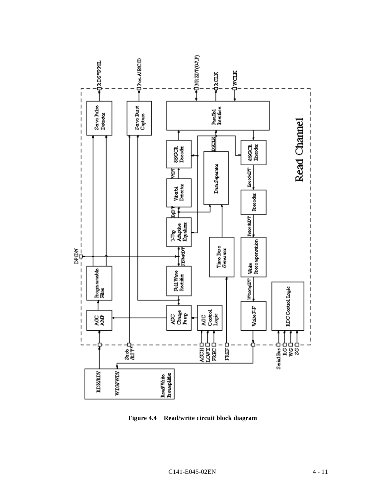

**Figure 4.4 Read/write circuit block diagram**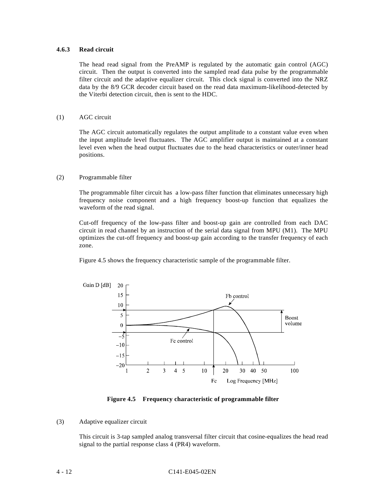#### **4.6.3 Read circuit**

The head read signal from the PreAMP is regulated by the automatic gain control (AGC) circuit. Then the output is converted into the sampled read data pulse by the programmable filter circuit and the adaptive equalizer circuit. This clock signal is converted into the NRZ data by the 8/9 GCR decoder circuit based on the read data maximum-likelihood-detected by the Viterbi detection circuit, then is sent to the HDC.

#### (1) AGC circuit

The AGC circuit automatically regulates the output amplitude to a constant value even when the input amplitude level fluctuates. The AGC amplifier output is maintained at a constant level even when the head output fluctuates due to the head characteristics or outer/inner head positions.

#### (2) Programmable filter

The programmable filter circuit has a low-pass filter function that eliminates unnecessary high frequency noise component and a high frequency boost-up function that equalizes the waveform of the read signal.

Cut-off frequency of the low-pass filter and boost-up gain are controlled from each DAC circuit in read channel by an instruction of the serial data signal from MPU (M1). The MPU optimizes the cut-off frequency and boost-up gain according to the transfer frequency of each zone.

Figure 4.5 shows the frequency characteristic sample of the programmable filter.



**Figure 4.5 Frequency characteristic of programmable filter**

#### (3) Adaptive equalizer circuit

This circuit is 3-tap sampled analog transversal filter circuit that cosine-equalizes the head read signal to the partial response class 4 (PR4) waveform.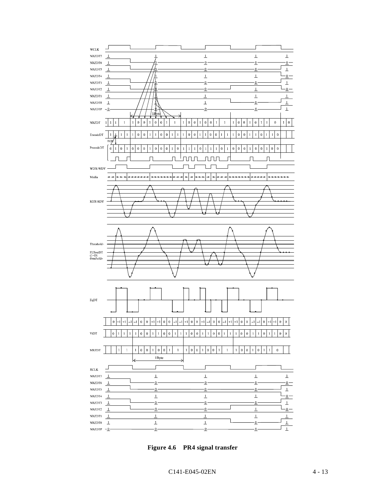

**Figure 4.6 PR4 signal transfer**

C141-E045-02EN 4 - 13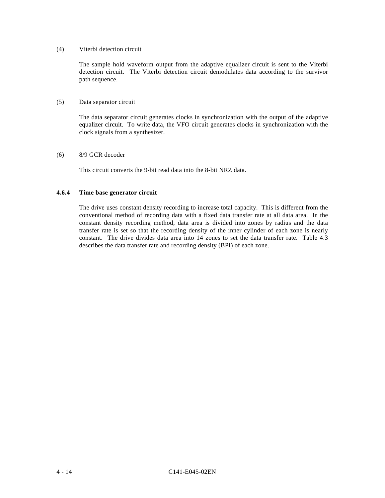#### (4) Viterbi detection circuit

The sample hold waveform output from the adaptive equalizer circuit is sent to the Viterbi detection circuit. The Viterbi detection circuit demodulates data according to the survivor path sequence.

#### (5) Data separator circuit

The data separator circuit generates clocks in synchronization with the output of the adaptive equalizer circuit. To write data, the VFO circuit generates clocks in synchronization with the clock signals from a synthesizer.

#### (6) 8/9 GCR decoder

This circuit converts the 9-bit read data into the 8-bit NRZ data.

#### **4.6.4 Time base generator circuit**

The drive uses constant density recording to increase total capacity. This is different from the conventional method of recording data with a fixed data transfer rate at all data area. In the constant density recording method, data area is divided into zones by radius and the data transfer rate is set so that the recording density of the inner cylinder of each zone is nearly constant. The drive divides data area into 14 zones to set the data transfer rate. Table 4.3 describes the data transfer rate and recording density (BPI) of each zone.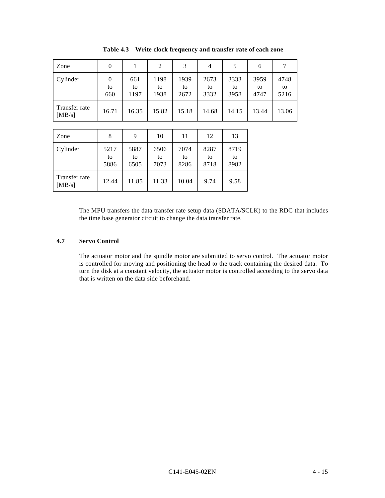| Zone                    |                       |                   | 2                  | 3                  | 4                  | 5                  | 6                  |                    |
|-------------------------|-----------------------|-------------------|--------------------|--------------------|--------------------|--------------------|--------------------|--------------------|
| Cylinder                | $\theta$<br>to<br>660 | 661<br>to<br>1197 | 1198<br>to<br>1938 | 1939<br>to<br>2672 | 2673<br>to<br>3332 | 3333<br>to<br>3958 | 3959<br>to<br>4747 | 4748<br>to<br>5216 |
| Transfer rate<br>[MB/s] | 16.71                 | 16.35             | 15.82              | 15.18              | 14.68              | 14.15              | 13.44              | 13.06              |

**Table 4.3 Write clock frequency and transfer rate of each zone**

| Zone                    | 8                  | 9                  | 10                 | 11                 | 12                 | 13                 |
|-------------------------|--------------------|--------------------|--------------------|--------------------|--------------------|--------------------|
| Cylinder                | 5217<br>to<br>5886 | 5887<br>to<br>6505 | 6506<br>to<br>7073 | 7074<br>to<br>8286 | 8287<br>to<br>8718 | 8719<br>to<br>8982 |
| Transfer rate<br>[MB/s] | 12.44              | 11.85              | 11.33              | 10.04              | 9.74               | 9.58               |

The MPU transfers the data transfer rate setup data (SDATA/SCLK) to the RDC that includes the time base generator circuit to change the data transfer rate.

#### **4.7 Servo Control**

The actuator motor and the spindle motor are submitted to servo control. The actuator motor is controlled for moving and positioning the head to the track containing the desired data. To turn the disk at a constant velocity, the actuator motor is controlled according to the servo data that is written on the data side beforehand.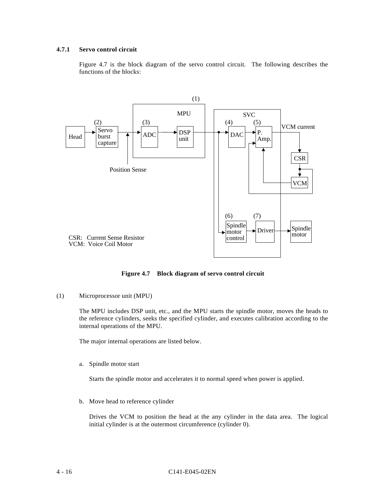#### **4.7.1 Servo control circuit**

Figure 4.7 is the block diagram of the servo control circuit. The following describes the functions of the blocks:



**Figure 4.7 Block diagram of servo control circuit**

(1) Microprocessor unit (MPU)

The MPU includes DSP unit, etc., and the MPU starts the spindle motor, moves the heads to the reference cylinders, seeks the specified cylinder, and executes calibration according to the internal operations of the MPU.

The major internal operations are listed below.

a. Spindle motor start

Starts the spindle motor and accelerates it to normal speed when power is applied.

b. Move head to reference cylinder

Drives the VCM to position the head at the any cylinder in the data area. The logical initial cylinder is at the outermost circumference (cylinder 0).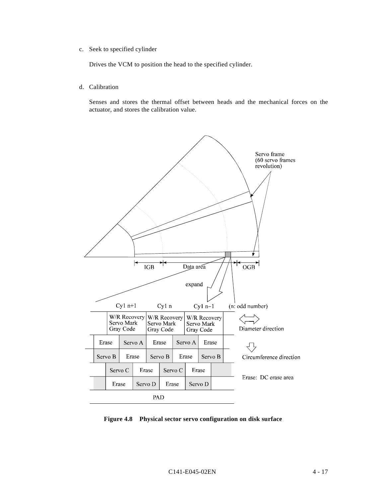c. Seek to specified cylinder

Drives the VCM to position the head to the specified cylinder.

d. Calibration

Senses and stores the thermal offset between heads and the mechanical forces on the actuator, and stores the calibration value.



**Figure 4.8 Physical sector servo configuration on disk surface**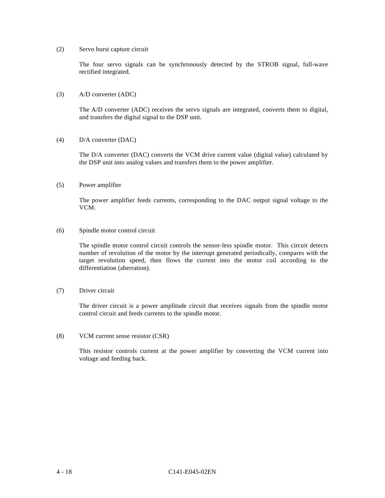#### (2) Servo burst capture circuit

The four servo signals can be synchronously detected by the STROB signal, full-wave rectified integrated.

#### (3) A/D converter (ADC)

The A/D converter (ADC) receives the servo signals are integrated, converts them to digital, and transfers the digital signal to the DSP unit.

(4) D/A converter (DAC)

The D/A converter (DAC) converts the VCM drive current value (digital value) calculated by the DSP unit into analog values and transfers them to the power amplifier.

(5) Power amplifier

The power amplifier feeds currents, corresponding to the DAC output signal voltage to the VCM.

#### (6) Spindle motor control circuit

The spindle motor control circuit controls the sensor-less spindle motor. This circuit detects number of revolution of the motor by the interrupt generated periodically, compares with the target revolution speed, then flows the current into the motor coil according to the differentiation (aberration).

(7) Driver circuit

The driver circuit is a power amplitude circuit that receives signals from the spindle motor control circuit and feeds currents to the spindle motor.

(8) VCM current sense resistor (CSR)

This resistor controls current at the power amplifier by converting the VCM current into voltage and feeding back.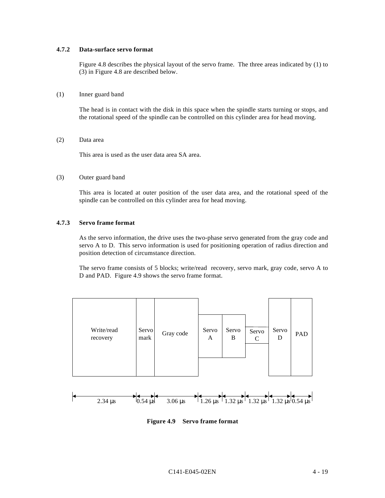# **4.7.2 Data-surface servo format**

Figure 4.8 describes the physical layout of the servo frame. The three areas indicated by (1) to (3) in Figure 4.8 are described below.

#### (1) Inner guard band

The head is in contact with the disk in this space when the spindle starts turning or stops, and the rotational speed of the spindle can be controlled on this cylinder area for head moving.

(2) Data area

This area is used as the user data area SA area.

(3) Outer guard band

This area is located at outer position of the user data area, and the rotational speed of the spindle can be controlled on this cylinder area for head moving.

#### **4.7.3 Servo frame format**

As the servo information, the drive uses the two-phase servo generated from the gray code and servo A to D. This servo information is used for positioning operation of radius direction and position detection of circumstance direction.

The servo frame consists of 5 blocks; write/read recovery, servo mark, gray code, servo A to D and PAD. Figure 4.9 shows the servo frame format.



**Figure 4.9 Servo frame format**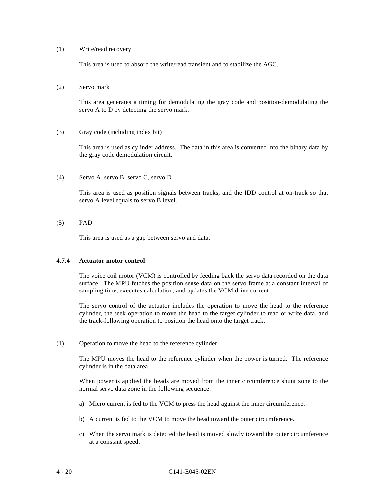#### (1) Write/read recovery

This area is used to absorb the write/read transient and to stabilize the AGC.

(2) Servo mark

This area generates a timing for demodulating the gray code and position-demodulating the servo A to D by detecting the servo mark.

(3) Gray code (including index bit)

This area is used as cylinder address. The data in this area is converted into the binary data by the gray code demodulation circuit.

(4) Servo A, servo B, servo C, servo D

This area is used as position signals between tracks, and the IDD control at on-track so that servo A level equals to servo B level.

(5) PAD

This area is used as a gap between servo and data.

#### **4.7.4 Actuator motor control**

The voice coil motor (VCM) is controlled by feeding back the servo data recorded on the data surface. The MPU fetches the position sense data on the servo frame at a constant interval of sampling time, executes calculation, and updates the VCM drive current.

The servo control of the actuator includes the operation to move the head to the reference cylinder, the seek operation to move the head to the target cylinder to read or write data, and the track-following operation to position the head onto the target track.

(1) Operation to move the head to the reference cylinder

The MPU moves the head to the reference cylinder when the power is turned. The reference cylinder is in the data area.

When power is applied the heads are moved from the inner circumference shunt zone to the normal servo data zone in the following sequence:

- a) Micro current is fed to the VCM to press the head against the inner circumference.
- b) A current is fed to the VCM to move the head toward the outer circumference.
- c) When the servo mark is detected the head is moved slowly toward the outer circumference at a constant speed.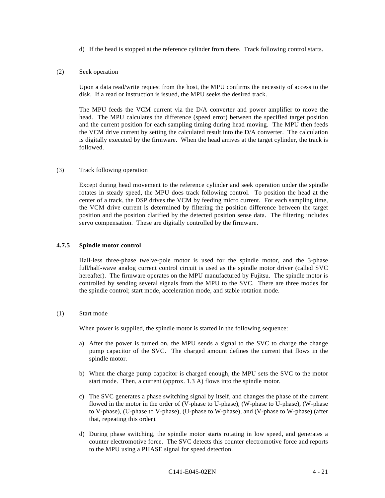d) If the head is stopped at the reference cylinder from there. Track following control starts.

#### (2) Seek operation

Upon a data read/write request from the host, the MPU confirms the necessity of access to the disk. If a read or instruction is issued, the MPU seeks the desired track.

The MPU feeds the VCM current via the D/A converter and power amplifier to move the head. The MPU calculates the difference (speed error) between the specified target position and the current position for each sampling timing during head moving. The MPU then feeds the VCM drive current by setting the calculated result into the D/A converter. The calculation is digitally executed by the firmware. When the head arrives at the target cylinder, the track is followed.

#### (3) Track following operation

Except during head movement to the reference cylinder and seek operation under the spindle rotates in steady speed, the MPU does track following control. To position the head at the center of a track, the DSP drives the VCM by feeding micro current. For each sampling time, the VCM drive current is determined by filtering the position difference between the target position and the position clarified by the detected position sense data. The filtering includes servo compensation. These are digitally controlled by the firmware.

#### **4.7.5 Spindle motor control**

Hall-less three-phase twelve-pole motor is used for the spindle motor, and the 3-phase full/half-wave analog current control circuit is used as the spindle motor driver (called SVC hereafter). The firmware operates on the MPU manufactured by Fujitsu. The spindle motor is controlled by sending several signals from the MPU to the SVC. There are three modes for the spindle control; start mode, acceleration mode, and stable rotation mode.

#### (1) Start mode

When power is supplied, the spindle motor is started in the following sequence:

- a) After the power is turned on, the MPU sends a signal to the SVC to charge the change pump capacitor of the SVC. The charged amount defines the current that flows in the spindle motor.
- b) When the charge pump capacitor is charged enough, the MPU sets the SVC to the motor start mode. Then, a current (approx. 1.3 A) flows into the spindle motor.
- c) The SVC generates a phase switching signal by itself, and changes the phase of the current flowed in the motor in the order of (V-phase to U-phase), (W-phase to U-phase), (W-phase to V-phase), (U-phase to V-phase), (U-phase to W-phase), and (V-phase to W-phase) (after that, repeating this order).
- d) During phase switching, the spindle motor starts rotating in low speed, and generates a counter electromotive force. The SVC detects this counter electromotive force and reports to the MPU using a PHASE signal for speed detection.

#### C141-E045-02EN 4 - 21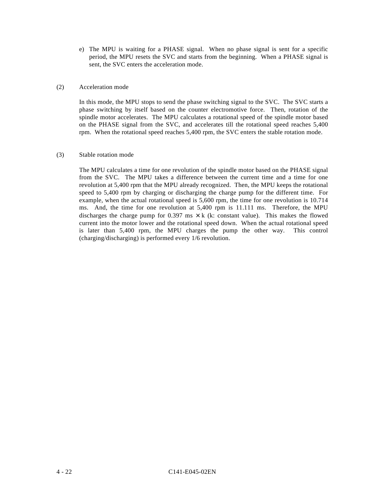e) The MPU is waiting for a PHASE signal. When no phase signal is sent for a specific period, the MPU resets the SVC and starts from the beginning. When a PHASE signal is sent, the SVC enters the acceleration mode.

# (2) Acceleration mode

In this mode, the MPU stops to send the phase switching signal to the SVC. The SVC starts a phase switching by itself based on the counter electromotive force. Then, rotation of the spindle motor accelerates. The MPU calculates a rotational speed of the spindle motor based on the PHASE signal from the SVC, and accelerates till the rotational speed reaches 5,400 rpm. When the rotational speed reaches 5,400 rpm, the SVC enters the stable rotation mode.

#### (3) Stable rotation mode

The MPU calculates a time for one revolution of the spindle motor based on the PHASE signal from the SVC. The MPU takes a difference between the current time and a time for one revolution at 5,400 rpm that the MPU already recognized. Then, the MPU keeps the rotational speed to 5,400 rpm by charging or discharging the charge pump for the different time. For example, when the actual rotational speed is 5,600 rpm, the time for one revolution is 10.714 ms. And, the time for one revolution at 5,400 rpm is 11.111 ms. Therefore, the MPU discharges the charge pump for 0.397 ms  $\times$  k (k: constant value). This makes the flowed current into the motor lower and the rotational speed down. When the actual rotational speed is later than 5,400 rpm, the MPU charges the pump the other way. This control (charging/discharging) is performed every 1/6 revolution.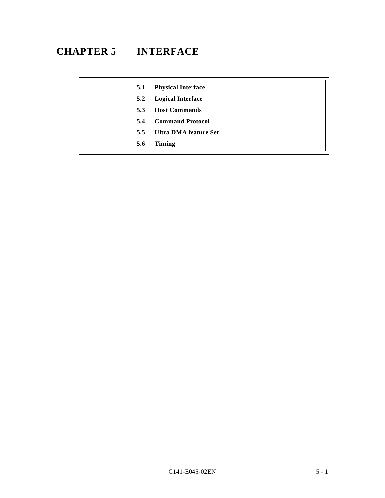# **CHAPTER 5 INTERFACE**

| 5.1 | <b>Physical Interface</b> |
|-----|---------------------------|
| 5.2 | <b>Logical Interface</b>  |
| 5.3 | <b>Host Commands</b>      |
| 5.4 | <b>Command Protocol</b>   |
| 5.5 | Ultra DMA feature Set     |
| 5.6 | Timing                    |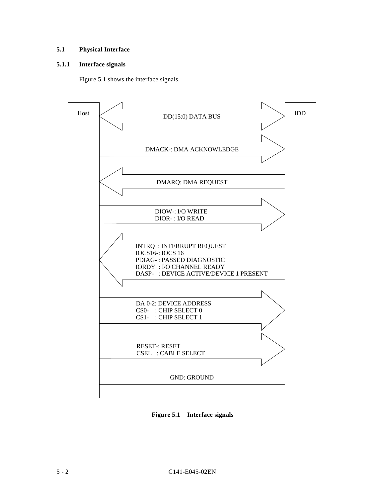# **5.1 Physical Interface**

# **5.1.1 Interface signals**

Figure 5.1 shows the interface signals.



**Figure 5.1 Interface signals**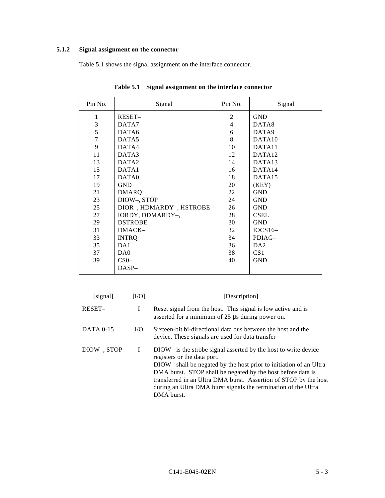# **5.1.2 Signal assignment on the connector**

Table 5.1 shows the signal assignment on the interface connector.

| Pin No. | Signal                   | Pin No. | Signal             |
|---------|--------------------------|---------|--------------------|
| 1       | RESET-                   | 2       | <b>GND</b>         |
| 3       | DATA7                    | 4       | DATA8              |
| 5       | DATA6                    | 6       | DATA9              |
| $\tau$  | DATA5                    | 8       | DATA <sub>10</sub> |
| 9       | DATA4                    | 10      | DATA <sub>11</sub> |
| 11      | DATA3                    | 12      | DATA <sub>12</sub> |
| 13      | DATA <sub>2</sub>        | 14      | DATA <sub>13</sub> |
| 15      | DATA1                    | 16      | DATA <sub>14</sub> |
| 17      | DATA0                    | 18      | DATA <sub>15</sub> |
| 19      | <b>GND</b>               | 20      | (KEY)              |
| 21      | <b>DMARQ</b>             | 22      | <b>GND</b>         |
| 23      | DIOW-, STOP              | 24      | <b>GND</b>         |
| 25      | DIOR-, HDMARDY-, HSTROBE | 26      | <b>GND</b>         |
| 27      | IORDY, DDMARDY-,         | 28      | <b>CSEL</b>        |
| 29      | <b>DSTROBE</b>           | 30      | <b>GND</b>         |
| 31      | DMACK-                   | 32      | $IOCS16-$          |
| 33      | <b>INTRQ</b>             | 34      | PDIAG-             |
| 35      | DA1                      | 36      | DA2                |
| 37      | DA0                      | 38      | $CS1-$             |
| 39      | CS <sub>0</sub>          | 40      | <b>GND</b>         |
|         | $DASP-$                  |         |                    |

**Table 5.1 Signal assignment on the interface connector**

| [signal]         | [L/O] | [Description]                                                                                                                                                                                                                                                                                                                                                                          |  |  |  |  |
|------------------|-------|----------------------------------------------------------------------------------------------------------------------------------------------------------------------------------------------------------------------------------------------------------------------------------------------------------------------------------------------------------------------------------------|--|--|--|--|
| RESET-           | I     | Reset signal from the host. This signal is low active and is<br>asserted for a minimum of $25 \mu s$ during power on.                                                                                                                                                                                                                                                                  |  |  |  |  |
| <b>DATA 0-15</b> | I/O   | Sixteen-bit bi-directional data bus between the host and the<br>device. These signals are used for data transfer                                                                                                                                                                                                                                                                       |  |  |  |  |
| DIOW-, STOP<br>I |       | DIOW– is the strobe signal asserted by the host to write device<br>registers or the data port.<br>DIOW-shall be negated by the host prior to initiation of an Ultra<br>DMA burst. STOP shall be negated by the host before data is<br>transferred in an Ultra DMA burst. Assertion of STOP by the host<br>during an Ultra DMA burst signals the termination of the Ultra<br>DMA burst. |  |  |  |  |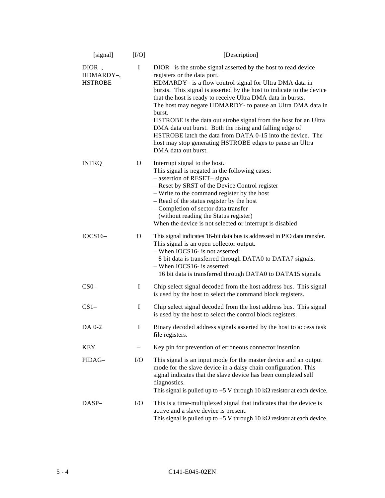| [signal]                                | [IO]      | [Description]                                                                                                                                                                                                                                                                                                                                                                                                                                                                                                                                                                                                                                            |  |  |
|-----------------------------------------|-----------|----------------------------------------------------------------------------------------------------------------------------------------------------------------------------------------------------------------------------------------------------------------------------------------------------------------------------------------------------------------------------------------------------------------------------------------------------------------------------------------------------------------------------------------------------------------------------------------------------------------------------------------------------------|--|--|
| $DIOR-,$<br>HDMARDY-,<br><b>HSTROBE</b> | I         | DIOR- is the strobe signal asserted by the host to read device<br>registers or the data port.<br>HDMARDY- is a flow control signal for Ultra DMA data in<br>bursts. This signal is asserted by the host to indicate to the device<br>that the host is ready to receive Ultra DMA data in bursts.<br>The host may negate HDMARDY- to pause an Ultra DMA data in<br>burst.<br>HSTROBE is the data out strobe signal from the host for an Ultra<br>DMA data out burst. Both the rising and falling edge of<br>HSTROBE latch the data from DATA 0-15 into the device. The<br>host may stop generating HSTROBE edges to pause an Ultra<br>DMA data out burst. |  |  |
| <b>INTRQ</b>                            | O         | Interrupt signal to the host.<br>This signal is negated in the following cases:<br>- assertion of RESET-signal<br>- Reset by SRST of the Device Control register<br>- Write to the command register by the host<br>- Read of the status register by the host<br>- Completion of sector data transfer<br>(without reading the Status register)<br>When the device is not selected or interrupt is disabled                                                                                                                                                                                                                                                |  |  |
| $IOCS16-$                               | O         | This signal indicates 16-bit data bus is addressed in PIO data transfer.<br>This signal is an open collector output.<br>- When IOCS16- is not asserted:<br>8 bit data is transferred through DATA0 to DATA7 signals.<br>- When IOCS16- is asserted:<br>16 bit data is transferred through DATA0 to DATA15 signals.                                                                                                                                                                                                                                                                                                                                       |  |  |
| CS <sub>0</sub>                         | I         | Chip select signal decoded from the host address bus. This signal<br>is used by the host to select the command block registers.                                                                                                                                                                                                                                                                                                                                                                                                                                                                                                                          |  |  |
| $CS1-$                                  | I         | Chip select signal decoded from the host address bus. This signal<br>is used by the host to select the control block registers.                                                                                                                                                                                                                                                                                                                                                                                                                                                                                                                          |  |  |
| DA 0-2                                  | I         | Binary decoded address signals asserted by the host to access task<br>file registers.                                                                                                                                                                                                                                                                                                                                                                                                                                                                                                                                                                    |  |  |
| KEY                                     |           | Key pin for prevention of erroneous connector insertion                                                                                                                                                                                                                                                                                                                                                                                                                                                                                                                                                                                                  |  |  |
| PIDAG-                                  | $\rm LO$  | This signal is an input mode for the master device and an output<br>mode for the slave device in a daisy chain configuration. This<br>signal indicates that the slave device has been completed self<br>diagnostics.<br>This signal is pulled up to +5 V through 10 k $\Omega$ resistor at each device.                                                                                                                                                                                                                                                                                                                                                  |  |  |
| DASP-                                   | $\rm I/O$ | This is a time-multiplexed signal that indicates that the device is<br>active and a slave device is present.<br>This signal is pulled up to $+5$ V through 10 k $\Omega$ resistor at each device.                                                                                                                                                                                                                                                                                                                                                                                                                                                        |  |  |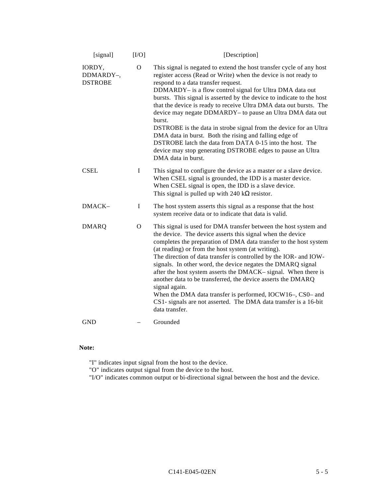| [signal]                              | [IO]         | [Description]                                                                                                                                                                                                                                                                                                                                                                                                                                                                                                                                                                                                                                                                                                                                   |  |  |  |
|---------------------------------------|--------------|-------------------------------------------------------------------------------------------------------------------------------------------------------------------------------------------------------------------------------------------------------------------------------------------------------------------------------------------------------------------------------------------------------------------------------------------------------------------------------------------------------------------------------------------------------------------------------------------------------------------------------------------------------------------------------------------------------------------------------------------------|--|--|--|
| IORDY,<br>DDMARDY-,<br><b>DSTROBE</b> | $\mathbf{O}$ | This signal is negated to extend the host transfer cycle of any host<br>register access (Read or Write) when the device is not ready to<br>respond to a data transfer request.<br>DDMARDY- is a flow control signal for Ultra DMA data out<br>bursts. This signal is asserted by the device to indicate to the host<br>that the device is ready to receive Ultra DMA data out bursts. The<br>device may negate DDMARDY- to pause an Ultra DMA data out<br>burst.<br>DSTROBE is the data in strobe signal from the device for an Ultra<br>DMA data in burst. Both the rising and falling edge of<br>DSTROBE latch the data from DATA 0-15 into the host. The<br>device may stop generating DSTROBE edges to pause an Ultra<br>DMA data in burst. |  |  |  |
| <b>CSEL</b>                           | $\mathbf I$  | This signal to configure the device as a master or a slave device.<br>When CSEL signal is grounded, the IDD is a master device.<br>When CSEL signal is open, the IDD is a slave device.<br>This signal is pulled up with 240 k $\Omega$ resistor.                                                                                                                                                                                                                                                                                                                                                                                                                                                                                               |  |  |  |
| DMACK-                                | I            | The host system asserts this signal as a response that the host<br>system receive data or to indicate that data is valid.                                                                                                                                                                                                                                                                                                                                                                                                                                                                                                                                                                                                                       |  |  |  |
| <b>DMARQ</b>                          | $\Omega$     | This signal is used for DMA transfer between the host system and<br>the device. The device asserts this signal when the device<br>completes the preparation of DMA data transfer to the host system<br>(at reading) or from the host system (at writing).<br>The direction of data transfer is controlled by the IOR- and IOW-<br>signals. In other word, the device negates the DMARQ signal<br>after the host system asserts the DMACK-signal. When there is<br>another data to be transferred, the device asserts the DMARQ<br>signal again.<br>When the DMA data transfer is performed, IOCW16-, CS0- and<br>CS1- signals are not asserted. The DMA data transfer is a 16-bit<br>data transfer.                                             |  |  |  |
| <b>GND</b>                            |              | Grounded                                                                                                                                                                                                                                                                                                                                                                                                                                                                                                                                                                                                                                                                                                                                        |  |  |  |
|                                       |              |                                                                                                                                                                                                                                                                                                                                                                                                                                                                                                                                                                                                                                                                                                                                                 |  |  |  |

# **Note:**

"I" indicates input signal from the host to the device.

"O" indicates output signal from the device to the host.

"I/O" indicates common output or bi-directional signal between the host and the device.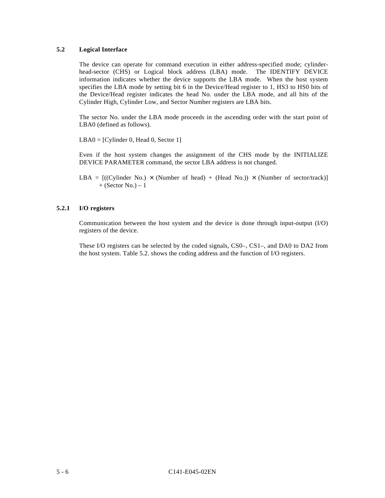# **5.2 Logical Interface**

The device can operate for command execution in either address-specified mode; cylinderhead-sector (CHS) or Logical block address (LBA) mode. The IDENTIFY DEVICE information indicates whether the device supports the LBA mode. When the host system specifies the LBA mode by setting bit 6 in the Device/Head register to 1, HS3 to HS0 bits of the Device/Head register indicates the head No. under the LBA mode, and all bits of the Cylinder High, Cylinder Low, and Sector Number registers are LBA bits.

The sector No. under the LBA mode proceeds in the ascending order with the start point of LBA0 (defined as follows).

 $LBA0 = [Cylinder 0, Head 0, Sector 1]$ 

Even if the host system changes the assignment of the CHS mode by the INITIALIZE DEVICE PARAMETER command, the sector LBA address is not changed.

LBA =  $[(Cylinder No.) \times (Number of head) + (Head No.)) \times (Number of sector/track)]$  $+$  (Sector No.) – 1

# **5.2.1 I/O registers**

Communication between the host system and the device is done through input-output (I/O) registers of the device.

These I/O registers can be selected by the coded signals, CS0–, CS1–, and DA0 to DA2 from the host system. Table 5.2. shows the coding address and the function of I/O registers.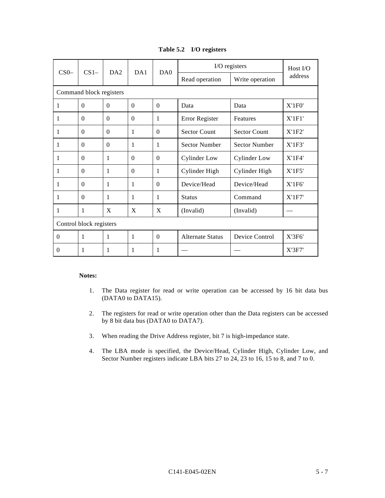| Table 5.2 I/O registers |  |  |
|-------------------------|--|--|
|-------------------------|--|--|

| $CS0-$                  | $CS1-$                  | DA2          | DA1          | DA0          | I/O registers           |                      | Host $I/O$    |  |  |
|-------------------------|-------------------------|--------------|--------------|--------------|-------------------------|----------------------|---------------|--|--|
|                         |                         |              |              |              | Read operation          | Write operation      | address       |  |  |
|                         | Command block registers |              |              |              |                         |                      |               |  |  |
| 1                       | $\Omega$                | $\Omega$     | $\theta$     | $\Omega$     | Data                    | Data                 | X'1F0'        |  |  |
| 1                       | $\Omega$                | $\Omega$     | $\Omega$     | 1            | Error Register          | Features             | X'1F1'        |  |  |
| 1                       | $\Omega$                | $\Omega$     | 1            | $\Omega$     | <b>Sector Count</b>     | <b>Sector Count</b>  | X'1F2'        |  |  |
| 1                       | $\Omega$                | $\Omega$     | 1            | $\mathbf{1}$ | <b>Sector Number</b>    | <b>Sector Number</b> | X'1F3'        |  |  |
| 1                       | $\Omega$                | 1            | $\Omega$     | $\Omega$     | <b>Cylinder Low</b>     | <b>Cylinder Low</b>  | X'1F4'        |  |  |
| 1                       | $\Omega$                | 1            | $\Omega$     | 1            | Cylinder High           | Cylinder High        | X'1F5'        |  |  |
| 1                       | $\Omega$                | 1            | 1            | $\Omega$     | Device/Head             | Device/Head          | $X'$ 1 $F$ 6' |  |  |
| 1                       | $\Omega$                | $\mathbf{1}$ | $\mathbf{1}$ | 1            | <b>Status</b>           | Command              | X'1F7'        |  |  |
| 1                       | 1                       | X            | X            | X            | (Invalid)               | (Invalid)            |               |  |  |
| Control block registers |                         |              |              |              |                         |                      |               |  |  |
| $\Omega$                | 1                       | $\mathbf{1}$ | 1            | $\Omega$     | <b>Alternate Status</b> | Device Control       | X'3F6'        |  |  |
| $\Omega$                | 1                       | 1            | 1            | 1            |                         |                      | X'3F7'        |  |  |

#### **Notes:**

- 1. The Data register for read or write operation can be accessed by 16 bit data bus (DATA0 to DATA15).
- 2. The registers for read or write operation other than the Data registers can be accessed by 8 bit data bus (DATA0 to DATA7).
- 3. When reading the Drive Address register, bit 7 is high-impedance state.
- 4. The LBA mode is specified, the Device/Head, Cylinder High, Cylinder Low, and Sector Number registers indicate LBA bits 27 to 24, 23 to 16, 15 to 8, and 7 to 0.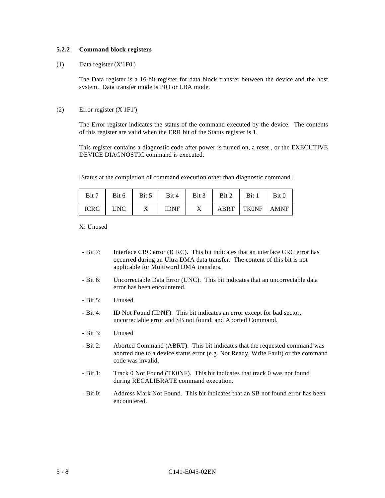# **5.2.2 Command block registers**

#### (1) Data register (X'1F0')

The Data register is a 16-bit register for data block transfer between the device and the host system. Data transfer mode is PIO or LBA mode.

### (2) Error register (X'1F1')

The Error register indicates the status of the command executed by the device. The contents of this register are valid when the ERR bit of the Status register is 1.

This register contains a diagnostic code after power is turned on, a reset , or the EXECUTIVE DEVICE DIAGNOSTIC command is executed.

[Status at the completion of command execution other than diagnostic command]

| Bit 7    |   | Bit 6   Bit 5   Bit 4   Bit 3 |              | $Bit 2$ Bit 1       | Bit 0 |
|----------|---|-------------------------------|--------------|---------------------|-------|
| ICRC UNC | X | <b>IDNF</b>                   | $\mathbf{X}$ | ABRT   TKONF   AMNF |       |

X: Unused

- Bit 7: Interface CRC error (ICRC). This bit indicates that an interface CRC error has occurred during an Ultra DMA data transfer. The content of this bit is not applicable for Multiword DMA transfers.
- Bit 6: Uncorrectable Data Error (UNC). This bit indicates that an uncorrectable data error has been encountered.
- Bit 5: Unused
- Bit 4: ID Not Found (IDNF). This bit indicates an error except for bad sector, uncorrectable error and SB not found, and Aborted Command.
- Bit 3: Unused
- Bit 2: Aborted Command (ABRT). This bit indicates that the requested command was aborted due to a device status error (e.g. Not Ready, Write Fault) or the command code was invalid.
- Bit 1: Track 0 Not Found (TK0NF). This bit indicates that track 0 was not found during RECALIBRATE command execution.
- Bit 0: Address Mark Not Found. This bit indicates that an SB not found error has been encountered.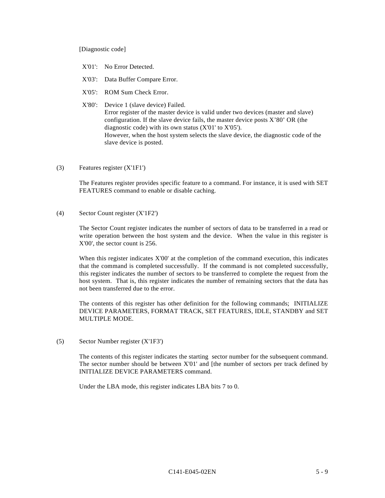#### [Diagnostic code]

- X'01': No Error Detected.
- X'03': Data Buffer Compare Error.
- X'05': ROM Sum Check Error.

# X'80': Device 1 (slave device) Failed. Error register of the master device is valid under two devices (master and slave) configuration. If the slave device fails, the master device posts X'80' OR (the diagnostic code) with its own status (X'01' to X'05'). However, when the host system selects the slave device, the diagnostic code of the slave device is posted.

(3) Features register (X'1F1')

The Features register provides specific feature to a command. For instance, it is used with SET FEATURES command to enable or disable caching.

(4) Sector Count register (X'1F2')

The Sector Count register indicates the number of sectors of data to be transferred in a read or write operation between the host system and the device. When the value in this register is X'00', the sector count is 256.

When this register indicates X'00' at the completion of the command execution, this indicates that the command is completed successfully. If the command is not completed successfully, this register indicates the number of sectors to be transferred to complete the request from the host system. That is, this register indicates the number of remaining sectors that the data has not been transferred due to the error.

The contents of this register has other definition for the following commands; INITIALIZE DEVICE PARAMETERS, FORMAT TRACK, SET FEATURES, IDLE, STANDBY and SET MULTIPLE MODE.

(5) Sector Number register (X'1F3')

The contents of this register indicates the starting sector number for the subsequent command. The sector number should be between X'01' and [the number of sectors per track defined by INITIALIZE DEVICE PARAMETERS command.

Under the LBA mode, this register indicates LBA bits 7 to 0.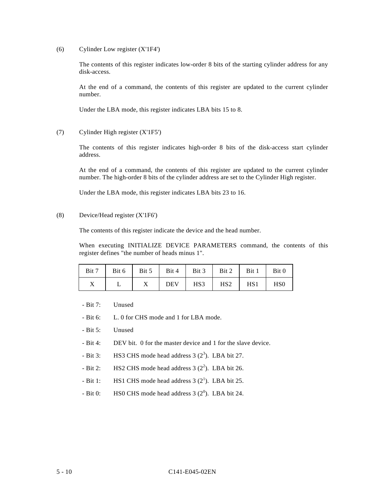(6) Cylinder Low register (X'1F4')

The contents of this register indicates low-order 8 bits of the starting cylinder address for any disk-access.

At the end of a command, the contents of this register are updated to the current cylinder number.

Under the LBA mode, this register indicates LBA bits 15 to 8.

(7) Cylinder High register (X'1F5')

The contents of this register indicates high-order 8 bits of the disk-access start cylinder address.

At the end of a command, the contents of this register are updated to the current cylinder number. The high-order 8 bits of the cylinder address are set to the Cylinder High register.

Under the LBA mode, this register indicates LBA bits 23 to 16.

# (8) Device/Head register (X'1F6')

The contents of this register indicate the device and the head number.

When executing INITIALIZE DEVICE PARAMETERS command, the contents of this register defines "the number of heads minus 1".

|  |  | Bit 7   Bit 6   Bit 5   Bit 4   Bit 3   Bit 2   Bit 1 | Bit 0                       |
|--|--|-------------------------------------------------------|-----------------------------|
|  |  | $DEFV$ HS3 HS2 HS1                                    | H <sub>S</sub> <sup>0</sup> |

- Bit 7: Unused
- Bit 6: L. 0 for CHS mode and 1 for LBA mode.
- Bit 5: Unused
- Bit 4: DEV bit. 0 for the master device and 1 for the slave device.
- Bit 3: HS3 CHS mode head address  $3(2^3)$ . LBA bit 27.
- Bit 2: HS2 CHS mode head address  $3(2^2)$ . LBA bit 26.
- Bit 1: HS1 CHS mode head address  $3(2^1)$ . LBA bit 25.
- Bit 0: HS0 CHS mode head address  $3(2^0)$ . LBA bit 24.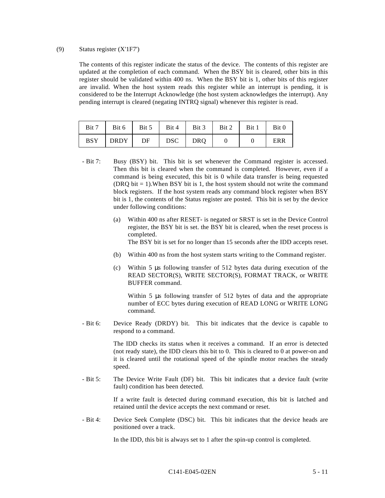### (9) Status register (X'1F7')

The contents of this register indicate the status of the device. The contents of this register are updated at the completion of each command. When the BSY bit is cleared, other bits in this register should be validated within 400 ns. When the BSY bit is 1, other bits of this register are invalid. When the host system reads this register while an interrupt is pending, it is considered to be the Interrupt Acknowledge (the host system acknowledges the interrupt). Any pending interrupt is cleared (negating INTRQ signal) whenever this register is read.

| Bit 7      |      |    |         | Bit 6   Bit 5   Bit 4   Bit 3   Bit 2   Bit 1   Bit 0 |     |
|------------|------|----|---------|-------------------------------------------------------|-----|
| <b>BSY</b> | DRDY | DF | DSC DRQ |                                                       | ERR |

- Bit 7: Busy (BSY) bit. This bit is set whenever the Command register is accessed. Then this bit is cleared when the command is completed. However, even if a command is being executed, this bit is 0 while data transfer is being requested (DRQ bit  $= 1$ ). When BSY bit is 1, the host system should not write the command block registers. If the host system reads any command block register when BSY bit is 1, the contents of the Status register are posted. This bit is set by the device under following conditions:
	- (a) Within 400 ns after RESET- is negated or SRST is set in the Device Control register, the BSY bit is set. the BSY bit is cleared, when the reset process is completed.

The BSY bit is set for no longer than 15 seconds after the IDD accepts reset.

- (b) Within 400 ns from the host system starts writing to the Command register.
- (c) Within 5 μs following transfer of 512 bytes data during execution of the READ SECTOR(S), WRITE SECTOR(S), FORMAT TRACK, or WRITE BUFFER command.

Within 5 μs following transfer of 512 bytes of data and the appropriate number of ECC bytes during execution of READ LONG or WRITE LONG command.

- Bit 6: Device Ready (DRDY) bit. This bit indicates that the device is capable to respond to a command.

> The IDD checks its status when it receives a command. If an error is detected (not ready state), the IDD clears this bit to 0. This is cleared to 0 at power-on and it is cleared until the rotational speed of the spindle motor reaches the steady speed.

- Bit 5: The Device Write Fault (DF) bit. This bit indicates that a device fault (write fault) condition has been detected.

> If a write fault is detected during command execution, this bit is latched and retained until the device accepts the next command or reset.

- Bit 4: Device Seek Complete (DSC) bit. This bit indicates that the device heads are positioned over a track.

In the IDD, this bit is always set to 1 after the spin-up control is completed.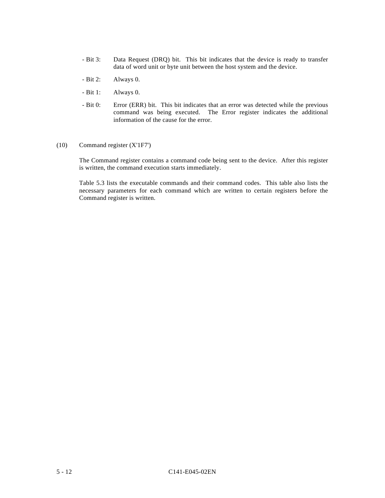- Bit 3: Data Request (DRQ) bit. This bit indicates that the device is ready to transfer data of word unit or byte unit between the host system and the device.
- Bit 2: Always 0.
- Bit 1: Always 0.
- Bit 0: Error (ERR) bit. This bit indicates that an error was detected while the previous command was being executed. The Error register indicates the additional information of the cause for the error.
- (10) Command register (X'1F7')

The Command register contains a command code being sent to the device. After this register is written, the command execution starts immediately.

Table 5.3 lists the executable commands and their command codes. This table also lists the necessary parameters for each command which are written to certain registers before the Command register is written.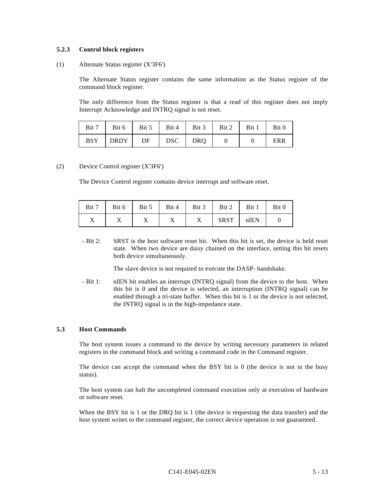#### **5.2.3 Control block registers**

### (1) Alternate Status register (X'3F6')

The Alternate Status register contains the same information as the Status register of the command block register.

The only difference from the Status register is that a read of this register does not imply Interrupt Acknowledge and INTRQ signal is not reset.

| Bit 7 |                       |  | Bit 6   Bit 5   Bit 4   Bit 3   Bit 2   Bit 1   Bit 0 |     |
|-------|-----------------------|--|-------------------------------------------------------|-----|
|       | $BSY$ DRDY DF DSC DRQ |  |                                                       | ERR |

### (2) Device Control register (X'3F6')

The Device Control register contains device interrupt and software reset.

| Bit 7 |  |   | Bit 6   Bit 5   Bit 4   Bit 3   Bit 2   Bit 1   Bit 0 |  |
|-------|--|---|-------------------------------------------------------|--|
|       |  | X | SRST   nIEN                                           |  |

- Bit 2: SRST is the host software reset bit. When this bit is set, the device is held reset state. When two device are daisy chained on the interface, setting this bit resets both device simultaneously.

The slave device is not required to execute the DASP- handshake.

- Bit 1: nIEN bit enables an interrupt (INTRQ signal) from the device to the host. When this bit is 0 and the device is selected, an interruption (INTRQ signal) can be enabled through a tri-state buffer. When this bit is 1 or the device is not selected, the INTRQ signal is in the high-impedance state.

#### **5.3 Host Commands**

The host system issues a command to the device by writing necessary parameters in related registers in the command block and writing a command code in the Command register.

The device can accept the command when the BSY bit is 0 (the device is not in the busy status).

The host system can halt the uncompleted command execution only at execution of hardware or software reset.

When the BSY bit is 1 or the DRQ bit is 1 (the device is requesting the data transfer) and the host system writes to the command register, the correct device operation is not guaranteed.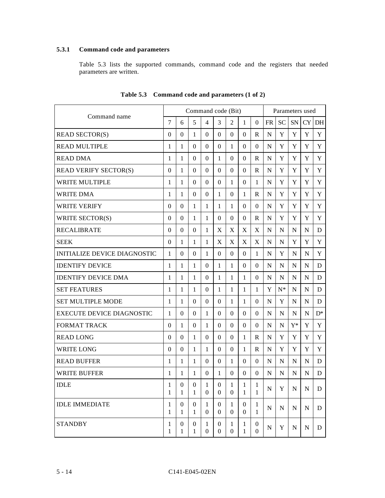# **5.3.1 Command code and parameters**

Table 5.3 lists the supported commands, command code and the registers that needed parameters are written.

| Command name                        |                   |                   | Command code (Bit)    |                       |                                  |                   |                                  |                                  |             | Parameters used |             |             |                |
|-------------------------------------|-------------------|-------------------|-----------------------|-----------------------|----------------------------------|-------------------|----------------------------------|----------------------------------|-------------|-----------------|-------------|-------------|----------------|
|                                     |                   | 6                 | 5                     | $\overline{4}$        | 3                                | 2                 | 1                                | $\Omega$                         | <b>FR</b>   | <b>SC</b>       | SN          | <b>CY</b>   | DH             |
| <b>READ SECTOR(S)</b>               | $\overline{0}$    | $\Omega$          | 1                     | $\Omega$              | $\Omega$                         | $\Omega$          | $\Omega$                         | R                                | N           | Y               | Y           | Y           | Y              |
| <b>READ MULTIPLE</b>                | 1                 | 1                 | $\Omega$              | $\Omega$              | $\Omega$                         | 1                 | $\Omega$                         | $\Omega$                         | N           | Y               | Y           | Y           | Y              |
| <b>READ DMA</b>                     | 1                 | 1                 | $\Omega$              | $\overline{0}$        | 1                                | $\Omega$          | $\Omega$                         | R                                | N           | Y               | Y           | Y           | Y              |
| <b>READ VERIFY SECTOR(S)</b>        | 0                 | 1                 | 0                     | $\theta$              | $\mathbf{0}$                     | $\theta$          | $\overline{0}$                   | R                                | N           | Y               | Y           | Y           | Y              |
| <b>WRITE MULTIPLE</b>               | 1                 | 1                 | 0                     | $\overline{0}$        | $\Omega$                         | 1                 | $\Omega$                         | 1                                | N           | Y               | Y           | Y           | Y              |
| <b>WRITE DMA</b>                    | 1                 | 1                 | $\Omega$              | $\Omega$              | 1                                | $\Omega$          | 1                                | $\mathbf R$                      | N           | Y               | Y           | Y           | Y              |
| <b>WRITE VERIFY</b>                 | $\overline{0}$    | $\Omega$          | 1                     | 1                     | 1                                | 1                 | $\overline{0}$                   | $\overline{0}$                   | N           | Y               | Y           | Y           | Y              |
| WRITE SECTOR(S)                     | $\Omega$          | $\Omega$          | 1                     | 1                     | $\Omega$                         | $\Omega$          | $\Omega$                         | R                                | N           | Y               | Y           | Y           | Y              |
| <b>RECALIBRATE</b>                  | $\theta$          | $\Omega$          | $\Omega$              | 1                     | X                                | X                 | X                                | X                                | N           | N               | N           | N           | D              |
| <b>SEEK</b>                         | $\Omega$          | 1                 | 1                     | 1                     | X                                | X                 | X                                | X                                | N           | N               | Y           | Y           | Y              |
| <b>INITIALIZE DEVICE DIAGNOSTIC</b> | 1                 | $\Omega$          | $\overline{0}$        | 1                     | $\mathbf{0}$                     | $\Omega$          | $\Omega$                         | 1                                | N           | Y               | N           | N           | Y              |
| <b>IDENTIFY DEVICE</b>              | 1                 | 1                 | 1                     | $\overline{0}$        | 1                                | 1                 | $\overline{0}$                   | $\mathbf{0}$                     | N           | N               | N           | N           | D              |
| <b>IDENTIFY DEVICE DMA</b>          | 1                 | 1                 | 1                     | $\Omega$              | 1                                | 1                 | 1                                | $\mathbf{0}$                     | N           | N               | N           | N           | D              |
| <b>SET FEATURES</b>                 | 1                 | 1                 | 1                     | $\overline{0}$        | 1                                | 1                 | 1                                | $\mathbf{1}$                     | Y           | $N^*$           | N           | N           | D              |
| <b>SET MULTIPLE MODE</b>            | 1                 | 1                 | $\Omega$              | $\Omega$              | $\Omega$                         | 1                 | 1                                | $\Omega$                         | N           | Y               | N           | N           | D              |
| <b>EXECUTE DEVICE DIAGNOSTIC</b>    | 1                 | 0                 | 0                     | 1                     | $\Omega$                         | 0                 | $\Omega$                         | $\Omega$                         | N           | N               | N           | N           | $\mathbf{D}^*$ |
| <b>FORMAT TRACK</b>                 | 0                 | 1                 | $\overline{0}$        | 1                     | $\overline{0}$                   | $\Omega$          | $\mathbf{0}$                     | $\Omega$                         | N           | N               | $Y^*$       | Y           | Y              |
| <b>READ LONG</b>                    | $\Omega$          | 0                 | 1                     | $\Omega$              | $\Omega$                         | $\Omega$          | 1                                | R                                | N           | Y               | Y           | Y           | Y              |
| <b>WRITE LONG</b>                   | 0                 | $\Omega$          | 1                     | 1                     | $\Omega$                         | $\Omega$          | $\mathbf{1}$                     | R                                | N           | Y               | Y           | Y           | Y              |
| <b>READ BUFFER</b>                  | 1                 | 1                 | 1                     | $\boldsymbol{0}$      | $\Omega$                         | 1                 | $\Omega$                         | $\mathbf{0}$                     | N           | N               | N           | $\mathbf N$ | D              |
| <b>WRITE BUFFER</b>                 | 1                 | 1                 | 1                     | $\Omega$              | 1                                | $\Omega$          | $\Omega$                         | $\Omega$                         | N           | N               | N           | N           | D              |
| <b>IDLE</b>                         | 1<br>1            | $\Omega$<br>1     | $\boldsymbol{0}$<br>1 | 1<br>$\theta$         | $\Omega$<br>$\mathbf{0}$         | 1<br>0            | 1<br>1                           | 1<br>1                           | $\mathbf N$ | Y               | $\mathbf N$ | ${\bf N}$   | D              |
| <b>IDLE IMMEDIATE</b>               | 1<br>$\mathbf{1}$ | 0<br>$\mathbf{1}$ | 0<br>$\mathbf{1}$     | 1<br>$\overline{0}$   | $\theta$<br>$\mathbf{0}$         | 1<br>0            | $\overline{0}$<br>$\overline{0}$ | 1<br>$\mathbf{1}$                | N           | N               | N           | N           | D              |
| <b>STANDBY</b>                      | 1<br>1            | 0<br>1            | $\boldsymbol{0}$<br>1 | 1<br>$\boldsymbol{0}$ | $\overline{0}$<br>$\overline{0}$ | 1<br>$\mathbf{0}$ | 1<br>1                           | $\boldsymbol{0}$<br>$\mathbf{0}$ | N           | Y               | N           | N           | D              |

**Table 5.3 Command code and parameters (1 of 2)**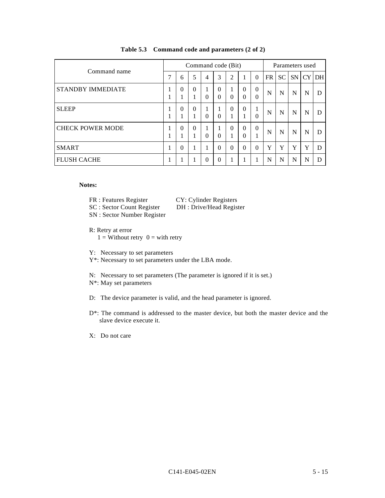| Command name             |         | Command code (Bit) |                               |                |                      |                |                      |                      | Parameters used |           |           |    |     |
|--------------------------|---------|--------------------|-------------------------------|----------------|----------------------|----------------|----------------------|----------------------|-----------------|-----------|-----------|----|-----|
|                          |         | 6                  | 5                             | $\overline{4}$ | 3                    | $\overline{2}$ | 1                    | $\Omega$             | FR              | <b>SC</b> | <b>SN</b> | CY | DH. |
| <b>STANDBY IMMEDIATE</b> | л.<br>- | $\theta$           | $\Omega$<br>$\mathbf{1}$<br>- | 1<br>$\Omega$  | $\Omega$<br>$\Omega$ | $\Omega$       | $\theta$<br>$\theta$ | $\theta$<br>$\Omega$ | N               | N         | N         | N  | D   |
| <b>SLEEP</b>             |         | $\theta$           | $\theta$<br>1                 | 1<br>$\Omega$  | $\Omega$             | $\Omega$       | $\Omega$<br>1        | 1<br>$\Omega$        | N               | N         | N         | N  | D   |
| <b>CHECK POWER MODE</b>  | л.      | $\Omega$           | $\theta$<br>1                 | 1<br>$\Omega$  | 1<br>$\Omega$        | $\Omega$       | $\Omega$<br>$\Omega$ | $\Omega$             | N               | N         | N         | N  | D   |
| <b>SMART</b>             |         | $\Omega$           |                               | 1              | $\Omega$             | $\Omega$       | $\Omega$             | $\Omega$             | Y               | Y         | Y         | Y  | D   |
| <b>FLUSH CACHE</b>       |         |                    |                               | 0              | $\Omega$             |                | 1                    |                      | N               | N         | N         | N  | D   |

## **Table 5.3 Command code and parameters (2 of 2)**

## **Notes:**

- FR : Features Register CY: Cylinder Registers
- SC : Sector Count Register DH : Drive/Head Register
- SN : Sector Number Register
- R: Retry at error  $1 =$  Without retry  $0 =$  with retry
- Y: Necessary to set parameters
- Y\*: Necessary to set parameters under the LBA mode.
- N: Necessary to set parameters (The parameter is ignored if it is set.)
- N\*: May set parameters
- D: The device parameter is valid, and the head parameter is ignored.
- D\*: The command is addressed to the master device, but both the master device and the slave device execute it.
- X: Do not care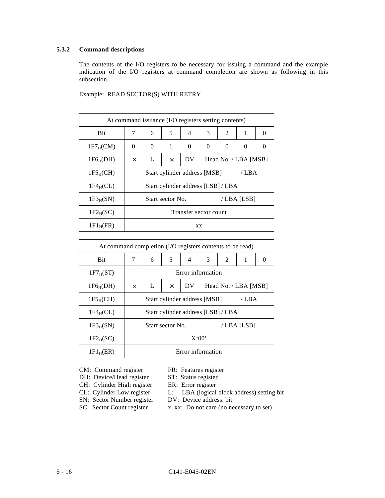# **5.3.2 Command descriptions**

The contents of the I/O registers to be necessary for issuing a command and the example indication of the I/O registers at command completion are shown as following in this subsection.

| At command issuance (I/O registers setting contents) |                       |                                             |                  |          |                                    |   |            |          |  |  |  |
|------------------------------------------------------|-----------------------|---------------------------------------------|------------------|----------|------------------------------------|---|------------|----------|--|--|--|
| <b>Bit</b>                                           | 7                     | 6                                           | 5                | 4        | 3                                  | 2 | 1          | $\theta$ |  |  |  |
| $1F7_HCM$                                            | $\theta$              | $\Omega$                                    | $\mathbf{1}$     | $\Omega$ | $\Omega$                           | 0 | $\Omega$   |          |  |  |  |
| $1F6_H(DH)$                                          | $\times$              | DV<br>L<br>Head No. / LBA [MSB]<br>$\times$ |                  |          |                                    |   |            |          |  |  |  |
| 1F5 <sub>H</sub> (CH)                                |                       | Start cylinder address [MSB]<br>/ LBA       |                  |          |                                    |   |            |          |  |  |  |
| $1F4_HCL$                                            |                       |                                             |                  |          | Start cylinder address [LSB] / LBA |   |            |          |  |  |  |
| $1F3_H(SN)$                                          |                       |                                             | Start sector No. |          |                                    |   | /LBA [LSB] |          |  |  |  |
| $1F2_H(SC)$                                          | Transfer sector count |                                             |                  |          |                                    |   |            |          |  |  |  |
| $1F1_H$ (FR)                                         |                       | XX                                          |                  |          |                                    |   |            |          |  |  |  |

Example: READ SECTOR(S) WITH RETRY

| At command completion (I/O registers contents to be read) |          |                                             |                  |                                    |   |   |            |  |  |  |  |  |
|-----------------------------------------------------------|----------|---------------------------------------------|------------------|------------------------------------|---|---|------------|--|--|--|--|--|
| <b>Bit</b>                                                | 7        | 6                                           | 5                | $\overline{4}$                     | 3 | 2 | 1          |  |  |  |  |  |
| $1F7_H(ST)$                                               |          | Error information                           |                  |                                    |   |   |            |  |  |  |  |  |
| $1F6_H(DH)$                                               | $\times$ | DV<br>L<br>Head No. / LBA [MSB]<br>$\times$ |                  |                                    |   |   |            |  |  |  |  |  |
| 1F5 <sub>H</sub> (CH)                                     |          | Start cylinder address [MSB]<br>/ LBA       |                  |                                    |   |   |            |  |  |  |  |  |
| $1F4_HCL$                                                 |          |                                             |                  | Start cylinder address [LSB] / LBA |   |   |            |  |  |  |  |  |
| $1F3_H(SN)$                                               |          |                                             | Start sector No. |                                    |   |   | /LBA [LSB] |  |  |  |  |  |
| $1F2_H(SC)$                                               |          | X'00'                                       |                  |                                    |   |   |            |  |  |  |  |  |
| 1F1 <sub>H</sub> (ER)                                     |          | Error information                           |                  |                                    |   |   |            |  |  |  |  |  |

CM: Command register FR: Features register<br>DH: Device/Head register ST: Status register DH: Device/Head register ST: Status register<br>CH: Cylinder High register ER: Error register

- 
- CH: Cylinder High register<br>CL: Cylinder Low register
	- L: LBA (logical block address) setting bit<br>DV: Device address. bit
- SN: Sector Number register
	-
- 
- SC: Sector Count register x, xx: Do not care (no necessary to set)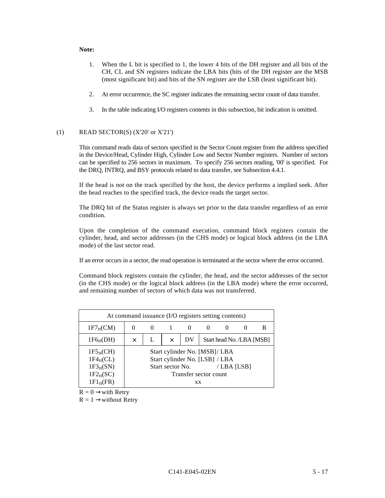### **Note:**

- 1. When the L bit is specified to 1, the lower 4 bits of the DH register and all bits of the CH, CL and SN registers indicate the LBA bits (bits of the DH register are the MSB (most significant bit) and bits of the SN register are the LSB (least significant bit).
- 2. At error occurrence, the SC register indicates the remaining sector count of data transfer.
- 3. In the table indicating I/O registers contents in this subsection, bit indication is omitted.

## (1) READ SECTOR(S) (X'20' or X'21')

This command reads data of sectors specified in the Sector Count register from the address specified in the Device/Head, Cylinder High, Cylinder Low and Sector Number registers. Number of sectors can be specified to 256 sectors in maximum. To specify 256 sectors reading, '00' is specified. For the DRQ, INTRQ, and BSY protocols related to data transfer, see Subsection 4.4.1.

If the head is not on the track specified by the host, the device performs a implied seek. After the head reaches to the specified track, the device reads the target sector.

The DRQ bit of the Status register is always set prior to the data transfer regardless of an error condition.

Upon the completion of the command execution, command block registers contain the cylinder, head, and sector addresses (in the CHS mode) or logical block address (in the LBA mode) of the last sector read.

If an error occurs in a sector, the read operation is terminated at the sector where the error occurred.

Command block registers contain the cylinder, the head, and the sector addresses of the sector (in the CHS mode) or the logical block address (in the LBA mode) where the error occurred, and remaining number of sectors of which data was not transferred.

| At command issuance (I/O registers setting contents)                   |   |                                             |                  |           |                                                                                          |            |  |  |  |  |  |  |
|------------------------------------------------------------------------|---|---------------------------------------------|------------------|-----------|------------------------------------------------------------------------------------------|------------|--|--|--|--|--|--|
| $1F7_HCM$                                                              |   | R<br>$\cup$<br>$\theta$                     |                  |           |                                                                                          |            |  |  |  |  |  |  |
| $1F6_H(DH)$                                                            | × | Start head No. /LBA [MSB]<br>DV<br>$\times$ |                  |           |                                                                                          |            |  |  |  |  |  |  |
| $1F5_H(CH)$<br>$1F4_HCL$<br>$1F3_H(SN)$<br>$1F2_H(SC)$<br>$1F1_H$ (FR) |   |                                             | Start sector No. | <b>XX</b> | Start cylinder No. [MSB]/ LBA<br>Start cylinder No. [LSB] / LBA<br>Transfer sector count | /LBA [LSB] |  |  |  |  |  |  |

 $R = 0 \rightarrow$ with Retry

 $R = 1 \rightarrow$ without Retry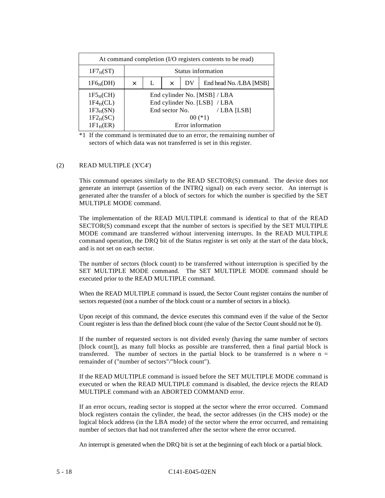| At command completion (I/O registers contents to be read)             |   |                                                |                |  |                                                                                                                |  |  |  |  |  |  |  |
|-----------------------------------------------------------------------|---|------------------------------------------------|----------------|--|----------------------------------------------------------------------------------------------------------------|--|--|--|--|--|--|--|
| $1F7_H(ST)$                                                           |   | Status information                             |                |  |                                                                                                                |  |  |  |  |  |  |  |
| $1F6_H(DH)$                                                           | × | End head No. /LBA [MSB]<br>L<br>DV<br>$\times$ |                |  |                                                                                                                |  |  |  |  |  |  |  |
| $1F5_H(CH)$<br>$1F4_HCL$<br>$1F3_H(SN)$<br>$1F2_H(SC)$<br>$1F1_H(ER)$ |   |                                                | End sector No. |  | End cylinder No. [MSB] / LBA<br>End cylinder No. [LSB] / LBA<br>/LBA [LSB]<br>$00$ $(*1)$<br>Error information |  |  |  |  |  |  |  |

### (2) READ MULTIPLE (X'C4')

This command operates similarly to the READ SECTOR(S) command. The device does not generate an interrupt (assertion of the INTRQ signal) on each every sector. An interrupt is generated after the transfer of a block of sectors for which the number is specified by the SET MULTIPLE MODE command.

The implementation of the READ MULTIPLE command is identical to that of the READ SECTOR(S) command except that the number of sectors is specified by the SET MULTIPLE MODE command are transferred without intervening interrupts. In the READ MULTIPLE command operation, the DRQ bit of the Status register is set only at the start of the data block, and is not set on each sector.

The number of sectors (block count) to be transferred without interruption is specified by the SET MULTIPLE MODE command. The SET MULTIPLE MODE command should be executed prior to the READ MULTIPLE command.

When the READ MULTIPLE command is issued, the Sector Count register contains the number of sectors requested (not a number of the block count or a number of sectors in a block).

Upon receipt of this command, the device executes this command even if the value of the Sector Count register is less than the defined block count (the value of the Sector Count should not be 0).

If the number of requested sectors is not divided evenly (having the same number of sectors [block count]), as many full blocks as possible are transferred, then a final partial block is transferred. The number of sectors in the partial block to be transferred is n where  $n =$ remainder of ("number of sectors"/"block count").

If the READ MULTIPLE command is issued before the SET MULTIPLE MODE command is executed or when the READ MULTIPLE command is disabled, the device rejects the READ MULTIPLE command with an ABORTED COMMAND error.

If an error occurs, reading sector is stopped at the sector where the error occurred. Command block registers contain the cylinder, the head, the sector addresses (in the CHS mode) or the logical block address (in the LBA mode) of the sector where the error occurred, and remaining number of sectors that had not transferred after the sector where the error occurred.

An interrupt is generated when the DRQ bit is set at the beginning of each block or a partial block.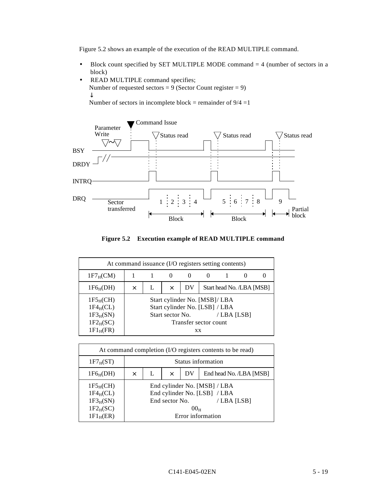Figure 5.2 shows an example of the execution of the READ MULTIPLE command.

- Block count specified by SET MULTIPLE MODE command  $=$  4 (number of sectors in a block)
- READ MULTIPLE command specifies; Number of requested sectors =  $9$  (Sector Count register = 9) ↓ Number of sectors in incomplete block = remainder of  $9/4 = 1$



**Figure 5.2 Execution example of READ MULTIPLE command**

| At command issuance (I/O registers setting contents) |          |                       |                  |          |                                                                 |                           |  |  |  |  |  |  |  |
|------------------------------------------------------|----------|-----------------------|------------------|----------|-----------------------------------------------------------------|---------------------------|--|--|--|--|--|--|--|
| $1F7_HCM$                                            |          |                       |                  | $^{(1)}$ |                                                                 |                           |  |  |  |  |  |  |  |
| $1F6_H(DH)$                                          | $\times$ |                       | X                | DV       |                                                                 | Start head No. /LBA [MSB] |  |  |  |  |  |  |  |
| $1F5_H(CH)$<br>$1F4_HCL$                             |          |                       |                  |          | Start cylinder No. [MSB]/ LBA<br>Start cylinder No. [LSB] / LBA |                           |  |  |  |  |  |  |  |
| $1F3_H(SN)$                                          |          |                       | Start sector No. |          |                                                                 | /LBA [LSB]                |  |  |  |  |  |  |  |
| $1F2_H(SC)$                                          |          | Transfer sector count |                  |          |                                                                 |                           |  |  |  |  |  |  |  |
| $1F1_H$ (FR)                                         |          | <b>XX</b>             |                  |          |                                                                 |                           |  |  |  |  |  |  |  |

| At command completion (I/O registers contents to be read)        |          |                                                |                |                 |                                                                            |  |  |  |  |  |
|------------------------------------------------------------------|----------|------------------------------------------------|----------------|-----------------|----------------------------------------------------------------------------|--|--|--|--|--|
| $1F7_H(ST)$                                                      |          | Status information                             |                |                 |                                                                            |  |  |  |  |  |
| $1F6_H(DH)$                                                      | $\times$ | End head No. /LBA [MSB]<br>DV<br>L<br>$\times$ |                |                 |                                                                            |  |  |  |  |  |
| 1F5 <sub>H</sub> (CH)<br>$1F4_HCL$<br>$1F3_H(SN)$<br>$1F2_H(SC)$ |          |                                                | End sector No. | 00 <sub>H</sub> | End cylinder No. [MSB] / LBA<br>End cylinder No. [LSB] / LBA<br>/LBA [LSB] |  |  |  |  |  |
| $1F1_H(ER)$                                                      |          |                                                |                |                 | Error information                                                          |  |  |  |  |  |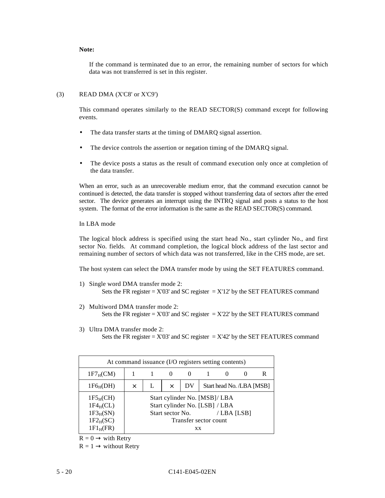### **Note:**

If the command is terminated due to an error, the remaining number of sectors for which data was not transferred is set in this register.

#### (3) READ DMA (X'C8' or X'C9')

This command operates similarly to the READ SECTOR(S) command except for following events.

- The data transfer starts at the timing of DMARO signal assertion.
- The device controls the assertion or negation timing of the DMARQ signal.
- The device posts a status as the result of command execution only once at completion of the data transfer.

When an error, such as an unrecoverable medium error, that the command execution cannot be continued is detected, the data transfer is stopped without transferring data of sectors after the erred sector. The device generates an interrupt using the INTRQ signal and posts a status to the host system. The format of the error information is the same as the READ SECTOR(S) command.

#### In LBA mode

The logical block address is specified using the start head No., start cylinder No., and first sector No. fields. At command completion, the logical block address of the last sector and remaining number of sectors of which data was not transferred, like in the CHS mode, are set.

The host system can select the DMA transfer mode by using the SET FEATURES command.

- 1) Single word DMA transfer mode 2: Sets the FR register =  $X'03'$  and SC register =  $X'12'$  by the SET FEATURES command
- 2) Multiword DMA transfer mode 2: Sets the FR register =  $X'03'$  and SC register =  $X'22'$  by the SET FEATURES command
- 3) Ultra DMA transfer mode 2: Sets the FR register =  $X'03'$  and SC register =  $X'42'$  by the SET FEATURES command

| At command issuance (I/O registers setting contents)                   |          |                                      |                  |                                                                                                       |  |            |  |   |  |  |  |
|------------------------------------------------------------------------|----------|--------------------------------------|------------------|-------------------------------------------------------------------------------------------------------|--|------------|--|---|--|--|--|
| $1F7_HCM$                                                              |          |                                      |                  | $\theta$                                                                                              |  |            |  | R |  |  |  |
| $1F6_H(DH)$                                                            | $\times$ | Start head No. /LBA [MSB]<br>DV<br>X |                  |                                                                                                       |  |            |  |   |  |  |  |
| $1F5_H(CH)$<br>$1F4_HCL$<br>$1F3_H(SN)$<br>$1F2_H(SC)$<br>$1F1_H$ (FR) |          |                                      | Start sector No. | Start cylinder No. [MSB]/ LBA<br>Start cylinder No. [LSB] / LBA<br>Transfer sector count<br><b>XX</b> |  | /LBA [LSB] |  |   |  |  |  |

 $R = 0 \rightarrow$  with Retry

 $R = 1 \rightarrow$  without Retry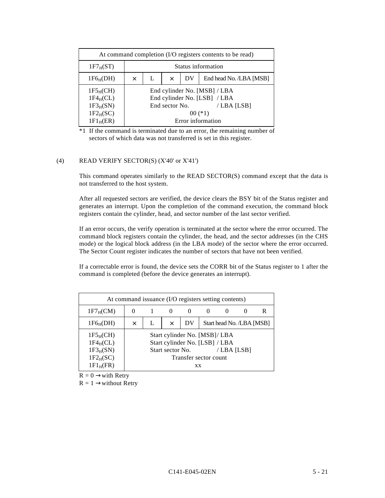| At command completion (I/O registers contents to be read)             |          |                                           |                |  |                                                                                                                |  |  |  |  |  |
|-----------------------------------------------------------------------|----------|-------------------------------------------|----------------|--|----------------------------------------------------------------------------------------------------------------|--|--|--|--|--|
| $1F7_H(ST)$                                                           |          | Status information                        |                |  |                                                                                                                |  |  |  |  |  |
| $1F6_H(DH)$                                                           | $\times$ | End head No. /LBA [MSB]<br>DV<br>$\times$ |                |  |                                                                                                                |  |  |  |  |  |
| $1F5_H(CH)$<br>$1F4_HCL$<br>$1F3_H(SN)$<br>$1F2_H(SC)$<br>$1F1_H(ER)$ |          |                                           | End sector No. |  | End cylinder No. [MSB] / LBA<br>End cylinder No. [LSB] / LBA<br>/LBA [LSB]<br>$00$ $(*1)$<br>Error information |  |  |  |  |  |

### (4) READ VERIFY SECTOR(S) (X'40' or X'41')

This command operates similarly to the READ SECTOR(S) command except that the data is not transferred to the host system.

After all requested sectors are verified, the device clears the BSY bit of the Status register and generates an interrupt. Upon the completion of the command execution, the command block registers contain the cylinder, head, and sector number of the last sector verified.

If an error occurs, the verify operation is terminated at the sector where the error occurred. The command block registers contain the cylinder, the head, and the sector addresses (in the CHS mode) or the logical block address (in the LBA mode) of the sector where the error occurred. The Sector Count register indicates the number of sectors that have not been verified.

If a correctable error is found, the device sets the CORR bit of the Status register to 1 after the command is completed (before the device generates an interrupt).

| At command issuance (I/O registers setting contents)                   |          |                                             |                  |                                                                                                       |  |            |  |  |  |  |  |
|------------------------------------------------------------------------|----------|---------------------------------------------|------------------|-------------------------------------------------------------------------------------------------------|--|------------|--|--|--|--|--|
| $1F7_H(CM)$                                                            |          | R<br>$\theta$                               |                  |                                                                                                       |  |            |  |  |  |  |  |
| $1F6_H(DH)$                                                            | $\times$ | Start head No. /LBA [MSB]<br>DV<br>$\times$ |                  |                                                                                                       |  |            |  |  |  |  |  |
| $1F5_H(CH)$<br>$1F4_HCL$<br>$1F3_H(SN)$<br>$1F2_H(SC)$<br>$1F1_H$ (FR) |          |                                             | Start sector No. | Start cylinder No. [MSB]/ LBA<br>Start cylinder No. [LSB] / LBA<br>Transfer sector count<br><b>XX</b> |  | /LBA [LSB] |  |  |  |  |  |

 $R = 0 \rightarrow$ with Retry

 $R = 1 \rightarrow$ without Retry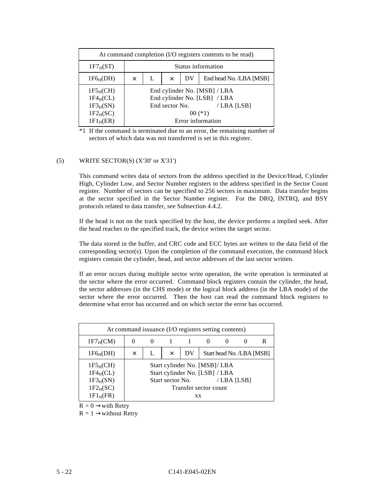| At command completion (I/O registers contents to be read)             |   |                                           |                |  |                                                                                                              |  |  |  |  |  |
|-----------------------------------------------------------------------|---|-------------------------------------------|----------------|--|--------------------------------------------------------------------------------------------------------------|--|--|--|--|--|
| $1F7_H(ST)$                                                           |   | Status information                        |                |  |                                                                                                              |  |  |  |  |  |
| $1F6_H(DH)$                                                           | X | End head No. /LBA [MSB]<br>DV<br>$\times$ |                |  |                                                                                                              |  |  |  |  |  |
| $1F5_H(CH)$<br>$1F4_HCL$<br>$1F3_H(SN)$<br>$1F2_H(SC)$<br>$1F1_H(ER)$ |   |                                           | End sector No. |  | End cylinder No. [MSB] / LBA<br>End cylinder No. [LSB] / LBA<br>/LBA [LSB]<br>$00$ (*1)<br>Error information |  |  |  |  |  |

## (5) WRITE SECTOR(S) (X'30' or X'31')

This command writes data of sectors from the address specified in the Device/Head, Cylinder High, Cylinder Low, and Sector Number registers to the address specified in the Sector Count register. Number of sectors can be specified to 256 sectors in maximum. Data transfer begins at the sector specified in the Sector Number register. For the DRQ, INTRQ, and BSY protocols related to data transfer, see Subsection 4.4.2.

If the head is not on the track specified by the host, the device performs a implied seek. After the head reaches to the specified track, the device writes the target sector.

The data stored in the buffer, and CRC code and ECC bytes are written to the data field of the corresponding sector(s). Upon the completion of the command execution, the command block registers contain the cylinder, head, and sector addresses of the last sector written.

If an error occurs during multiple sector write operation, the write operation is terminated at the sector where the error occurred. Command block registers contain the cylinder, the head, the sector addresses (in the CHS mode) or the logical block address (in the LBA mode) of the sector where the error occurred. Then the host can read the command block registers to determine what error has occurred and on which sector the error has occurred.

| At command issuance (I/O registers setting contents)                   |              |                                                |                  |                                                                                                       |  |            |                           |  |  |  |  |
|------------------------------------------------------------------------|--------------|------------------------------------------------|------------------|-------------------------------------------------------------------------------------------------------|--|------------|---------------------------|--|--|--|--|
| 1F7 <sub>H</sub> (CM)                                                  | $\mathbf{0}$ | R<br>$\theta$<br>$\theta$<br>$\mathbf{\Omega}$ |                  |                                                                                                       |  |            |                           |  |  |  |  |
| $1F6_H(DH)$                                                            | $\times$     |                                                | $\times$         | DV                                                                                                    |  |            | Start head No. /LBA [MSB] |  |  |  |  |
| $1F5_H(CH)$<br>$1F4_HCL$<br>$1F3_H(SN)$<br>$1F2_H(SC)$<br>$1F1_H$ (FR) |              |                                                | Start sector No. | Start cylinder No. [MSB]/ LBA<br>Start cylinder No. [LSB] / LBA<br>Transfer sector count<br><b>XX</b> |  | /LBA [LSB] |                           |  |  |  |  |

 $R = 0 \rightarrow$ with Retry

 $R = 1 \rightarrow$ without Retry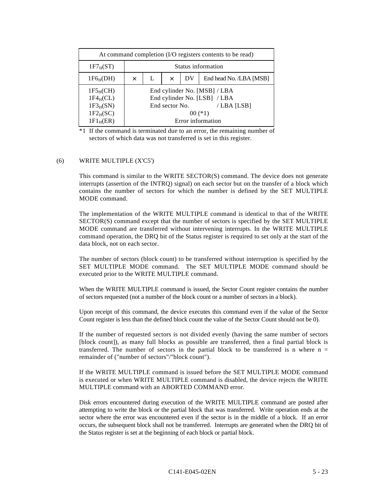| At command completion (I/O registers contents to be read)             |   |                                                |                |  |                                                                                                              |  |  |  |  |  |
|-----------------------------------------------------------------------|---|------------------------------------------------|----------------|--|--------------------------------------------------------------------------------------------------------------|--|--|--|--|--|
| $1F7_H(ST)$                                                           |   | Status information                             |                |  |                                                                                                              |  |  |  |  |  |
| $1F6_H(DH)$                                                           | X | End head No. /LBA [MSB]<br>DV<br>L<br>$\times$ |                |  |                                                                                                              |  |  |  |  |  |
| $1F5_H(CH)$<br>$1F4_HCL$<br>$1F3_H(SN)$<br>$1F2_H(SC)$<br>$1F1_H(ER)$ |   |                                                | End sector No. |  | End cylinder No. [MSB] / LBA<br>End cylinder No. [LSB] / LBA<br>/LBA [LSB]<br>$00$ (*1)<br>Error information |  |  |  |  |  |

#### (6) WRITE MULTIPLE (X'C5')

This command is similar to the WRITE SECTOR(S) command. The device does not generate interrupts (assertion of the INTRQ) signal) on each sector but on the transfer of a block which contains the number of sectors for which the number is defined by the SET MULTIPLE MODE command.

The implementation of the WRITE MULTIPLE command is identical to that of the WRITE SECTOR(S) command except that the number of sectors is specified by the SET MULTIPLE MODE command are transferred without intervening interrupts. In the WRITE MULTIPLE command operation, the DRQ bit of the Status register is required to set only at the start of the data block, not on each sector.

The number of sectors (block count) to be transferred without interruption is specified by the SET MULTIPLE MODE command. The SET MULTIPLE MODE command should be executed prior to the WRITE MULTIPLE command.

When the WRITE MULTIPLE command is issued, the Sector Count register contains the number of sectors requested (not a number of the block count or a number of sectors in a block).

Upon receipt of this command, the device executes this command even if the value of the Sector Count register is less than the defined block count the value of the Sector Count should not be 0).

If the number of requested sectors is not divided evenly (having the same number of sectors [block count]), as many full blocks as possible are transferred, then a final partial block is transferred. The number of sectors in the partial block to be transferred is n where  $n =$ remainder of ("number of sectors"/"block count").

If the WRITE MULTIPLE command is issued before the SET MULTIPLE MODE command is executed or when WRITE MULTIPLE command is disabled, the device rejects the WRITE MULTIPLE command with an ABORTED COMMAND error.

Disk errors encountered during execution of the WRITE MULTIPLE command are posted after attempting to write the block or the partial block that was transferred. Write operation ends at the sector where the error was encountered even if the sector is in the middle of a block. If an error occurs, the subsequent block shall not be transferred. Interrupts are generated when the DRQ bit of the Status register is set at the beginning of each block or partial block.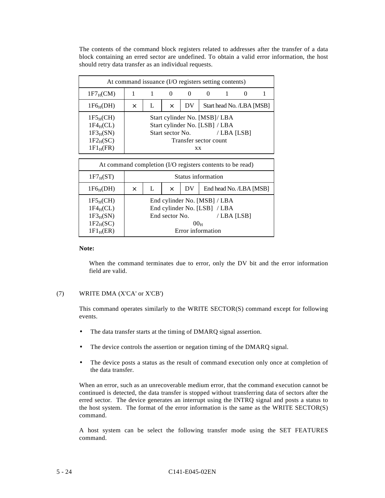The contents of the command block registers related to addresses after the transfer of a data block containing an erred sector are undefined. To obtain a valid error information, the host should retry data transfer as an individual requests.

| At command issuance (I/O registers setting contents)                   |          |                                             |                  |                                                                                                |  |            |  |  |  |  |  |
|------------------------------------------------------------------------|----------|---------------------------------------------|------------------|------------------------------------------------------------------------------------------------|--|------------|--|--|--|--|--|
| $1F7_HCM$                                                              |          |                                             | $\theta$         | $_{0}$                                                                                         |  |            |  |  |  |  |  |
| $1F6_H(DH)$                                                            | $\times$ | Start head No. /LBA [MSB]<br>DV<br>$\times$ |                  |                                                                                                |  |            |  |  |  |  |  |
| $1F5_H(CH)$<br>$1F4_HCL$<br>$1F3_H(SN)$<br>$1F2_H(SC)$<br>$1F1_H$ (FR) |          |                                             | Start sector No. | Start cylinder No. [MSB]/ LBA<br>Start cylinder No. [LSB] / LBA<br>Transfer sector count<br>XX |  | /LBA [LSB] |  |  |  |  |  |

| At command completion (I/O registers contents to be read)                         |          |                                                |                |                 |                                                                                                 |  |  |  |  |  |  |
|-----------------------------------------------------------------------------------|----------|------------------------------------------------|----------------|-----------------|-------------------------------------------------------------------------------------------------|--|--|--|--|--|--|
| $1F7_H(ST)$                                                                       |          | Status information                             |                |                 |                                                                                                 |  |  |  |  |  |  |
| $1F6_H(DH)$                                                                       | $\times$ | End head No. /LBA [MSB]<br>DV<br>L<br>$\times$ |                |                 |                                                                                                 |  |  |  |  |  |  |
| $1F5_H(CH)$<br>$1F4_HCL$ )<br>$1F3_H(SN)$<br>$1F2_H(SC)$<br>1F1 <sub>H</sub> (ER) |          |                                                | End sector No. | 00 <sub>H</sub> | End cylinder No. [MSB] / LBA<br>End cylinder No. [LSB] / LBA<br>/LBA [LSB]<br>Error information |  |  |  |  |  |  |

#### **Note:**

When the command terminates due to error, only the DV bit and the error information field are valid.

### (7) WRITE DMA (X'CA' or X'CB')

This command operates similarly to the WRITE SECTOR(S) command except for following events.

- The data transfer starts at the timing of DMARQ signal assertion.
- The device controls the assertion or negation timing of the DMARQ signal.
- The device posts a status as the result of command execution only once at completion of the data transfer.

When an error, such as an unrecoverable medium error, that the command execution cannot be continued is detected, the data transfer is stopped without transferring data of sectors after the erred sector. The device generates an interrupt using the INTRQ signal and posts a status to the host system. The format of the error information is the same as the WRITE SECTOR(S) command.

A host system can be select the following transfer mode using the SET FEATURES command.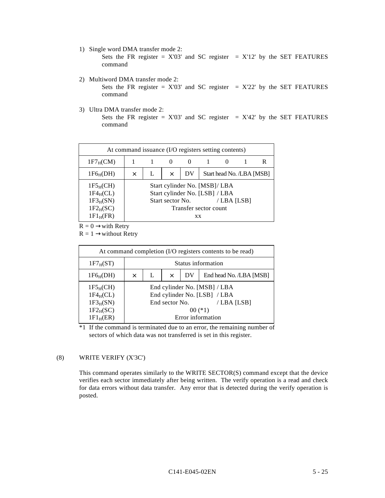1) Single word DMA transfer mode 2:

Sets the FR register =  $X'03'$  and SC register =  $X'12'$  by the SET FEATURES command

2) Multiword DMA transfer mode 2:

Sets the FR register =  $X'03'$  and SC register =  $X'22'$  by the SET FEATURES command

3) Ultra DMA transfer mode 2:

Sets the FR register =  $X'03'$  and SC register =  $X'42'$  by the SET FEATURES command

| At command issuance (I/O registers setting contents)                   |   |                                             |                  |                                                                                                       |  |            |  |  |  |  |  |
|------------------------------------------------------------------------|---|---------------------------------------------|------------------|-------------------------------------------------------------------------------------------------------|--|------------|--|--|--|--|--|
| $1F7_HCM$                                                              |   |                                             |                  | $\theta$                                                                                              |  |            |  |  |  |  |  |
| $1F6_H(DH)$                                                            | × | Start head No. /LBA [MSB]<br>DV<br>$\times$ |                  |                                                                                                       |  |            |  |  |  |  |  |
| $1F5_H(CH)$<br>$1F4_HCL$<br>$1F3_H(SN)$<br>$1F2_H(SC)$<br>$1F1_H$ (FR) |   |                                             | Start sector No. | Start cylinder No. [MSB]/ LBA<br>Start cylinder No. [LSB] / LBA<br>Transfer sector count<br><b>XX</b> |  | /LBA [LSB] |  |  |  |  |  |

 $R = 0 \rightarrow$ with Retry

 $R = 1 \rightarrow$ without Retry

| At command completion (I/O registers contents to be read)             |          |                                                |                |  |                                                                                                              |  |  |  |  |  |
|-----------------------------------------------------------------------|----------|------------------------------------------------|----------------|--|--------------------------------------------------------------------------------------------------------------|--|--|--|--|--|
| $1F7_H(ST)$                                                           |          | Status information                             |                |  |                                                                                                              |  |  |  |  |  |
| $1F6_H(DH)$                                                           | $\times$ | End head No. /LBA [MSB]<br>L<br>DV<br>$\times$ |                |  |                                                                                                              |  |  |  |  |  |
| $1F5_H(CH)$<br>$1F4_HCL$<br>$1F3_H(SN)$<br>$1F2_H(SC)$<br>$1F1_H(ER)$ |          |                                                | End sector No. |  | End cylinder No. [MSB] / LBA<br>End cylinder No. [LSB] / LBA<br>/LBA [LSB]<br>$00$ (*1)<br>Error information |  |  |  |  |  |

\*1 If the command is terminated due to an error, the remaining number of sectors of which data was not transferred is set in this register.

# (8) WRITE VERIFY (X'3C')

This command operates similarly to the WRITE SECTOR(S) command except that the device verifies each sector immediately after being written. The verify operation is a read and check for data errors without data transfer. Any error that is detected during the verify operation is posted.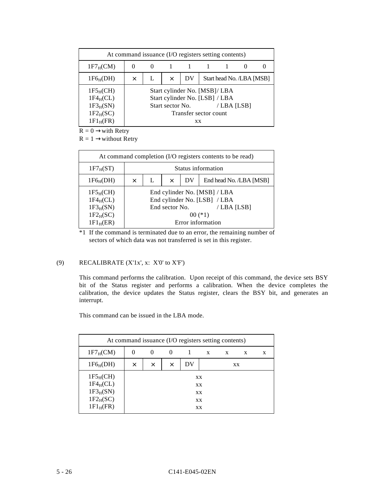| At command issuance (I/O registers setting contents)                   |          |                                             |                  |           |                                                                                          |            |  |  |  |  |  |
|------------------------------------------------------------------------|----------|---------------------------------------------|------------------|-----------|------------------------------------------------------------------------------------------|------------|--|--|--|--|--|
| $1F7_HCM$                                                              |          | $\theta$                                    |                  |           |                                                                                          |            |  |  |  |  |  |
| $1F6_H(DH)$                                                            | $\times$ | Start head No. /LBA [MSB]<br>DV<br>$\times$ |                  |           |                                                                                          |            |  |  |  |  |  |
| $1F5_H(CH)$<br>$1F4_HCL$<br>$1F3_H(SN)$<br>$1F2_H(SC)$<br>$1F1_H$ (FR) |          |                                             | Start sector No. | <b>XX</b> | Start cylinder No. [MSB]/ LBA<br>Start cylinder No. [LSB] / LBA<br>Transfer sector count | /LBA [LSB] |  |  |  |  |  |

 $R = 0 \rightarrow$ with Retry

 $R = 1 \rightarrow$ without Retry

| At command completion (I/O registers contents to be read)             |          |                                                |                |  |                                                                                                                |  |  |  |  |
|-----------------------------------------------------------------------|----------|------------------------------------------------|----------------|--|----------------------------------------------------------------------------------------------------------------|--|--|--|--|
| $1F7_H(ST)$                                                           |          | Status information                             |                |  |                                                                                                                |  |  |  |  |
| $1F6_H(DH)$                                                           | $\times$ | End head No. /LBA [MSB]<br>DV<br>L<br>$\times$ |                |  |                                                                                                                |  |  |  |  |
| $1F5_H(CH)$<br>$1F4_HCL$<br>$1F3_H(SN)$<br>$1F2_H(SC)$<br>$1F1_H(ER)$ |          |                                                | End sector No. |  | End cylinder No. [MSB] / LBA<br>End cylinder No. [LSB] / LBA<br>/LBA [LSB]<br>$00$ $(*1)$<br>Error information |  |  |  |  |

\*1 If the command is terminated due to an error, the remaining number of sectors of which data was not transferred is set in this register.

## (9) RECALIBRATE (X'1x', x: X'0' to X'F')

This command performs the calibration. Upon receipt of this command, the device sets BSY bit of the Status register and performs a calibration. When the device completes the calibration, the device updates the Status register, clears the BSY bit, and generates an interrupt.

This command can be issued in the LBA mode.

| At command issuance (I/O registers setting contents)                   |          |                                  |   |  |                            |              |   |   |  |
|------------------------------------------------------------------------|----------|----------------------------------|---|--|----------------------------|--------------|---|---|--|
| $1F7_HCM$                                                              | $\theta$ | 0                                | 0 |  | X                          | $\mathbf{x}$ | X | X |  |
| $1F6_H(DH)$                                                            | $\times$ | DV<br>$\times$<br>$\times$<br>XX |   |  |                            |              |   |   |  |
| $1F5_H(CH)$<br>$1F4_HCL$<br>$1F3_H(SN)$<br>$1F2_H(SC)$<br>$1F1_H$ (FR) |          |                                  |   |  | XX<br>XX<br>XX<br>XX<br>XX |              |   |   |  |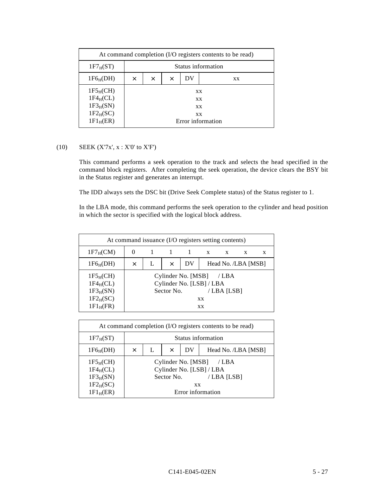| At command completion (I/O registers contents to be read)             |          |                    |          |    |                                           |  |  |  |  |
|-----------------------------------------------------------------------|----------|--------------------|----------|----|-------------------------------------------|--|--|--|--|
| $1F7_H(ST)$                                                           |          | Status information |          |    |                                           |  |  |  |  |
| $1F6_H(DH)$                                                           | $\times$ | $\times$           | $\times$ | DV | XX                                        |  |  |  |  |
| $1F5_H(CH)$<br>$1F4_HCL$<br>$1F3_H(SN)$<br>$1F2_H(SC)$<br>$1F1_H(ER)$ |          |                    |          |    | XX<br>XX<br>XX<br>XX<br>Error information |  |  |  |  |

# (10) SEEK (X'7x', x : X'0' to X'F')

This command performs a seek operation to the track and selects the head specified in the command block registers. After completing the seek operation, the device clears the BSY bit in the Status register and generates an interrupt.

The IDD always sets the DSC bit (Drive Seek Complete status) of the Status register to 1.

In the LBA mode, this command performs the seek operation to the cylinder and head position in which the sector is specified with the logical block address.

| At command issuance (I/O registers setting contents)                   |          |   |            |                                                |                        |                     |              |   |
|------------------------------------------------------------------------|----------|---|------------|------------------------------------------------|------------------------|---------------------|--------------|---|
| $1F7_H(CM)$                                                            | $\theta$ |   |            |                                                | $X$ $X$                |                     | $\mathbf{x}$ | X |
| $1F6_H(DH)$                                                            | X        | L | $\times$   | DV                                             |                        | Head No. /LBA [MSB] |              |   |
| $1F5_H(CH)$<br>$1F4_HCL$<br>$1F3_H(SN)$<br>$1F2_H(SC)$<br>$1F1_H$ (FR) |          |   | Sector No. | Cylinder No. [MSB]<br>Cylinder No. [LSB] / LBA | <b>XX</b><br><b>XX</b> | / LBA<br>/LBA [LSB] |              |   |

| At command completion (I/O registers contents to be read)                       |   |                                            |            |                                 |                                                                     |  |  |  |
|---------------------------------------------------------------------------------|---|--------------------------------------------|------------|---------------------------------|---------------------------------------------------------------------|--|--|--|
| $1F7_H(ST)$                                                                     |   | Status information                         |            |                                 |                                                                     |  |  |  |
| $1F6_H(DH)$                                                                     | X | Head No. /LBA [MSB]<br>DV<br>L<br>$\times$ |            |                                 |                                                                     |  |  |  |
| $1F5_H(CH)$<br>$1F4_HCL$<br>$1F3_H(SN)$<br>$1F2_H(SC)$<br>1F1 <sub>H</sub> (ER) |   |                                            | Sector No. | Cylinder No. [MSB]<br><b>XX</b> | /LBA<br>Cylinder No. [LSB] / LBA<br>/LBA [LSB]<br>Error information |  |  |  |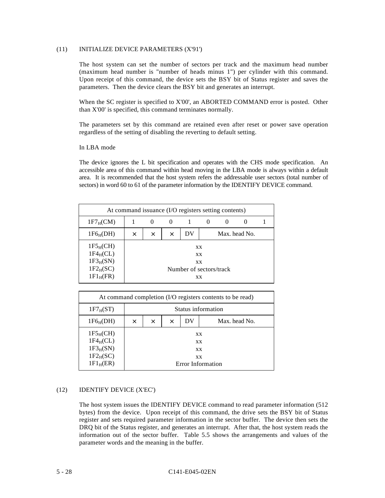### (11) INITIALIZE DEVICE PARAMETERS (X'91')

The host system can set the number of sectors per track and the maximum head number (maximum head number is "number of heads minus 1") per cylinder with this command. Upon receipt of this command, the device sets the BSY bit of Status register and saves the parameters. Then the device clears the BSY bit and generates an interrupt.

When the SC register is specified to X'00', an ABORTED COMMAND error is posted. Other than X'00' is specified, this command terminates normally.

The parameters set by this command are retained even after reset or power save operation regardless of the setting of disabling the reverting to default setting.

#### In LBA mode

The device ignores the L bit specification and operates with the CHS mode specification. An accessible area of this command within head moving in the LBA mode is always within a default area. It is recommended that the host system refers the addressable user sectors (total number of sectors) in word 60 to 61 of the parameter information by the IDENTIFY DEVICE command.

| At command issuance (I/O registers setting contents)                   |   |                                  |          |                                                               |  |  |               |  |  |
|------------------------------------------------------------------------|---|----------------------------------|----------|---------------------------------------------------------------|--|--|---------------|--|--|
| $1F7_HCM$                                                              |   | $\theta$<br>$\theta$<br>$\theta$ |          |                                                               |  |  |               |  |  |
| $1F6_H(DH)$                                                            | X | X                                | $\times$ | DV                                                            |  |  | Max. head No. |  |  |
| $1F5_H(CH)$<br>$1F4_HCL$<br>$1F3_H(SN)$<br>$1F2_H(SC)$<br>$1F1_H$ (FR) |   |                                  |          | <b>XX</b><br><b>XX</b><br>XX<br>Number of sectors/track<br>XX |  |  |               |  |  |

| At command completion (I/O registers contents to be read)             |   |                    |          |                                                  |                   |  |  |  |  |
|-----------------------------------------------------------------------|---|--------------------|----------|--------------------------------------------------|-------------------|--|--|--|--|
| $1F7_H(ST)$                                                           |   | Status information |          |                                                  |                   |  |  |  |  |
| $1F6_H(DH)$                                                           | X | $\times$           | $\times$ | DV                                               | Max. head No.     |  |  |  |  |
| $1F5_H(CH)$<br>$1F4_HCL$<br>$1F3_H(SN)$<br>$1F2_H(SC)$<br>$1F1_H(ER)$ |   |                    |          | <b>XX</b><br><b>XX</b><br><b>XX</b><br><b>XX</b> | Error Information |  |  |  |  |

#### (12) IDENTIFY DEVICE (X'EC')

The host system issues the IDENTIFY DEVICE command to read parameter information (512 bytes) from the device. Upon receipt of this command, the drive sets the BSY bit of Status register and sets required parameter information in the sector buffer. The device then sets the DRQ bit of the Status register, and generates an interrupt. After that, the host system reads the information out of the sector buffer. Table 5.5 shows the arrangements and values of the parameter words and the meaning in the buffer.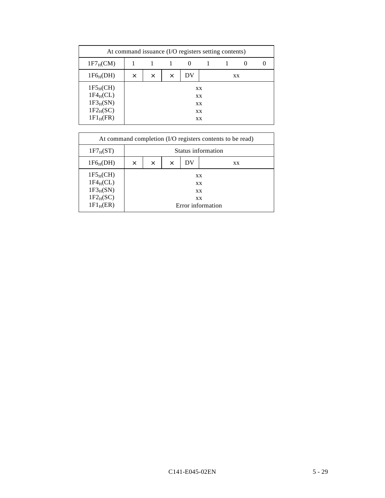| At command issuance (I/O registers setting contents)                   |          |                           |  |          |                            |  |  |  |
|------------------------------------------------------------------------|----------|---------------------------|--|----------|----------------------------|--|--|--|
| $1F7_HCM$                                                              |          |                           |  | $\theta$ |                            |  |  |  |
| $1F6_H(DH)$                                                            | $\times$ | DV<br>X<br>$\times$<br>XX |  |          |                            |  |  |  |
| $1F5_H(CH)$<br>$1F4_HCL$<br>$1F3_H(SN)$<br>$1F2_H(SC)$<br>$1F1_H$ (FR) |          |                           |  |          | XX<br>XX<br>XX<br>XX<br>XX |  |  |  |

| At command completion (I/O registers contents to be read)             |          |                    |          |                                                  |                   |  |  |  |  |
|-----------------------------------------------------------------------|----------|--------------------|----------|--------------------------------------------------|-------------------|--|--|--|--|
| $1F7_H(ST)$                                                           |          | Status information |          |                                                  |                   |  |  |  |  |
| $1F6_H(DH)$                                                           | $\times$ | $\times$           | $\times$ | DV                                               | <b>XX</b>         |  |  |  |  |
| $1F5_H(CH)$<br>$1F4_HCL$<br>$1F3_H(SN)$<br>$1F2_H(SC)$<br>$1F1_H(ER)$ |          |                    |          | <b>XX</b><br><b>XX</b><br><b>XX</b><br><b>XX</b> | Error information |  |  |  |  |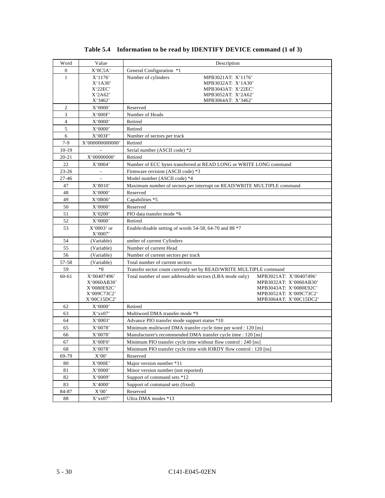| Word             | Value                      | Description                                                            |                                                  |
|------------------|----------------------------|------------------------------------------------------------------------|--------------------------------------------------|
| $\boldsymbol{0}$ | X'0C5A'                    | General Configuration *1                                               |                                                  |
| $\mathbf{1}$     | X'1176'                    | Number of cylinders<br>MPB3021AT: X'1176'                              |                                                  |
|                  | X'1A30'                    | MPB3032AT: X'1A30'                                                     |                                                  |
|                  | X'22EC'                    | MPB3043AT: X'22EC'                                                     |                                                  |
|                  | X'2A62'<br>X'3462'         | MPB3052AT: X'2A62'<br>MPB3064AT: X'3462'                               |                                                  |
| $\mathfrak{2}$   | X'0000'                    | Reserved                                                               |                                                  |
| 3                | X'000F'                    | Number of Heads                                                        |                                                  |
| $\overline{4}$   | X'0000'                    | Retired                                                                |                                                  |
| 5                | X'0000'                    | Retired                                                                |                                                  |
| 6                | X'003F'                    | Number of sectors per track                                            |                                                  |
| $7-9$            | X'0000000000000            | Retired                                                                |                                                  |
| $10-19$          |                            | Serial number (ASCII code) *2                                          |                                                  |
| $20 - 21$        | X'00000000'                | Retired                                                                |                                                  |
| 22               | X'0004'                    | Number of ECC bytes transferred at READ LONG or WRITE LONG command     |                                                  |
| $23 - 26$        |                            | Firmware revision (ASCII code) *3                                      |                                                  |
| $27 - 46$        | $\overline{a}$             | Model number (ASCII code) *4                                           |                                                  |
| 47               | X'8010'                    | Maximum number of sectors per interrupt on READ/WRITE MULTIPLE command |                                                  |
| 48               | X'0000'                    | Reserved                                                               |                                                  |
| 49               | X'0B00'                    | Capabilities *5                                                        |                                                  |
| 50               | X'0000'                    | Reserved                                                               |                                                  |
| 51               | X'0200'                    | PIO data transfer mode *6                                              |                                                  |
| 52               | X'0000'                    | Retired                                                                |                                                  |
| 53               | $X'0003'$ or<br>X'0007'    | Enable/disable setting of words 54-58, 64-70 and 88 *7                 |                                                  |
| 54               | (Variable)                 | umber of current Cylinders                                             |                                                  |
| 55               | (Variable)                 | Number of current Head                                                 |                                                  |
| 56               | (Variable)                 | Number of current sectors per track                                    |                                                  |
| 57-58            | (Variable)                 | Total number of current sectors                                        |                                                  |
| 59               | $*8$                       | Transfer sector count currently set by READ/WRITE MULTIPLE command     |                                                  |
| 60-61            | X'00407496'                | Total number of user addressable sectors (LBA mode only)               | MPB3021AT: X'00407496'                           |
|                  | X'0060AB30'                |                                                                        | MPB3032AT: X'0060AB30'                           |
|                  | X'0080E92C'<br>X'009C73C2' |                                                                        | MPB3043AT: X'0080E92C'<br>MPB3052AT: X'009C73C2' |
|                  | X'00C15DC2'                |                                                                        | MPB3064AT: X'00C15DC2'                           |
| 62               | X'0000'                    | Retired                                                                |                                                  |
| 63               | X'xx07'                    | Multiword DMA transfer mode *9                                         |                                                  |
| 64               | X'0003'                    | Advance PIO transfer mode support status *10                           |                                                  |
| 65               | X'0078'                    | Minimum multiword DMA transfer cycle time per word : 120 [ns]          |                                                  |
| 66               | X'0078'                    | Manufacturer's recommended DMA transfer cycle time : 120 [ns]          |                                                  |
| 67               | X'00F0'                    | Minimum PIO transfer cycle time without flow control : 240 [ns]        |                                                  |
| 68               | X'0078'                    | Minimum PIO transfer cycle time with IORDY flow control: 120 [ns]      |                                                  |
| 69-79            | X'00'                      | Reserved                                                               |                                                  |
| 80               | X'000E'                    | Major version number *11                                               |                                                  |
| 81               | X'0000'                    | Minor version number (not reported)                                    |                                                  |
| 82               | X'0009'                    | Support of command sets *12                                            |                                                  |
| 83               | X'4000'                    | Support of command sets (fixed)                                        |                                                  |
| 84-87            | X'00'                      | Reserved                                                               |                                                  |
| 88               | X'xx07'                    | Ultra DMA modes *13                                                    |                                                  |

# **Table 5.4 Information to be read by IDENTIFY DEVICE command (1 of 3)**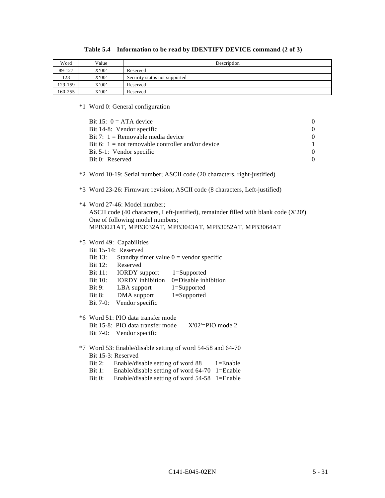| Word    | Value | Description                   |
|---------|-------|-------------------------------|
| 89-127  | X'00' | Reserved                      |
| 128     | X'00' | Security status not supported |
| 129-159 | X'00' | Reserved                      |
| 160-255 | X'00' | Reserved                      |

# **Table 5.4 Information to be read by IDENTIFY DEVICE command (2 of 3)**

\*1 Word 0: General configuration

| Bit 15: $0 = ATA$ device<br>Bit 14-8: Vendor specific<br>Bit 7: $1 =$ Removable media device<br>Bit 6: $1 = not removable controller and/or device$<br>Bit 5-1: Vendor specific<br>Bit 0: Reserved                                                                                                                                                                                      | $\boldsymbol{0}$<br>$\boldsymbol{0}$<br>$\boldsymbol{0}$<br>$\mathbf{1}$<br>$\boldsymbol{0}$<br>$\boldsymbol{0}$ |
|-----------------------------------------------------------------------------------------------------------------------------------------------------------------------------------------------------------------------------------------------------------------------------------------------------------------------------------------------------------------------------------------|------------------------------------------------------------------------------------------------------------------|
| *2 Word 10-19: Serial number; ASCII code (20 characters, right-justified)                                                                                                                                                                                                                                                                                                               |                                                                                                                  |
| *3 Word 23-26: Firmware revision; ASCII code (8 characters, Left-justified)                                                                                                                                                                                                                                                                                                             |                                                                                                                  |
| *4 Word 27-46: Model number;<br>ASCII code (40 characters, Left-justified), remainder filled with blank code (X'20')<br>One of following model numbers;<br>MPB3021AT, MPB3032AT, MPB3043AT, MPB3052AT, MPB3064AT                                                                                                                                                                        |                                                                                                                  |
| *5 Word 49: Capabilities<br>Bit 15-14: Reserved<br><b>Bit 13:</b><br>Standby timer value $0 =$ vendor specific<br><b>Bit 12:</b><br>Reserved<br>Bit 11: IORDY support 1=Supported<br><b>IORDY</b> inhibition<br>0=Disable inhibition<br><b>Bit 10:</b><br>Bit 9:<br>LBA support<br>$1 =$ Supported<br>DMA support<br>Bit $8$ :<br>$1 =$ Supported<br>Vendor specific<br><b>Bit 7-0:</b> |                                                                                                                  |
| *6 Word 51: PIO data transfer mode<br>Bit 15-8: PIO data transfer mode<br>$X'02' = PIO$ mode 2<br>Bit 7-0: Vendor specific                                                                                                                                                                                                                                                              |                                                                                                                  |
| *7 Word 53: Enable/disable setting of word 54-58 and 64-70<br>Bit 15-3: Reserved<br>Enable/disable setting of word 88<br>$1 =$ Enable<br>Bit 2:<br>Enable/disable setting of word 64-70 1=Enable<br>Bit 1:<br>Enable/disable setting of word 54-58<br>Bit 0:<br>$1 =$ Enable                                                                                                            |                                                                                                                  |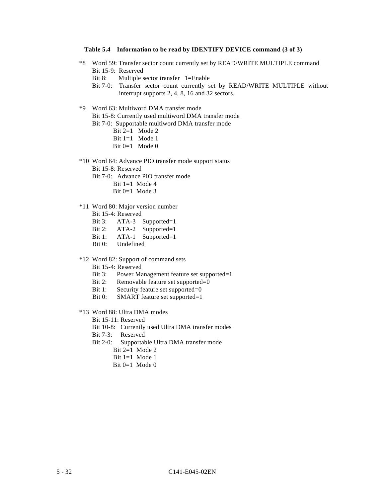#### **Table 5.4 Information to be read by IDENTIFY DEVICE command (3 of 3)**

- \*8 Word 59: Transfer sector count currently set by READ/WRITE MULTIPLE command Bit 15-9: Reserved
	- Bit 8: Multiple sector transfer 1=Enable
	- Bit 7-0: Transfer sector count currently set by READ/WRITE MULTIPLE without interrupt supports 2, 4, 8, 16 and 32 sectors.
- \*9 Word 63: Multiword DMA transfer mode

Bit 15-8: Currently used multiword DMA transfer mode

Bit 7-0: Supportable multiword DMA transfer mode

- Bit 2=1 Mode 2
- Bit  $1=1$  Mode 1
- Bit  $0=1$  Mode 0
- \*10 Word 64: Advance PIO transfer mode support status
	- Bit 15-8: Reserved
	- Bit 7-0: Advance PIO transfer mode
		- Bit 1=1 Mode 4
		- Bit  $0=1$  Mode 3
- \*11 Word 80: Major version number
	- Bit 15-4: Reserved
	- Bit 3: ATA-3 Supported=1
	- Bit 2: ATA-2 Supported=1
	- Bit 1: ATA-1 Supported=1
	- Bit 0: Undefined
- \*12 Word 82: Support of command sets
	- Bit 15-4: Reserved
	- Bit 3: Power Management feature set supported=1
	- Bit 2: Removable feature set supported=0
	- Bit 1: Security feature set supported=0
	- Bit 0: SMART feature set supported=1
- \*13 Word 88: Ultra DMA modes
	- Bit 15-11: Reserved
	- Bit 10-8: Currently used Ultra DMA transfer modes
	- Bit 7-3: Reserved
	- Bit 2-0: Supportable Ultra DMA transfer mode
		- Bit 2=1 Mode 2
		- Bit 1=1 Mode 1
		- Bit  $0=1$  Mode 0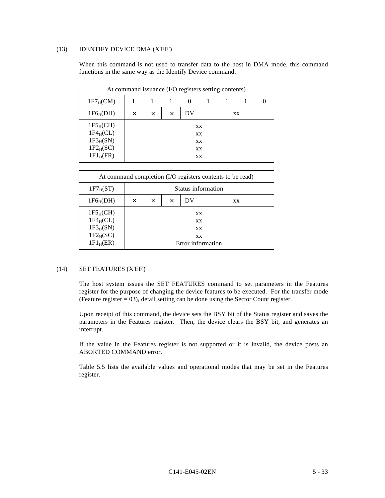#### (13) IDENTIFY DEVICE DMA (X'EE')

When this command is not used to transfer data to the host in DMA mode, this command functions in the same way as the Identify Device command.

| At command issuance (I/O registers setting contents)                   |          |          |   |    |                            |  |    |  |  |
|------------------------------------------------------------------------|----------|----------|---|----|----------------------------|--|----|--|--|
| $1F7_HCM$                                                              |          |          |   |    |                            |  |    |  |  |
| $1F6_H(DH)$                                                            | $\times$ | $\times$ | X | DV |                            |  | XX |  |  |
| $1F5_H(CH)$<br>$1F4_HCL$<br>$1F3_H(SN)$<br>$1F2_H(SC)$<br>$1F1_H$ (FR) |          |          |   |    | XX<br>XX<br>XX<br>XX<br>XX |  |    |  |  |

| At command completion (I/O registers contents to be read)                         |                    |                                         |  |                                           |                   |  |  |  |
|-----------------------------------------------------------------------------------|--------------------|-----------------------------------------|--|-------------------------------------------|-------------------|--|--|--|
| $1F7_H(ST)$                                                                       | Status information |                                         |  |                                           |                   |  |  |  |
| $1F6_H(DH)$                                                                       | X                  | DV<br>$\times$<br>$\times$<br><b>XX</b> |  |                                           |                   |  |  |  |
| 1F5 <sub>H</sub> (CH)<br>$1F4_HCL$ )<br>$1F3_H(SN)$<br>$1F2_H(SC)$<br>$1F1_H(ER)$ |                    |                                         |  | <b>XX</b><br><b>XX</b><br><b>XX</b><br>XX | Error information |  |  |  |

### (14) SET FEATURES (X'EF')

The host system issues the SET FEATURES command to set parameters in the Features register for the purpose of changing the device features to be executed. For the transfer mode (Feature register  $= 03$ ), detail setting can be done using the Sector Count register.

Upon receipt of this command, the device sets the BSY bit of the Status register and saves the parameters in the Features register. Then, the device clears the BSY bit, and generates an interrupt.

If the value in the Features register is not supported or it is invalid, the device posts an ABORTED COMMAND error.

Table 5.5 lists the available values and operational modes that may be set in the Features register.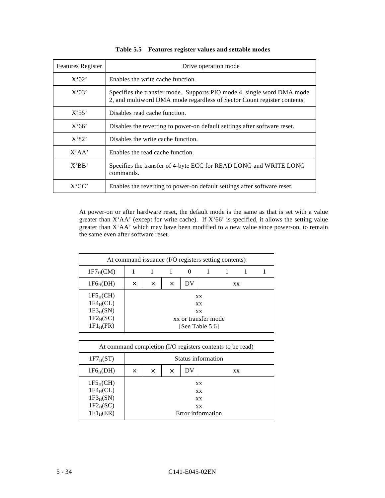| <b>Features Register</b> | Drive operation mode                                                                                                                              |
|--------------------------|---------------------------------------------------------------------------------------------------------------------------------------------------|
| X'02'                    | Enables the write cache function.                                                                                                                 |
| X'03'                    | Specifies the transfer mode. Supports PIO mode 4, single word DMA mode<br>2, and multiword DMA mode regardless of Sector Count register contents. |
| $X^{\prime}55^{\prime}$  | Disables read cache function.                                                                                                                     |
| X'66'                    | Disables the reverting to power-on default settings after software reset.                                                                         |
| X'82'                    | Disables the write cache function.                                                                                                                |
| X'AA'                    | Enables the read cache function.                                                                                                                  |
| X'BB'                    | Specifies the transfer of 4-byte ECC for READ LONG and WRITE LONG<br>commands.                                                                    |
| X'CC'                    | Enables the reverting to power-on default settings after software reset.                                                                          |

|  | Table 5.5 Features register values and settable modes |  |  |
|--|-------------------------------------------------------|--|--|
|--|-------------------------------------------------------|--|--|

At power-on or after hardware reset, the default mode is the same as that is set with a value greater than X'AA' (except for write cache). If X'66' is specified, it allows the setting value greater than X'AA' which may have been modified to a new value since power-on, to remain the same even after software reset.

| At command issuance (I/O registers setting contents)                   |          |          |          |                                        |                |  |    |  |
|------------------------------------------------------------------------|----------|----------|----------|----------------------------------------|----------------|--|----|--|
| $1F7_HCM$                                                              |          |          |          | $\theta$                               |                |  |    |  |
| $1F6_H(DH)$                                                            | $\times$ | $\times$ | $\times$ | DV                                     |                |  | XX |  |
| $1F5_H(CH)$<br>$1F4_HCL$<br>$1F3_H(SN)$<br>$1F2_H(SC)$<br>$1F1_H$ (FR) |          |          |          | xx or transfer mode<br>[See Table 5.6] | XX<br>XX<br>XX |  |    |  |

| At command completion (I/O registers contents to be read)             |          |                           |  |  |                                                         |  |  |  |
|-----------------------------------------------------------------------|----------|---------------------------|--|--|---------------------------------------------------------|--|--|--|
| $1F7_H(ST)$                                                           |          | Status information        |  |  |                                                         |  |  |  |
| $1F6_H(DH)$                                                           | $\times$ | DV<br>X<br>$\times$<br>XX |  |  |                                                         |  |  |  |
| $1F5_H(CH)$<br>$1F4_HCL$<br>$1F3_H(SN)$<br>$1F2_H(SC)$<br>$1F1_H(ER)$ |          |                           |  |  | <b>XX</b><br>XX<br><b>XX</b><br>XX<br>Error information |  |  |  |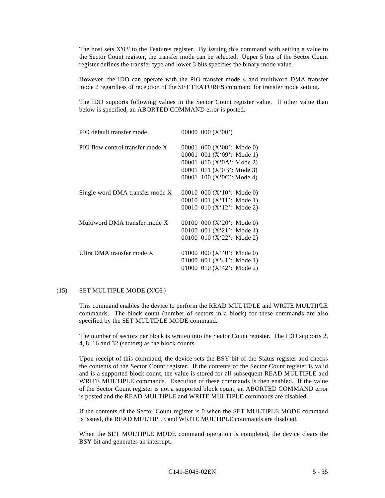The host sets X'03' to the Features register. By issuing this command with setting a value to the Sector Count register, the transfer mode can be selected. Upper 5 bits of the Sector Count register defines the transfer type and lower 3 bits specifies the binary mode value.

However, the IDD can operate with the PIO transfer mode 4 and multiword DMA transfer mode 2 regardless of reception of the SET FEATURES command for transfer mode setting.

The IDD supports following values in the Sector Count register value. If other value than below is specified, an ABORTED COMMAND error is posted.

| PIO default transfer mode        | 00000 000 $(X'00')$           |  |
|----------------------------------|-------------------------------|--|
| PIO flow control transfer mode X | 00001 000 ( $X'08'$ : Mode 0) |  |
|                                  | 00001 001 ( $X'09'$ : Mode 1) |  |
|                                  | 00001 010 ( $X'0A'$ : Mode 2) |  |
|                                  | 00001 011 $(X'0B' : Mode 3)$  |  |
|                                  | 00001 100 ( $X'0C'$ : Mode 4) |  |
| Single word DMA transfer mode X  | 00010 000 ( $X'10'$ : Mode 0) |  |
|                                  | 00010 001 $(X'11'$ : Mode 1)  |  |
|                                  | 00010 010 (X'12': Mode 2)     |  |
| Multiword DMA transfer mode X    | 00100 000 ( $X'20'$ : Mode 0) |  |
|                                  | 00100 001 (X'21': Mode 1)     |  |
|                                  | 00100 010 ( $X'22'$ : Mode 2) |  |
|                                  |                               |  |
| Ultra DMA transfer mode X        | 01000 000 ( $X'40'$ : Mode 0) |  |
|                                  | 01000 001 ( $X'41'$ : Mode 1) |  |
|                                  | 01000 010 $(X'42'$ : Mode 2)  |  |

# (15) SET MULTIPLE MODE (X'C6')

This command enables the device to perform the READ MULTIPLE and WRITE MULTIPLE commands. The block count (number of sectors in a block) for these commands are also specified by the SET MULTIPLE MODE command.

The number of sectors per block is written into the Sector Count register. The IDD supports 2, 4, 8, 16 and 32 (sectors) as the block counts.

Upon receipt of this command, the device sets the BSY bit of the Status register and checks the contents of the Sector Count register. If the contents of the Sector Count register is valid and is a supported block count, the value is stored for all subsequent READ MULTIPLE and WRITE MULTIPLE commands. Execution of these commands is then enabled. If the value of the Sector Count register is not a supported block count, an ABORTED COMMAND error is posted and the READ MULTIPLE and WRITE MULTIPLE commands are disabled.

If the contents of the Sector Count register is 0 when the SET MULTIPLE MODE command is issued, the READ MULTIPLE and WRITE MULTIPLE commands are disabled.

When the SET MULTIPLE MODE command operation is completed, the device clears the BSY bit and generates an interrupt.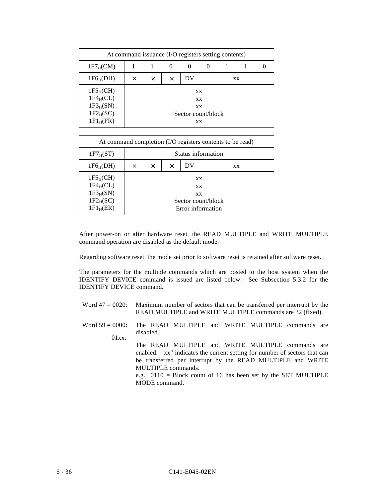| At command issuance (I/O registers setting contents)   |          |                                             |          |          |          |  |    |  |  |
|--------------------------------------------------------|----------|---------------------------------------------|----------|----------|----------|--|----|--|--|
| $1F7_HCM$                                              |          |                                             | $\theta$ | $\theta$ | $\theta$ |  |    |  |  |
| $1F6_H(DH)$                                            | $\times$ | X                                           | $\times$ | DV       |          |  | XX |  |  |
| $1F5_H(CH)$<br>$1F4_HCL$<br>$1F3_H(SN)$<br>$1F2_H(SC)$ |          | XX<br><b>XX</b><br>XX<br>Sector count/block |          |          |          |  |    |  |  |
| $1F1_H$ (FR)                                           |          |                                             |          |          | XX       |  |    |  |  |

| At command completion (I/O registers contents to be read)             |          |                                         |  |  |                                                                         |  |  |  |
|-----------------------------------------------------------------------|----------|-----------------------------------------|--|--|-------------------------------------------------------------------------|--|--|--|
| $1F7_H(ST)$                                                           |          | Status information                      |  |  |                                                                         |  |  |  |
| $1F6_H(DH)$                                                           | $\times$ | DV<br>$\times$<br>$\times$<br><b>XX</b> |  |  |                                                                         |  |  |  |
| $1F5_H(CH)$<br>$1F4_HCL$<br>$1F3_H(SN)$<br>$1F2_H(SC)$<br>$1F1_H(ER)$ |          |                                         |  |  | <b>XX</b><br><b>XX</b><br>XX<br>Sector count/block<br>Error information |  |  |  |

After power-on or after hardware reset, the READ MULTIPLE and WRITE MULTIPLE command operation are disabled as the default mode.

Regarding software reset, the mode set prior to software reset is retained after software reset.

The parameters for the multiple commands which are posted to the host system when the IDENTIFY DEVICE command is issued are listed below. See Subsection 5.3.2 for the IDENTIFY DEVICE command.

- Word  $47 = 0020$ : Maximum number of sectors that can be transferred per interrupt by the READ MULTIPLE and WRITE MULTIPLE commands are 32 (fixed).
- Word  $59 = 0000$ :  $= 01$ xx $\cdot$ The READ MULTIPLE and WRITE MULTIPLE commands are disabled.
	- The READ MULTIPLE and WRITE MULTIPLE commands are enabled. "xx" indicates the current setting for number of sectors that can be transferred per interrupt by the READ MULTIPLE and WRITE MULTIPLE commands.

e.g. 0110 = Block count of 16 has been set by the SET MULTIPLE MODE command.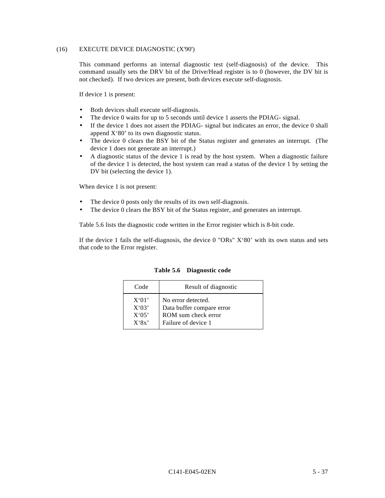## (16) EXECUTE DEVICE DIAGNOSTIC (X'90')

This command performs an internal diagnostic test (self-diagnosis) of the device. This command usually sets the DRV bit of the Drive/Head register is to 0 (however, the DV bit is not checked). If two devices are present, both devices execute self-diagnosis.

If device 1 is present:

- Both devices shall execute self-diagnosis.
- The device 0 waits for up to 5 seconds until device 1 asserts the PDIAG- signal.
- If the device 1 does not assert the PDIAG- signal but indicates an error, the device 0 shall append X'80' to its own diagnostic status.
- The device 0 clears the BSY bit of the Status register and generates an interrupt. (The device 1 does not generate an interrupt.)
- A diagnostic status of the device 1 is read by the host system. When a diagnostic failure of the device 1 is detected, the host system can read a status of the device 1 by setting the DV bit (selecting the device 1).

When device 1 is not present:

- The device 0 posts only the results of its own self-diagnosis.
- The device 0 clears the BSY bit of the Status register, and generates an interrupt.

Table 5.6 lists the diagnostic code written in the Error register which is 8-bit code.

If the device 1 fails the self-diagnosis, the device  $0$  "ORs"  $X'80'$  with its own status and sets that code to the Error register.

| Code  | Result of diagnostic      |
|-------|---------------------------|
| X'01' | No error detected.        |
| X'03' | Data buffer compare error |
| X'05' | ROM sum check error       |
| X'8x' | Failure of device 1       |

**Table 5.6 Diagnostic code**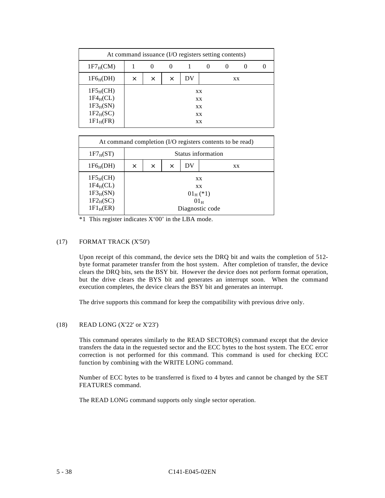| At command issuance (I/O registers setting contents)                   |          |          |          |    |                            |          |          |  |
|------------------------------------------------------------------------|----------|----------|----------|----|----------------------------|----------|----------|--|
| $1F7_HCM$                                                              |          | $\theta$ | $\theta$ |    | $\theta$                   | $\theta$ | $\theta$ |  |
| $1F6_H(DH)$                                                            | $\times$ | $\times$ | ×        | DV |                            |          | XX       |  |
| $1F5_H(CH)$<br>$1F4_HCL$<br>$1F3_H(SN)$<br>$1F2_H(SC)$<br>$1F1_H$ (FR) |          |          |          |    | XX<br>XX<br>XX<br>XX<br>XX |          |          |  |

| At command completion (I/O registers contents to be read)             |                    |                                         |  |  |                                                                          |  |  |  |
|-----------------------------------------------------------------------|--------------------|-----------------------------------------|--|--|--------------------------------------------------------------------------|--|--|--|
| $1F7_H(ST)$                                                           | Status information |                                         |  |  |                                                                          |  |  |  |
| $1F6_H(DH)$                                                           | $\times$           | DV<br>$\times$<br>$\times$<br><b>XX</b> |  |  |                                                                          |  |  |  |
| $1F5_H(CH)$<br>$1F4_HCL$<br>$1F3_H(SN)$<br>$1F2_H(SC)$<br>$1F1_H(ER)$ |                    |                                         |  |  | <b>XX</b><br><b>XX</b><br>$01_{\rm H}$ (*1)<br>$01_H$<br>Diagnostic code |  |  |  |

\*1 This register indicates X'00' in the LBA mode.

# (17) FORMAT TRACK (X'50')

Upon receipt of this command, the device sets the DRQ bit and waits the completion of 512 byte format parameter transfer from the host system. After completion of transfer, the device clears the DRQ bits, sets the BSY bit. However the device does not perform format operation, but the drive clears the BYS bit and generates an interrupt soon. When the command execution completes, the device clears the BSY bit and generates an interrupt.

The drive supports this command for keep the compatibility with previous drive only.

## (18) READ LONG (X'22' or X'23')

This command operates similarly to the READ SECTOR(S) command except that the device transfers the data in the requested sector and the ECC bytes to the host system. The ECC error correction is not performed for this command. This command is used for checking ECC function by combining with the WRITE LONG command.

Number of ECC bytes to be transferred is fixed to 4 bytes and cannot be changed by the SET FEATURES command.

The READ LONG command supports only single sector operation.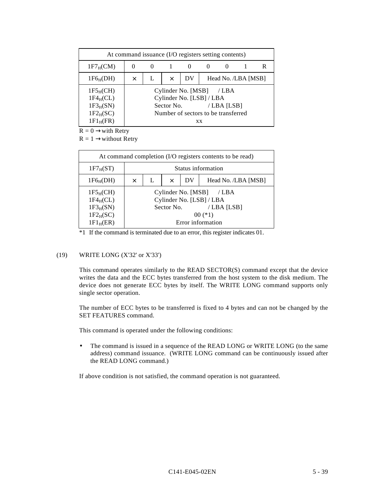| At command issuance (I/O registers setting contents)                   |   |          |            |                                                                                       |           |                     |  |  |
|------------------------------------------------------------------------|---|----------|------------|---------------------------------------------------------------------------------------|-----------|---------------------|--|--|
| $1F7_HCM$                                                              |   | $\theta$ |            | $\theta$                                                                              |           | $^{(1)}$            |  |  |
| $1F6_H(DH)$                                                            | X |          | $\times$   | DV                                                                                    |           | Head No. /LBA [MSB] |  |  |
| $1F5_H(CH)$<br>$1F4_HCL$<br>$1F3_H(SN)$<br>$1F2_H(SC)$<br>$1F1_H$ (FR) |   |          | Sector No. | Cylinder No. [MSB]<br>Cylinder No. [LSB] / LBA<br>Number of sectors to be transferred | <b>XX</b> | /LBA<br>/LBA [LSB]  |  |  |

 $R = 0 \rightarrow$ with Retry

 $R = 1 \rightarrow$ without Retry

| At command completion (I/O registers contents to be read)                       |                    |   |            |    |                                                                                                      |  |  |
|---------------------------------------------------------------------------------|--------------------|---|------------|----|------------------------------------------------------------------------------------------------------|--|--|
| $1F7_H(ST)$                                                                     | Status information |   |            |    |                                                                                                      |  |  |
| $1F6_H(DH)$                                                                     | X                  | L | $\times$   | DV | Head No. /LBA [MSB]                                                                                  |  |  |
| 1F5 <sub>H</sub> (CH)<br>$1F4_HCL$<br>$1F3_H(SN)$<br>$1F2_H(SC)$<br>$1F1_H(ER)$ |                    |   | Sector No. |    | Cylinder No. [MSB] / LBA<br>Cylinder No. [LSB] / LBA<br>/LBA [LSB]<br>$00$ (*1)<br>Error information |  |  |

\*1 If the command is terminated due to an error, this register indicates 01.

## (19) WRITE LONG (X'32' or X'33')

This command operates similarly to the READ SECTOR(S) command except that the device writes the data and the ECC bytes transferred from the host system to the disk medium. The device does not generate ECC bytes by itself. The WRITE LONG command supports only single sector operation.

The number of ECC bytes to be transferred is fixed to 4 bytes and can not be changed by the SET FEATURES command.

This command is operated under the following conditions:

• The command is issued in a sequence of the READ LONG or WRITE LONG (to the same address) command issuance. (WRITE LONG command can be continuously issued after the READ LONG command.)

If above condition is not satisfied, the command operation is not guaranteed.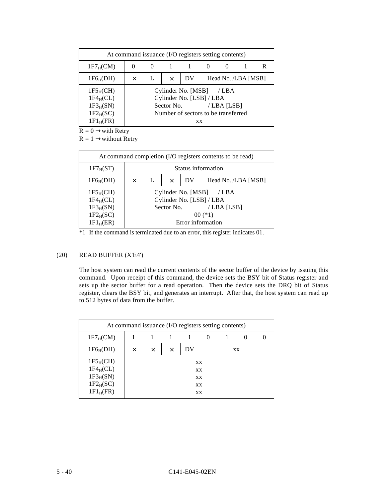| At command issuance (I/O registers setting contents)                   |          |          |          |                                                                                                           |           |                     |  |  |
|------------------------------------------------------------------------|----------|----------|----------|-----------------------------------------------------------------------------------------------------------|-----------|---------------------|--|--|
| $1F7_HCM$                                                              | $\theta$ | $\theta$ |          |                                                                                                           |           |                     |  |  |
| $1F6_H(DH)$                                                            | $\times$ |          | $\times$ | DV                                                                                                        |           | Head No. /LBA [MSB] |  |  |
| $1F5_H(CH)$<br>$1F4_HCL$<br>$1F3_H(SN)$<br>$1F2_H(SC)$<br>$1F1_H$ (FR) |          |          |          | Cylinder No. [MSB] / LBA<br>Cylinder No. [LSB] / LBA<br>Sector No.<br>Number of sectors to be transferred | <b>XX</b> | / LBA $[LSB]$       |  |  |

 $R = 0 \rightarrow$ with Retry

 $R = 1 \rightarrow$ without Retry

| At command completion (I/O registers contents to be read)             |          |                    |            |    |                                                                                                      |  |  |
|-----------------------------------------------------------------------|----------|--------------------|------------|----|------------------------------------------------------------------------------------------------------|--|--|
| $1F7_H(ST)$                                                           |          | Status information |            |    |                                                                                                      |  |  |
| $1F6_H(DH)$                                                           | $\times$ | L                  | $\times$   | DV | Head No. /LBA [MSB]                                                                                  |  |  |
| $1F5_H(CH)$<br>$1F4_HCL$<br>$1F3_H(SN)$<br>$1F2_H(SC)$<br>$1F1_H(ER)$ |          |                    | Sector No. |    | Cylinder No. [MSB] / LBA<br>Cylinder No. [LSB] / LBA<br>/LBA [LSB]<br>$00$ (*1)<br>Error information |  |  |

\*1 If the command is terminated due to an error, this register indicates 01.

# (20) READ BUFFER (X'E4')

The host system can read the current contents of the sector buffer of the device by issuing this command. Upon receipt of this command, the device sets the BSY bit of Status register and sets up the sector buffer for a read operation. Then the device sets the DRQ bit of Status register, clears the BSY bit, and generates an interrupt. After that, the host system can read up to 512 bytes of data from the buffer.

| At command issuance (I/O registers setting contents)                   |   |          |          |    |                            |  |    |  |
|------------------------------------------------------------------------|---|----------|----------|----|----------------------------|--|----|--|
| $1F7_HCM$                                                              |   |          |          |    |                            |  |    |  |
| $1F6_H(DH)$                                                            | X | $\times$ | $\times$ | DV |                            |  | XX |  |
| $1F5_H(CH)$<br>$1F4_HCL$<br>$1F3_H(SN)$<br>$1F2_H(SC)$<br>$1F1_H$ (FR) |   |          |          |    | XX<br>XX<br>XX<br>XX<br>XX |  |    |  |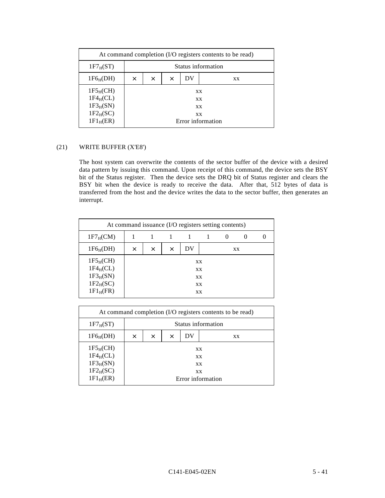| At command completion (I/O registers contents to be read)             |                    |          |          |    |                                                  |  |  |
|-----------------------------------------------------------------------|--------------------|----------|----------|----|--------------------------------------------------|--|--|
| $1F7_H(ST)$                                                           | Status information |          |          |    |                                                  |  |  |
| $1F6_H(DH)$                                                           | $\times$           | $\times$ | $\times$ | DV | <b>XX</b>                                        |  |  |
| $1F5_H(CH)$<br>$1F4_HCL$<br>$1F3_H(SN)$<br>$1F2_H(SC)$<br>$1F1_H(ER)$ |                    |          |          |    | XX<br><b>XX</b><br>XX<br>XX<br>Error information |  |  |

# (21) WRITE BUFFER (X'E8')

The host system can overwrite the contents of the sector buffer of the device with a desired data pattern by issuing this command. Upon receipt of this command, the device sets the BSY bit of the Status register. Then the device sets the DRQ bit of Status register and clears the BSY bit when the device is ready to receive the data. After that, 512 bytes of data is transferred from the host and the device writes the data to the sector buffer, then generates an interrupt.

| At command issuance (I/O registers setting contents)                   |   |          |          |    |                            |          |          |  |
|------------------------------------------------------------------------|---|----------|----------|----|----------------------------|----------|----------|--|
| $1F7_HCM$                                                              |   |          | 1        |    |                            | $\theta$ | $\theta$ |  |
| $1F6_H(DH)$                                                            | X | $\times$ | $\times$ | DV |                            |          | XX       |  |
| $1F5_H(CH)$<br>$1F4_HCL$<br>$1F3_H(SN)$<br>$1F2_H(SC)$<br>$1F1_H$ (FR) |   |          |          |    | XX<br>XX<br>XX<br>XX<br>XX |          |          |  |

| At command completion (I/O registers contents to be read)             |          |                    |          |    |                                                         |  |  |  |
|-----------------------------------------------------------------------|----------|--------------------|----------|----|---------------------------------------------------------|--|--|--|
| $1F7_H(ST)$                                                           |          | Status information |          |    |                                                         |  |  |  |
| $1F6_H(DH)$                                                           | $\times$ | $\times$           | $\times$ | DV | XX                                                      |  |  |  |
| $1F5_H(CH)$<br>$1F4_HCL$<br>$1F3_H(SN)$<br>$1F2_H(SC)$<br>$1F1_H(ER)$ |          |                    |          |    | XX<br><b>XX</b><br><b>XX</b><br>XX<br>Error information |  |  |  |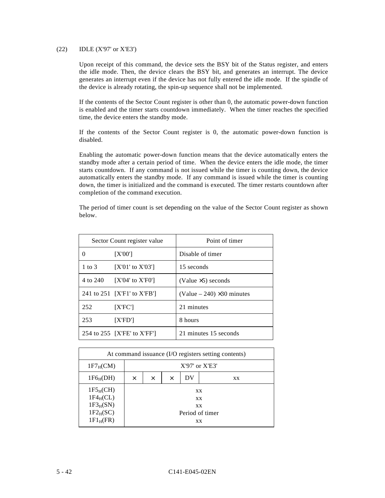#### (22) IDLE (X'97' or X'E3')

Upon receipt of this command, the device sets the BSY bit of the Status register, and enters the idle mode. Then, the device clears the BSY bit, and generates an interrupt. The device generates an interrupt even if the device has not fully entered the idle mode. If the spindle of the device is already rotating, the spin-up sequence shall not be implemented.

If the contents of the Sector Count register is other than 0, the automatic power-down function is enabled and the timer starts countdown immediately. When the timer reaches the specified time, the device enters the standby mode.

If the contents of the Sector Count register is 0, the automatic power-down function is disabled.

Enabling the automatic power-down function means that the device automatically enters the standby mode after a certain period of time. When the device enters the idle mode, the timer starts countdown. If any command is not issued while the timer is counting down, the device automatically enters the standby mode. If any command is issued while the timer is counting down, the timer is initialized and the command is executed. The timer restarts countdown after completion of the command execution.

The period of timer count is set depending on the value of the Sector Count register as shown below.

|              | Sector Count register value | Point of timer                      |  |  |  |
|--------------|-----------------------------|-------------------------------------|--|--|--|
| $\mathbf{0}$ | [X'00']                     | Disable of timer                    |  |  |  |
| 1 to 3       | $[X'01'$ to $X'03']$        | 15 seconds                          |  |  |  |
| 4 to 240     | $[X'04'$ to $X'F0']$        | (Value $\times$ 5) seconds          |  |  |  |
|              | 241 to 251 [X'F1' to X'FB'] | (Value $-240$ ) $\times$ 30 minutes |  |  |  |
| 252          | [X'FC']                     | 21 minutes                          |  |  |  |
| 253          | $[{\rm XF}D']$              | 8 hours                             |  |  |  |
|              | 254 to 255 [X'FE' to X'FF'] | 21 minutes 15 seconds               |  |  |  |

| At command issuance (I/O registers setting contents)                   |          |                                  |  |  |                                                |  |  |  |
|------------------------------------------------------------------------|----------|----------------------------------|--|--|------------------------------------------------|--|--|--|
| $1F7_HCM$                                                              |          | $X'97'$ or $X'E3'$               |  |  |                                                |  |  |  |
| $1F6_H(DH)$                                                            | $\times$ | DV<br>$\times$<br>$\times$<br>XX |  |  |                                                |  |  |  |
| $1F5_H(CH)$<br>$1F4_HCL$<br>$1F3_H(SN)$<br>$1F2_H(SC)$<br>$1F1_H$ (FR) |          |                                  |  |  | XX<br><b>XX</b><br>XX<br>Period of timer<br>XX |  |  |  |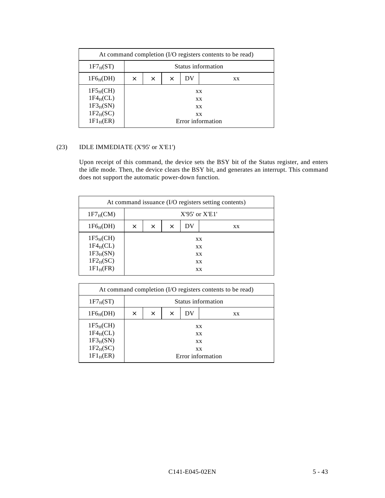| At command completion (I/O registers contents to be read)             |                    |          |          |    |                                            |  |  |
|-----------------------------------------------------------------------|--------------------|----------|----------|----|--------------------------------------------|--|--|
| $1F7_H(ST)$                                                           | Status information |          |          |    |                                            |  |  |
| $1F6_H(DH)$                                                           | $\times$           | $\times$ | $\times$ | DV | <b>XX</b>                                  |  |  |
| $1F5_H(CH)$<br>$1F4_HCL$<br>$1F3_H(SN)$<br>$1F2_H(SC)$<br>$1F1_H(ER)$ |                    |          |          | XX | XX<br><b>XX</b><br>XX<br>Error information |  |  |

# (23) IDLE IMMEDIATE (X'95' or X'E1')

Upon receipt of this command, the device sets the BSY bit of the Status register, and enters the idle mode. Then, the device clears the BSY bit, and generates an interrupt. This command does not support the automatic power-down function.

| At command issuance (I/O registers setting contents)                   |   |                    |          |    |                                   |  |  |  |
|------------------------------------------------------------------------|---|--------------------|----------|----|-----------------------------------|--|--|--|
| $1F7_H(CM)$                                                            |   | $X'95'$ or $X'E1'$ |          |    |                                   |  |  |  |
| $1F6_H(DH)$                                                            | X | $\times$           | $\times$ | DV | XX                                |  |  |  |
| $1F5_H(CH)$<br>$1F4_HCL$<br>$1F3_H(SN)$<br>$1F2_H(SC)$<br>$1F1_H$ (FR) |   |                    |          |    | XX<br>XX<br><b>XX</b><br>XX<br>XX |  |  |  |

| At command completion (I/O registers contents to be read)                       |                                                         |          |          |    |    |
|---------------------------------------------------------------------------------|---------------------------------------------------------|----------|----------|----|----|
| $1F7_H(ST)$                                                                     | Status information                                      |          |          |    |    |
| 1F6 <sub>H</sub> (DH)                                                           | $\times$                                                | $\times$ | $\times$ | DV | XX |
| 1F5 <sub>H</sub> (CH)<br>$1F4_HCL$<br>$1F3_H(SN)$<br>$1F2_H(SC)$<br>$1F1_H(ER)$ | XX<br><b>XX</b><br><b>XX</b><br>XX<br>Error information |          |          |    |    |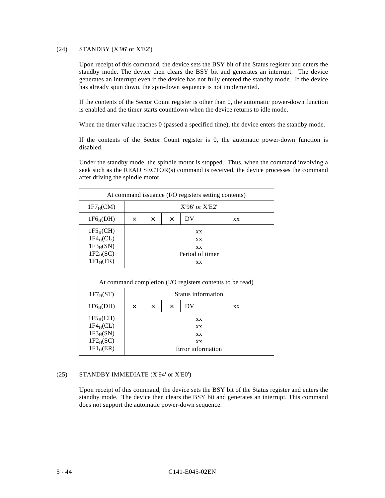#### (24) STANDBY (X'96' or X'E2')

Upon receipt of this command, the device sets the BSY bit of the Status register and enters the standby mode. The device then clears the BSY bit and generates an interrupt. The device generates an interrupt even if the device has not fully entered the standby mode. If the device has already spun down, the spin-down sequence is not implemented.

If the contents of the Sector Count register is other than 0, the automatic power-down function is enabled and the timer starts countdown when the device returns to idle mode.

When the timer value reaches 0 (passed a specified time), the device enters the standby mode.

If the contents of the Sector Count register is 0, the automatic power-down function is disabled.

Under the standby mode, the spindle motor is stopped. Thus, when the command involving a seek such as the READ SECTOR(s) command is received, the device processes the command after driving the spindle motor.

| At command issuance (I/O registers setting contents)                   |   |                    |          |                              |                 |  |  |  |  |
|------------------------------------------------------------------------|---|--------------------|----------|------------------------------|-----------------|--|--|--|--|
| $1F7_HCM$                                                              |   | $X'96'$ or $X'E2'$ |          |                              |                 |  |  |  |  |
| $1F6_H(DH)$                                                            | X | $\times$           | $\times$ | DV                           | XX              |  |  |  |  |
| $1F5_H(CH)$<br>$1F4_HCL$<br>$1F3_H(SN)$<br>$1F2_H(SC)$<br>$1F1_H$ (FR) |   |                    |          | <b>XX</b><br>XX.<br>XX<br>XX | Period of timer |  |  |  |  |

|                                                                       |   |                    |          |    | At command completion (I/O registers contents to be read)      |  |  |  |  |
|-----------------------------------------------------------------------|---|--------------------|----------|----|----------------------------------------------------------------|--|--|--|--|
| $1F7_H(ST)$                                                           |   | Status information |          |    |                                                                |  |  |  |  |
| $1F6_H(DH)$                                                           | X | $\times$           | $\times$ | DV | <b>XX</b>                                                      |  |  |  |  |
| $1F5_H(CH)$<br>$1F4_HCL$<br>$1F3_H(SN)$<br>$1F2_H(SC)$<br>$1F1_H(ER)$ |   |                    |          |    | <b>XX</b><br><b>XX</b><br><b>XX</b><br>XX<br>Error information |  |  |  |  |

## (25) STANDBY IMMEDIATE (X'94' or X'E0')

Upon receipt of this command, the device sets the BSY bit of the Status register and enters the standby mode. The device then clears the BSY bit and generates an interrupt. This command does not support the automatic power-down sequence.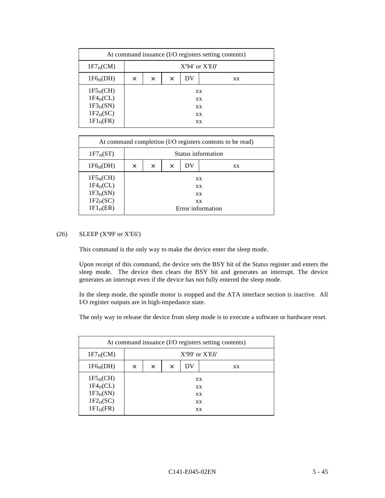|                                                                        |   |                    |          |    | At command issuance (I/O registers setting contents) |  |  |  |
|------------------------------------------------------------------------|---|--------------------|----------|----|------------------------------------------------------|--|--|--|
| $1F7_H(CM)$                                                            |   | $X'94'$ or $X'E0'$ |          |    |                                                      |  |  |  |
| $1F6_H(DH)$                                                            | X | $\times$           | $\times$ | DV | XX                                                   |  |  |  |
| $1F5_H(CH)$<br>$1F4_HCL$<br>$1F3_H(SN)$<br>$1F2_H(SC)$<br>$1F1_H$ (FR) |   |                    |          |    | XX<br>XX<br>XX<br>XX<br>XX                           |  |  |  |

| At command completion (I/O registers contents to be read)                       |          |                    |          |                        |                                             |  |  |  |  |
|---------------------------------------------------------------------------------|----------|--------------------|----------|------------------------|---------------------------------------------|--|--|--|--|
| $1F7_H(ST)$                                                                     |          | Status information |          |                        |                                             |  |  |  |  |
| $1F6_H(DH)$                                                                     | $\times$ | $\times$           | $\times$ | DV                     | <b>XX</b>                                   |  |  |  |  |
| 1F5 <sub>H</sub> (CH)<br>$1F4_HCL$<br>$1F3_H(SN)$<br>$1F2_H(SC)$<br>$1F1_H(ER)$ |          |                    |          | <b>XX</b><br><b>XX</b> | <b>XX</b><br><b>XX</b><br>Error information |  |  |  |  |

## (26) SLEEP (X'99' or X'E6')

This command is the only way to make the device enter the sleep mode.

Upon receipt of this command, the device sets the BSY bit of the Status register and enters the sleep mode. The device then clears the BSY bit and generates an interrupt. The device generates an interrupt even if the device has not fully entered the sleep mode.

In the sleep mode, the spindle motor is stopped and the ATA interface section is inactive. All I/O register outputs are in high-impedance state.

The only way to release the device from sleep mode is to execute a software or hardware reset.

| At command issuance (I/O registers setting contents)                   |          |                    |          |    |                              |  |  |  |  |
|------------------------------------------------------------------------|----------|--------------------|----------|----|------------------------------|--|--|--|--|
| $1F7_HCM$                                                              |          | $X'99'$ or $X'E6'$ |          |    |                              |  |  |  |  |
| $1F6_H(DH)$                                                            | $\times$ | X                  | $\times$ | DV | XX                           |  |  |  |  |
| $1F5_H(CH)$<br>$1F4_HCL$<br>$1F3_H(SN)$<br>$1F2_H(SC)$<br>$1F1_H$ (FR) |          |                    |          |    | XX<br>XX.<br>XX<br>XX.<br>XX |  |  |  |  |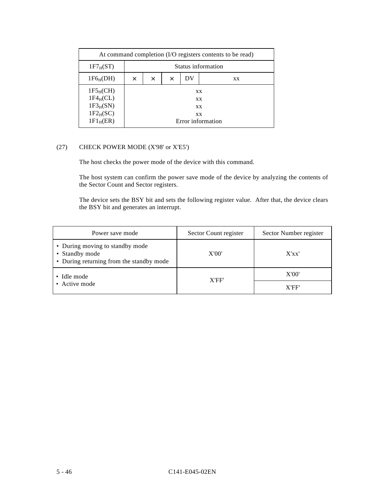| At command completion (I/O registers contents to be read)             |          |                    |          |    |                                           |  |  |  |
|-----------------------------------------------------------------------|----------|--------------------|----------|----|-------------------------------------------|--|--|--|
| $1F7_H(ST)$                                                           |          | Status information |          |    |                                           |  |  |  |
| $1F6_H(DH)$                                                           | $\times$ | $\times$           | $\times$ | DV | XX                                        |  |  |  |
| $1F5_H(CH)$<br>$1F4_HCL$<br>$1F3_H(SN)$<br>$1F2_H(SC)$<br>$1F1_H(ER)$ |          |                    |          |    | XX<br>XX<br>XX<br>XX<br>Error information |  |  |  |

## (27) CHECK POWER MODE (X'98' or X'E5')

The host checks the power mode of the device with this command.

The host system can confirm the power save mode of the device by analyzing the contents of the Sector Count and Sector registers.

The device sets the BSY bit and sets the following register value. After that, the device clears the BSY bit and generates an interrupt.

| Power save mode                                                                               | Sector Count register | Sector Number register |
|-----------------------------------------------------------------------------------------------|-----------------------|------------------------|
| • During moving to standby mode<br>• Standby mode<br>• During returning from the standby mode | X'00'                 | X'xx'                  |
| • Idle mode                                                                                   | X'FF'                 | X'00'                  |
| • Active mode                                                                                 |                       | X'FF'                  |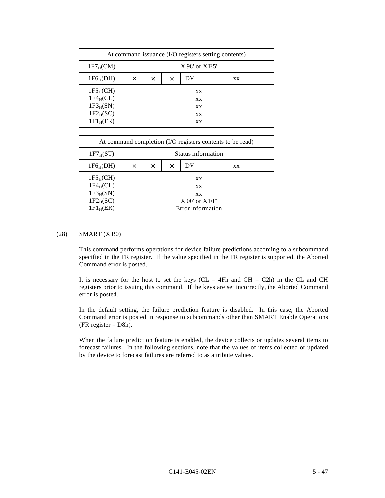|                                                                        |          |                    |          |    | At command issuance (I/O registers setting contents) |  |  |  |  |
|------------------------------------------------------------------------|----------|--------------------|----------|----|------------------------------------------------------|--|--|--|--|
| $1F7_HCM$                                                              |          | $X'98'$ or $X'E5'$ |          |    |                                                      |  |  |  |  |
| $1F6_H(DH)$                                                            | $\times$ | $\times$           | $\times$ | DV | XX                                                   |  |  |  |  |
| $1F5_H(CH)$<br>$1F4_HCL$<br>$1F3_H(SN)$<br>$1F2_H(SC)$<br>$1F1_H$ (FR) |          |                    |          |    | XX<br>XX<br>XX<br>XX<br>XX                           |  |  |  |  |

| At command completion (I/O registers contents to be read)             |          |                    |          |    |                                                                                |  |  |  |  |
|-----------------------------------------------------------------------|----------|--------------------|----------|----|--------------------------------------------------------------------------------|--|--|--|--|
| $1F7_H(ST)$                                                           |          | Status information |          |    |                                                                                |  |  |  |  |
| $1F6_H(DH)$                                                           | $\times$ | $\times$           | $\times$ | DV | <b>XX</b>                                                                      |  |  |  |  |
| $1F5_H(CH)$<br>$1F4_HCL$<br>$1F3_H(SN)$<br>$1F2_H(SC)$<br>$1F1_H(ER)$ |          |                    |          |    | <b>XX</b><br><b>XX</b><br><b>XX</b><br>$X'00'$ or $X'FF'$<br>Error information |  |  |  |  |

#### (28) SMART (X'B0)

This command performs operations for device failure predictions according to a subcommand specified in the FR register. If the value specified in the FR register is supported, the Aborted Command error is posted.

It is necessary for the host to set the keys ( $CL = 4Fh$  and  $CH = C2h$ ) in the CL and CH registers prior to issuing this command. If the keys are set incorrectly, the Aborted Command error is posted.

In the default setting, the failure prediction feature is disabled. In this case, the Aborted Command error is posted in response to subcommands other than SMART Enable Operations (FR register  $=$  D8h).

When the failure prediction feature is enabled, the device collects or updates several items to forecast failures. In the following sections, note that the values of items collected or updated by the device to forecast failures are referred to as attribute values.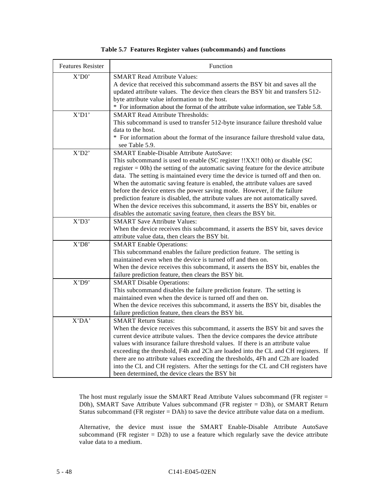|  |  |  |  |  | Table 5.7 Features Register values (subcommands) and functions |
|--|--|--|--|--|----------------------------------------------------------------|
|--|--|--|--|--|----------------------------------------------------------------|

| <b>Features Resister</b> | Function                                                                                                  |
|--------------------------|-----------------------------------------------------------------------------------------------------------|
| X'D0'                    | <b>SMART Read Attribute Values:</b>                                                                       |
|                          | A device that received this subcommand asserts the BSY bit and saves all the                              |
|                          | updated attribute values. The device then clears the BSY bit and transfers 512-                           |
|                          | byte attribute value information to the host.                                                             |
|                          | * For information about the format of the attribute value information, see Table 5.8.                     |
| X'D1'                    | <b>SMART Read Attribute Thresholds:</b>                                                                   |
|                          | This subcommand is used to transfer 512-byte insurance failure threshold value                            |
|                          | data to the host.                                                                                         |
|                          | * For information about the format of the insurance failure threshold value data,                         |
|                          | see Table 5.9.                                                                                            |
| X'D2'                    | <b>SMART</b> Enable-Disable Attribute AutoSave:                                                           |
|                          | This subcommand is used to enable (SC register !!XX!! 00h) or disable (SC                                 |
|                          | register $=$ 00h) the setting of the automatic saving feature for the device attribute                    |
|                          | data. The setting is maintained every time the device is turned off and then on.                          |
|                          | When the automatic saving feature is enabled, the attribute values are saved                              |
|                          | before the device enters the power saving mode. However, if the failure                                   |
|                          | prediction feature is disabled, the attribute values are not automatically saved.                         |
|                          | When the device receives this subcommand, it asserts the BSY bit, enables or                              |
|                          | disables the automatic saving feature, then clears the BSY bit.                                           |
| X'D3'                    | <b>SMART Save Attribute Values:</b>                                                                       |
|                          | When the device receives this subcommand, it asserts the BSY bit, saves device                            |
| X'D8'                    | attribute value data, then clears the BSY bit.                                                            |
|                          | <b>SMART</b> Enable Operations:<br>This subcommand enables the failure prediction feature. The setting is |
|                          | maintained even when the device is turned off and then on.                                                |
|                          | When the device receives this subcommand, it asserts the BSY bit, enables the                             |
|                          | failure prediction feature, then clears the BSY bit.                                                      |
| X'D9'                    | <b>SMART Disable Operations:</b>                                                                          |
|                          | This subcommand disables the failure prediction feature. The setting is                                   |
|                          | maintained even when the device is turned off and then on.                                                |
|                          | When the device receives this subcommand, it asserts the BSY bit, disables the                            |
|                          | failure prediction feature, then clears the BSY bit.                                                      |
| X'DA'                    | <b>SMART Return Status:</b>                                                                               |
|                          | When the device receives this subcommand, it asserts the BSY bit and saves the                            |
|                          | current device attribute values. Then the device compares the device attribute                            |
|                          | values with insurance failure threshold values. If there is an attribute value                            |
|                          | exceeding the threshold, F4h and 2Ch are loaded into the CL and CH registers. If                          |
|                          | there are no attribute values exceeding the thresholds, 4Fh and C2h are loaded                            |
|                          | into the CL and CH registers. After the settings for the CL and CH registers have                         |
|                          | been determined, the device clears the BSY bit                                                            |

The host must regularly issue the SMART Read Attribute Values subcommand (FR register = D0h), SMART Save Attribute Values subcommand (FR register = D3h), or SMART Return Status subcommand (FR register = DAh) to save the device attribute value data on a medium.

Alternative, the device must issue the SMART Enable-Disable Attribute AutoSave subcommand (FR register  $= D2h$ ) to use a feature which regularly save the device attribute value data to a medium.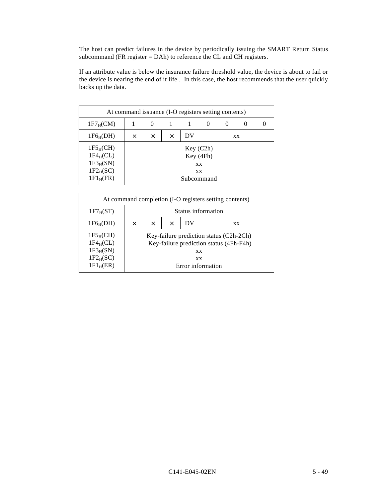The host can predict failures in the device by periodically issuing the SMART Return Status subcommand (FR register  $=$  DAh) to reference the CL and CH registers.

If an attribute value is below the insurance failure threshold value, the device is about to fail or the device is nearing the end of it life . In this case, the host recommends that the user quickly backs up the data.

| At command issuance (I-O registers setting contents)                   |   |                           |  |  |                                                  |  |  |  |  |
|------------------------------------------------------------------------|---|---------------------------|--|--|--------------------------------------------------|--|--|--|--|
| $1F7_HCM$                                                              |   | $\mathbf{0}$              |  |  |                                                  |  |  |  |  |
| $1F6_H(DH)$                                                            | X | DV<br>$\times$<br>X<br>XX |  |  |                                                  |  |  |  |  |
| $1F5_H(CH)$<br>$1F4_HCL$<br>$1F3_H(SN)$<br>$1F2_H(SC)$<br>$1F1_H$ (FR) |   |                           |  |  | Key (C2h)<br>Key (4Fh)<br>XX<br>XX<br>Subcommand |  |  |  |  |

| At command completion (I-O registers setting contents)                          |          |                                         |  |           |                                                                                                                      |  |  |
|---------------------------------------------------------------------------------|----------|-----------------------------------------|--|-----------|----------------------------------------------------------------------------------------------------------------------|--|--|
| $1F7_H(ST)$                                                                     |          | Status information                      |  |           |                                                                                                                      |  |  |
| 1F6 <sub>H</sub> (DH)                                                           | $\times$ | DV<br>$\times$<br>$\times$<br><b>XX</b> |  |           |                                                                                                                      |  |  |
| 1F5 <sub>H</sub> (CH)<br>$1F4_HCL$<br>$1F3_H(SN)$<br>$1F2_H(SC)$<br>$1F1_H(ER)$ |          |                                         |  | <b>XX</b> | Key-failure prediction status (C2h-2Ch)<br>Key-failure prediction status (4Fh-F4h)<br><b>XX</b><br>Error information |  |  |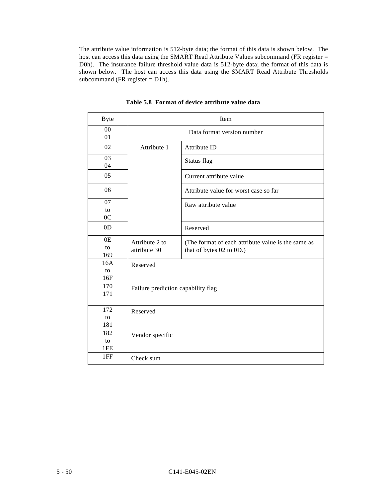The attribute value information is 512-byte data; the format of this data is shown below. The host can access this data using the SMART Read Attribute Values subcommand (FR register = D0h). The insurance failure threshold value data is 512-byte data; the format of this data is shown below. The host can access this data using the SMART Read Attribute Thresholds subcommand (FR register = D1h).

| <b>Byte</b>                | Item                               |                                                                                |  |  |  |  |  |
|----------------------------|------------------------------------|--------------------------------------------------------------------------------|--|--|--|--|--|
| 00<br>01                   |                                    | Data format version number                                                     |  |  |  |  |  |
| 02                         | Attribute 1                        | Attribute ID                                                                   |  |  |  |  |  |
| 03<br>04                   |                                    | Status flag                                                                    |  |  |  |  |  |
| 05                         |                                    | Current attribute value                                                        |  |  |  |  |  |
| 06                         |                                    | Attribute value for worst case so far                                          |  |  |  |  |  |
| 07<br>to<br>0 <sup>C</sup> |                                    | Raw attribute value                                                            |  |  |  |  |  |
| 0 <sub>D</sub>             |                                    | Reserved                                                                       |  |  |  |  |  |
| 0E<br>to<br>169            | Attribute 2 to<br>attribute 30     | (The format of each attribute value is the same as<br>that of bytes 02 to 0D.) |  |  |  |  |  |
| 16A<br>to<br>16F           | Reserved                           |                                                                                |  |  |  |  |  |
| 170<br>171                 | Failure prediction capability flag |                                                                                |  |  |  |  |  |
| 172<br>to<br>181           | Reserved                           |                                                                                |  |  |  |  |  |
| 182<br>to<br>1FE           | Vendor specific                    |                                                                                |  |  |  |  |  |
| 1FF                        | Check sum                          |                                                                                |  |  |  |  |  |

**Table 5.8 Format of device attribute value data**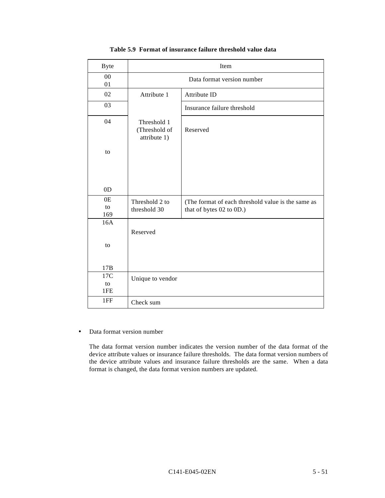| <b>Byte</b>      | Item                                         |                                                                                |  |  |  |  |
|------------------|----------------------------------------------|--------------------------------------------------------------------------------|--|--|--|--|
| ${\bf 00}$<br>01 | Data format version number                   |                                                                                |  |  |  |  |
| 02               | Attribute 1                                  | Attribute ID                                                                   |  |  |  |  |
| 03               |                                              | Insurance failure threshold                                                    |  |  |  |  |
| 04               | Threshold 1<br>(Threshold of<br>attribute 1) | Reserved                                                                       |  |  |  |  |
| to               |                                              |                                                                                |  |  |  |  |
| 0 <sub>D</sub>   |                                              |                                                                                |  |  |  |  |
| 0E<br>to<br>169  | Threshold 2 to<br>threshold 30               | (The format of each threshold value is the same as<br>that of bytes 02 to 0D.) |  |  |  |  |
| 16A<br>to        | Reserved                                     |                                                                                |  |  |  |  |
| 17B              |                                              |                                                                                |  |  |  |  |
| 17C<br>to<br>1FE | Unique to vendor                             |                                                                                |  |  |  |  |
| 1FF              | Check sum                                    |                                                                                |  |  |  |  |

## **Table 5.9 Format of insurance failure threshold value data**

• Data format version number

The data format version number indicates the version number of the data format of the device attribute values or insurance failure thresholds. The data format version numbers of the device attribute values and insurance failure thresholds are the same. When a data format is changed, the data format version numbers are updated.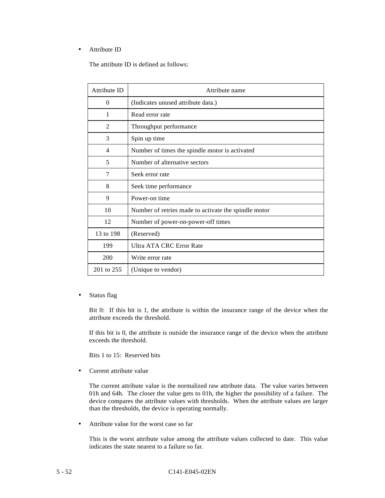## • Attribute ID

The attribute ID is defined as follows:

| Attribute ID   | Attribute name                                       |
|----------------|------------------------------------------------------|
| 0              | (Indicates unused attribute data.)                   |
| 1              | Read error rate                                      |
| $\overline{2}$ | Throughput performance                               |
| 3              | Spin up time                                         |
| 4              | Number of times the spindle motor is activated       |
| 5              | Number of alternative sectors                        |
| 7              | Seek error rate                                      |
| 8              | Seek time performance                                |
| 9              | Power-on time                                        |
| 10             | Number of retries made to activate the spindle motor |
| 12             | Number of power-on-power-off times                   |
| 13 to 198      | (Reserved)                                           |
| 199            | Ultra ATA CRC Error Rate                             |
| 200            | Write error rate                                     |
| 201 to 255     | (Unique to vendor)                                   |

• Status flag

Bit 0: If this bit is 1, the attribute is within the insurance range of the device when the attribute exceeds the threshold.

If this bit is 0, the attribute is outside the insurance range of the device when the attribute exceeds the threshold.

Bits 1 to 15: Reserved bits

• Current attribute value

The current attribute value is the normalized raw attribute data. The value varies between 01h and 64h. The closer the value gets to 01h, the higher the possibility of a failure. The device compares the attribute values with thresholds. When the attribute values are larger than the thresholds, the device is operating normally.

• Attribute value for the worst case so far

This is the worst attribute value among the attribute values collected to date. This value indicates the state nearest to a failure so far.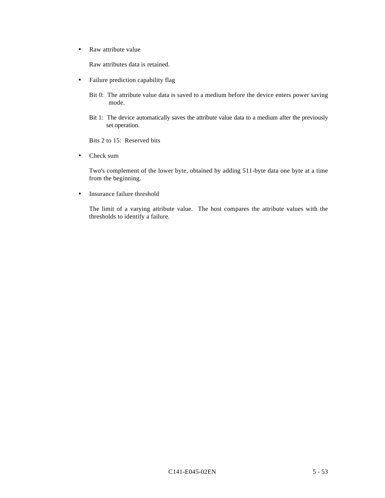• Raw attribute value

Raw attributes data is retained.

- Failure prediction capability flag
	- Bit 0: The attribute value data is saved to a medium before the device enters power saving mode.
	- Bit 1: The device automatically saves the attribute value data to a medium after the previously set operation.

Bits 2 to 15: Reserved bits

• Check sum

Two's complement of the lower byte, obtained by adding 511-byte data one byte at a time from the beginning.

• Insurance failure threshold

The limit of a varying attribute value. The host compares the attribute values with the thresholds to identify a failure.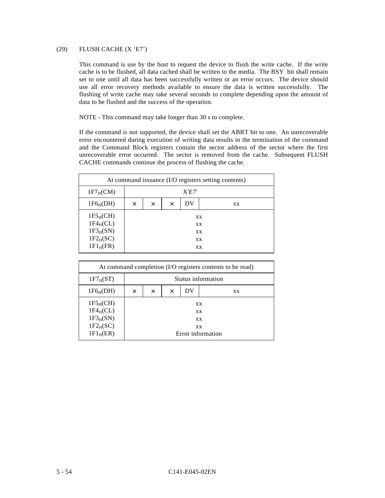## (29) FLUSH CACHE (X 'E7')

This command is use by the host to request the device to flush the write cache. If the write cache is to be flushed, all data cached shall be written to the media. The BSY bit shall remain set to one until all data has been successfully written or an error occurs. The device should use all error recovery methods available to ensure the data is written successfully. The flushing of write cache may take several seconds to complete depending upon the amount of data to be flushed and the success of the operation.

NOTE - This command may take longer than 30 s to complete.

If the command is not supported, the device shall set the ABRT bit to one. An unrecoverable error encountered during execution of writing data results in the termination of the command and the Command Block registers contain the sector address of the sector where the first unrecoverable error occurred. The sector is removed from the cache. Subsequent FLUSH CACHE commands continue the process of flushing the cache.

| At command issuance (I/O registers setting contents)                   |          |                                  |  |  |  |  |  |
|------------------------------------------------------------------------|----------|----------------------------------|--|--|--|--|--|
| $1F7_HCM$                                                              |          | X'E7'                            |  |  |  |  |  |
| $1F6_H(DH)$                                                            | $\times$ | DV<br>$\times$<br>$\times$<br>XX |  |  |  |  |  |
| $1F5_H(CH)$<br>$1F4_HCL$<br>$1F3_H(SN)$<br>$1F2_H(SC)$<br>$1F1_H$ (FR) |          | XX<br>XX<br>XX<br>XX<br>XX       |  |  |  |  |  |

| At command completion (I/O registers contents to be read)             |          |                                                         |  |  |  |  |  |
|-----------------------------------------------------------------------|----------|---------------------------------------------------------|--|--|--|--|--|
| $1F7_H(ST)$                                                           |          | Status information                                      |  |  |  |  |  |
| $1F6_H(DH)$                                                           | $\times$ | DV<br>X<br>$\times$<br>XX                               |  |  |  |  |  |
| $1F5_H(CH)$<br>$1F4_HCL$<br>$1F3_H(SN)$<br>$1F2_H(SC)$<br>$1F1_H(ER)$ |          | XX<br><b>XX</b><br><b>XX</b><br>XX<br>Error information |  |  |  |  |  |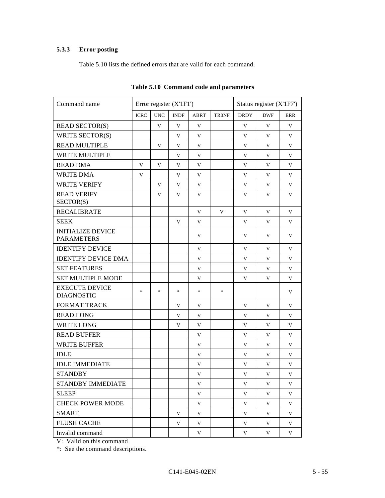# **5.3.3 Error posting**

Table 5.10 lists the defined errors that are valid for each command.

| Command name                                  | Error register (X'1F1')           |                                   |             |                                   |                                   | Status register (X'1F7') |            |            |
|-----------------------------------------------|-----------------------------------|-----------------------------------|-------------|-----------------------------------|-----------------------------------|--------------------------|------------|------------|
|                                               | <b>ICRC</b>                       | <b>UNC</b>                        | <b>INDF</b> | ABRT                              | <b>TRONF</b>                      | <b>DRDY</b>              | <b>DWF</b> | <b>ERR</b> |
| <b>READ SECTOR(S)</b>                         |                                   | V                                 | V           | V                                 |                                   | V                        | V          | V          |
| WRITE SECTOR(S)                               |                                   |                                   | V           | V                                 |                                   | V                        | V          | V          |
| <b>READ MULTIPLE</b>                          |                                   | V                                 | V           | V                                 |                                   | V                        | V          | V          |
| WRITE MULTIPLE                                |                                   |                                   | V           | V                                 |                                   | V                        | V          | V          |
| <b>READ DMA</b>                               | V                                 | V                                 | V           | V                                 |                                   | V                        | V          | V          |
| <b>WRITE DMA</b>                              | V                                 |                                   | V           | V                                 |                                   | V                        | V          | V          |
| <b>WRITE VERIFY</b>                           |                                   | V                                 | V           | V                                 |                                   | V                        | V          | V          |
| <b>READ VERIFY</b><br>SECTOR(S)               |                                   | V                                 | V           | V                                 |                                   | V                        | V          | V          |
| <b>RECALIBRATE</b>                            |                                   |                                   |             | V                                 | V                                 | V                        | V          | V          |
| <b>SEEK</b>                                   |                                   |                                   | V           | V                                 |                                   | V                        | V          | V          |
| <b>INITIALIZE DEVICE</b><br><b>PARAMETERS</b> |                                   |                                   |             | V                                 |                                   | V                        | V          | V          |
| <b>IDENTIFY DEVICE</b>                        |                                   |                                   |             | V                                 |                                   | V                        | V          | V          |
| <b>IDENTIFY DEVICE DMA</b>                    |                                   |                                   |             | V                                 |                                   | V                        | V          | V          |
| <b>SET FEATURES</b>                           |                                   |                                   |             | V                                 |                                   | V                        | V          | V          |
| <b>SET MULTIPLE MODE</b>                      |                                   |                                   |             | V                                 |                                   | V                        | V          | V          |
| <b>EXECUTE DEVICE</b><br><b>DIAGNOSTIC</b>    | $\frac{d\mathbf{x}}{d\mathbf{x}}$ | $\frac{d\mathbf{r}}{d\mathbf{r}}$ | $\ast$      | $\frac{d\mathbf{x}}{d\mathbf{x}}$ | $\frac{d\mathbf{x}}{d\mathbf{x}}$ |                          |            | V          |
| <b>FORMAT TRACK</b>                           |                                   |                                   | V           | V                                 |                                   | V                        | V          | V          |
| <b>READ LONG</b>                              |                                   |                                   | V           | V                                 |                                   | V                        | V          | V          |
| <b>WRITE LONG</b>                             |                                   |                                   | V           | V                                 |                                   | V                        | V          | V          |
| <b>READ BUFFER</b>                            |                                   |                                   |             | V                                 |                                   | V                        | V          | V          |
| <b>WRITE BUFFER</b>                           |                                   |                                   |             | V                                 |                                   | V                        | V          | V          |
| <b>IDLE</b>                                   |                                   |                                   |             | V                                 |                                   | V                        | V          | V          |
| <b>IDLE IMMEDIATE</b>                         |                                   |                                   |             | V                                 |                                   | V                        | V          | V          |
| <b>STANDBY</b>                                |                                   |                                   |             | V                                 |                                   | $\mathbf V$              | V          | V          |
| STANDBY IMMEDIATE                             |                                   |                                   |             | V                                 |                                   | V                        | V          | V          |
| <b>SLEEP</b>                                  |                                   |                                   |             | V                                 |                                   | V                        | V          | V          |
| <b>CHECK POWER MODE</b>                       |                                   |                                   |             | V                                 |                                   | V                        | V          | V          |
| <b>SMART</b>                                  |                                   |                                   | V           | V                                 |                                   | V                        | V          | V          |
| <b>FLUSH CACHE</b>                            |                                   |                                   | V           | V                                 |                                   | V                        | V          | V          |
| Invalid command                               |                                   |                                   |             | V                                 |                                   | V                        | V          | V          |

**Table 5.10 Command code and parameters**

V: Valid on this command

\*: See the command descriptions.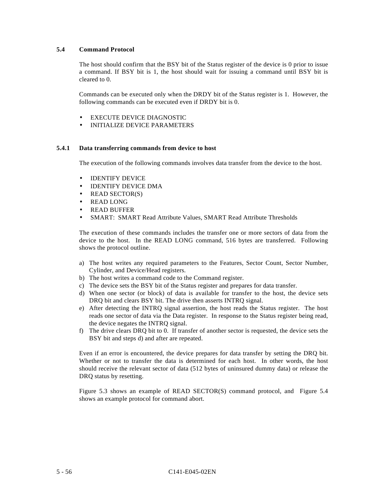## **5.4 Command Protocol**

The host should confirm that the BSY bit of the Status register of the device is 0 prior to issue a command. If BSY bit is 1, the host should wait for issuing a command until BSY bit is cleared to 0.

Commands can be executed only when the DRDY bit of the Status register is 1. However, the following commands can be executed even if DRDY bit is 0.

- EXECUTE DEVICE DIAGNOSTIC
- INITIALIZE DEVICE PARAMETERS

#### **5.4.1 Data transferring commands from device to host**

The execution of the following commands involves data transfer from the device to the host.

- IDENTIFY DEVICE
- IDENTIFY DEVICE DMA
- READ SECTOR(S)
- READ LONG
- READ BUFFER
- SMART: SMART Read Attribute Values, SMART Read Attribute Thresholds

The execution of these commands includes the transfer one or more sectors of data from the device to the host. In the READ LONG command, 516 bytes are transferred. Following shows the protocol outline.

- a) The host writes any required parameters to the Features, Sector Count, Sector Number, Cylinder, and Device/Head registers.
- b) The host writes a command code to the Command register.
- c) The device sets the BSY bit of the Status register and prepares for data transfer.
- d) When one sector (or block) of data is available for transfer to the host, the device sets DRQ bit and clears BSY bit. The drive then asserts INTRQ signal.
- e) After detecting the INTRQ signal assertion, the host reads the Status register. The host reads one sector of data via the Data register. In response to the Status register being read, the device negates the INTRQ signal.
- f) The drive clears DRQ bit to 0. If transfer of another sector is requested, the device sets the BSY bit and steps d) and after are repeated.

Even if an error is encountered, the device prepares for data transfer by setting the DRQ bit. Whether or not to transfer the data is determined for each host. In other words, the host should receive the relevant sector of data (512 bytes of uninsured dummy data) or release the DRQ status by resetting.

Figure 5.3 shows an example of READ SECTOR(S) command protocol, and Figure 5.4 shows an example protocol for command abort.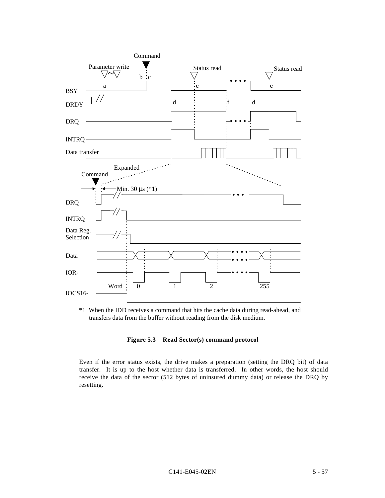

\*1 When the IDD receives a command that hits the cache data during read-ahead, and transfers data from the buffer without reading from the disk medium.

## **Figure 5.3 Read Sector(s) command protocol**

Even if the error status exists, the drive makes a preparation (setting the DRQ bit) of data transfer. It is up to the host whether data is transferred. In other words, the host should receive the data of the sector (512 bytes of uninsured dummy data) or release the DRQ by resetting.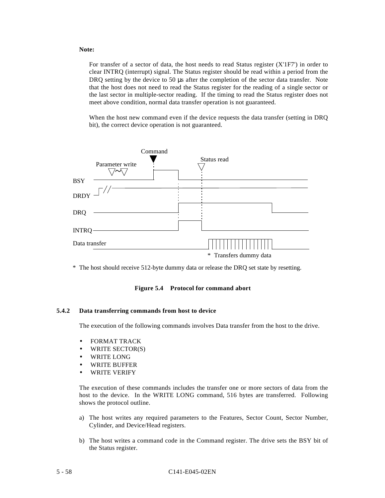#### **Note:**

For transfer of a sector of data, the host needs to read Status register (X'1F7') in order to clear INTRQ (interrupt) signal. The Status register should be read within a period from the DRQ setting by the device to 50 μs after the completion of the sector data transfer. Note that the host does not need to read the Status register for the reading of a single sector or the last sector in multiple-sector reading. If the timing to read the Status register does not meet above condition, normal data transfer operation is not guaranteed.

When the host new command even if the device requests the data transfer (setting in DRQ bit), the correct device operation is not guaranteed.



\* The host should receive 512-byte dummy data or release the DRQ set state by resetting.

**Figure 5.4 Protocol for command abort**

#### **5.4.2 Data transferring commands from host to device**

The execution of the following commands involves Data transfer from the host to the drive.

- FORMAT TRACK
- WRITE SECTOR(S)
- WRITE LONG
- WRITE BUFFER
- WRITE VERIFY

The execution of these commands includes the transfer one or more sectors of data from the host to the device. In the WRITE LONG command, 516 bytes are transferred. Following shows the protocol outline.

- a) The host writes any required parameters to the Features, Sector Count, Sector Number, Cylinder, and Device/Head registers.
- b) The host writes a command code in the Command register. The drive sets the BSY bit of the Status register.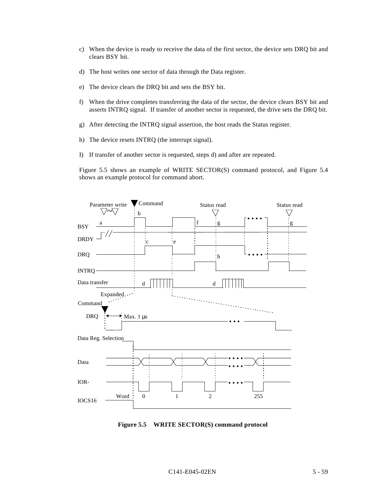- c) When the device is ready to receive the data of the first sector, the device sets DRQ bit and clears BSY bit.
- d) The host writes one sector of data through the Data register.
- e) The device clears the DRQ bit and sets the BSY bit.
- f) When the drive completes transferring the data of the sector, the device clears BSY bit and asserts INTRQ signal. If transfer of another sector is requested, the drive sets the DRQ bit.
- g) After detecting the INTRQ signal assertion, the host reads the Status register.
- h) The device resets INTRQ (the interrupt signal).
- I) If transfer of another sector is requested, steps d) and after are repeated.

Figure 5.5 shows an example of WRITE SECTOR(S) command protocol, and Figure 5.4 shows an example protocol for command abort.



**Figure 5.5 WRITE SECTOR(S) command protocol**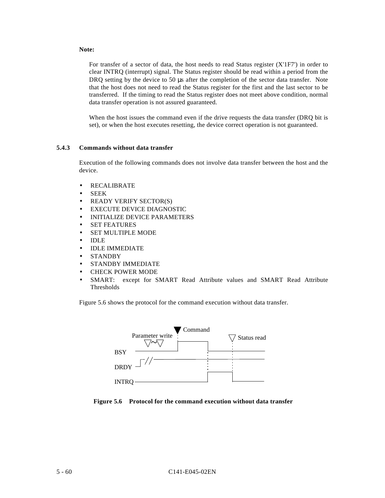#### **Note:**

For transfer of a sector of data, the host needs to read Status register (X'1F7') in order to clear INTRQ (interrupt) signal. The Status register should be read within a period from the DRQ setting by the device to 50 μs after the completion of the sector data transfer. Note that the host does not need to read the Status register for the first and the last sector to be transferred. If the timing to read the Status register does not meet above condition, normal data transfer operation is not assured guaranteed.

When the host issues the command even if the drive requests the data transfer (DRQ bit is set), or when the host executes resetting, the device correct operation is not guaranteed.

#### **5.4.3 Commands without data transfer**

Execution of the following commands does not involve data transfer between the host and the device.

- RECALIBRATE
- SEEK
- READY VERIFY SECTOR(S)
- EXECUTE DEVICE DIAGNOSTIC
- INITIALIZE DEVICE PARAMETERS
- SET FEATURES
- SET MULTIPLE MODE
- IDLE
- IDLE IMMEDIATE
- STANDBY
- STANDBY IMMEDIATE
- CHECK POWER MODE
- SMART: except for SMART Read Attribute values and SMART Read Attribute Thresholds

Figure 5.6 shows the protocol for the command execution without data transfer.



**Figure 5.6 Protocol for the command execution without data transfer**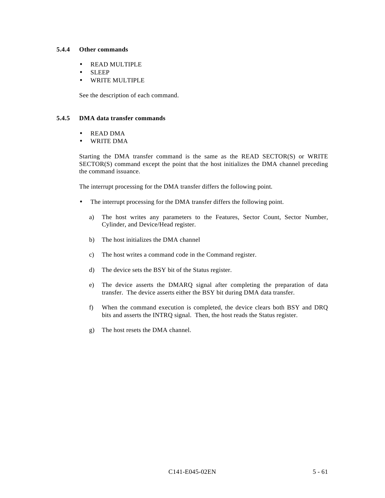## **5.4.4 Other commands**

- READ MULTIPLE
- SLEEP
- WRITE MULTIPLE

See the description of each command.

#### **5.4.5 DMA data transfer commands**

- READ DMA
- WRITE DMA

Starting the DMA transfer command is the same as the READ SECTOR(S) or WRITE SECTOR(S) command except the point that the host initializes the DMA channel preceding the command issuance.

The interrupt processing for the DMA transfer differs the following point.

- The interrupt processing for the DMA transfer differs the following point.
	- a) The host writes any parameters to the Features, Sector Count, Sector Number, Cylinder, and Device/Head register.
	- b) The host initializes the DMA channel
	- c) The host writes a command code in the Command register.
	- d) The device sets the BSY bit of the Status register.
	- e) The device asserts the DMARQ signal after completing the preparation of data transfer. The device asserts either the BSY bit during DMA data transfer.
	- f) When the command execution is completed, the device clears both BSY and DRQ bits and asserts the INTRQ signal. Then, the host reads the Status register.
	- g) The host resets the DMA channel.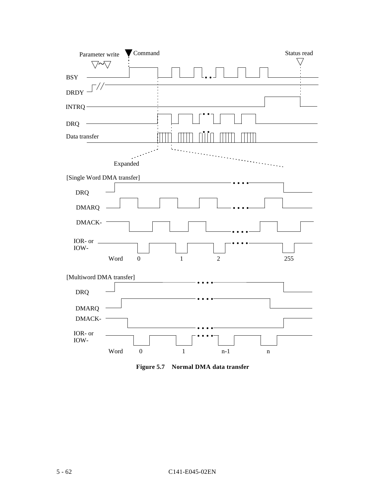

**Figure 5.7 Normal DMA data transfer**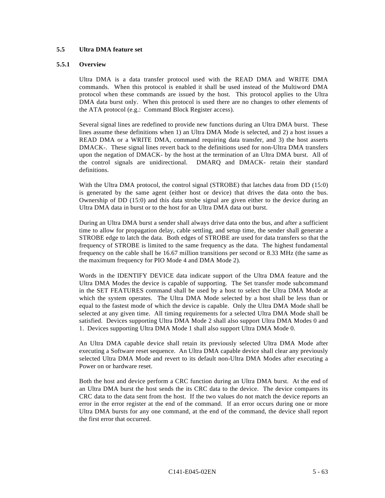## **5.5 Ultra DMA feature set**

#### **5.5.1 Overview**

Ultra DMA is a data transfer protocol used with the READ DMA and WRITE DMA commands. When this protocol is enabled it shall be used instead of the Multiword DMA protocol when these commands are issued by the host. This protocol applies to the Ultra DMA data burst only. When this protocol is used there are no changes to other elements of the ATA protocol (e.g.: Command Block Register access).

Several signal lines are redefined to provide new functions during an Ultra DMA burst. These lines assume these definitions when 1) an Ultra DMA Mode is selected, and 2) a host issues a READ DMA or a WRITE DMA, command requiring data transfer, and 3) the host asserts DMACK-. These signal lines revert back to the definitions used for non-Ultra DMA transfers upon the negation of DMACK- by the host at the termination of an Ultra DMA burst. All of the control signals are unidirectional. DMARQ and DMACK- retain their standard definitions.

With the Ultra DMA protocol, the control signal (STROBE) that latches data from DD (15:0) is generated by the same agent (either host or device) that drives the data onto the bus. Ownership of DD (15:0) and this data strobe signal are given either to the device during an Ultra DMA data in burst or to the host for an Ultra DMA data out burst.

During an Ultra DMA burst a sender shall always drive data onto the bus, and after a sufficient time to allow for propagation delay, cable settling, and setup time, the sender shall generate a STROBE edge to latch the data. Both edges of STROBE are used for data transfers so that the frequency of STROBE is limited to the same frequency as the data. The highest fundamental frequency on the cable shall be 16.67 million transitions per second or 8.33 MHz (the same as the maximum frequency for PIO Mode 4 and DMA Mode 2).

Words in the IDENTIFY DEVICE data indicate support of the Ultra DMA feature and the Ultra DMA Modes the device is capable of supporting. The Set transfer mode subcommand in the SET FEATURES command shall be used by a host to select the Ultra DMA Mode at which the system operates. The Ultra DMA Mode selected by a host shall be less than or equal to the fastest mode of which the device is capable. Only the Ultra DMA Mode shall be selected at any given time. All timing requirements for a selected Ultra DMA Mode shall be satisfied. Devices supporting Ultra DMA Mode 2 shall also support Ultra DMA Modes 0 and 1. Devices supporting Ultra DMA Mode 1 shall also support Ultra DMA Mode 0.

An Ultra DMA capable device shall retain its previously selected Ultra DMA Mode after executing a Software reset sequence. An Ultra DMA capable device shall clear any previously selected Ultra DMA Mode and revert to its default non-Ultra DMA Modes after executing a Power on or hardware reset.

Both the host and device perform a CRC function during an Ultra DMA burst. At the end of an Ultra DMA burst the host sends the its CRC data to the device. The device compares its CRC data to the data sent from the host. If the two values do not match the device reports an error in the error register at the end of the command. If an error occurs during one or more Ultra DMA bursts for any one command, at the end of the command, the device shall report the first error that occurred.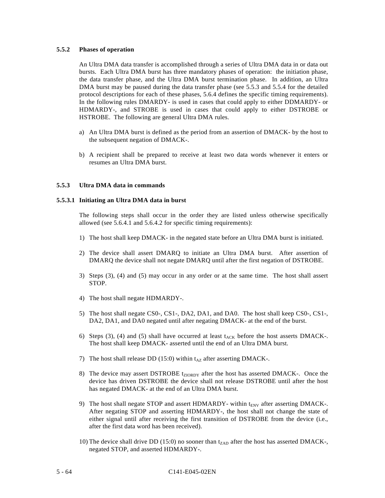#### **5.5.2 Phases of operation**

An Ultra DMA data transfer is accomplished through a series of Ultra DMA data in or data out bursts. Each Ultra DMA burst has three mandatory phases of operation: the initiation phase, the data transfer phase, and the Ultra DMA burst termination phase. In addition, an Ultra DMA burst may be paused during the data transfer phase (see 5.5.3 and 5.5.4 for the detailed protocol descriptions for each of these phases, 5.6.4 defines the specific timing requirements). In the following rules DMARDY- is used in cases that could apply to either DDMARDY- or HDMARDY-, and STROBE is used in cases that could apply to either DSTROBE or HSTROBE. The following are general Ultra DMA rules.

- a) An Ultra DMA burst is defined as the period from an assertion of DMACK- by the host to the subsequent negation of DMACK-.
- b) A recipient shall be prepared to receive at least two data words whenever it enters or resumes an Ultra DMA burst.

## **5.5.3 Ultra DMA data in commands**

## **5.5.3.1 Initiating an Ultra DMA data in burst**

The following steps shall occur in the order they are listed unless otherwise specifically allowed (see 5.6.4.1 and 5.6.4.2 for specific timing requirements):

- 1) The host shall keep DMACK- in the negated state before an Ultra DMA burst is initiated.
- 2) The device shall assert DMARQ to initiate an Ultra DMA burst. After assertion of DMARQ the device shall not negate DMARQ until after the first negation of DSTROBE.
- 3) Steps (3), (4) and (5) may occur in any order or at the same time. The host shall assert STOP.
- 4) The host shall negate HDMARDY-.
- 5) The host shall negate CS0-, CS1-, DA2, DA1, and DA0. The host shall keep CS0-, CS1-, DA2, DA1, and DA0 negated until after negating DMACK- at the end of the burst.
- 6) Steps (3), (4) and (5) shall have occurred at least  $t_{ACK}$  before the host asserts DMACK-. The host shall keep DMACK- asserted until the end of an Ultra DMA burst.
- 7) The host shall release DD (15:0) within  $t_{AZ}$  after asserting DMACK-.
- 8) The device may assert DSTROBE t<sub>ZIORDY</sub> after the host has asserted DMACK-. Once the device has driven DSTROBE the device shall not release DSTROBE until after the host has negated DMACK- at the end of an Ultra DMA burst.
- 9) The host shall negate STOP and assert HDMARDY- within t<sub>ENV</sub> after asserting DMACK-. After negating STOP and asserting HDMARDY-, the host shall not change the state of either signal until after receiving the first transition of DSTROBE from the device (i.e., after the first data word has been received).
- 10) The device shall drive DD (15:0) no sooner than  $t_{ZAD}$  after the host has asserted DMACK-, negated STOP, and asserted HDMARDY-.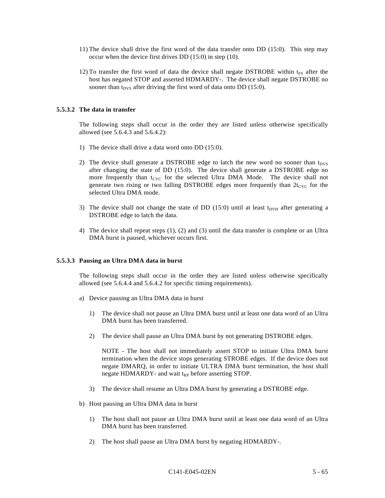- 11) The device shall drive the first word of the data transfer onto DD (15:0). This step may occur when the device first drives DD (15:0) in step (10).
- 12) To transfer the first word of data the device shall negate DSTROBE within  $t_{FS}$  after the host has negated STOP and asserted HDMARDY-. The device shall negate DSTROBE no sooner than  $t_{DVS}$  after driving the first word of data onto DD (15:0).

#### **5.5.3.2 The data in transfer**

The following steps shall occur in the order they are listed unless otherwise specifically allowed (see 5.6.4.3 and 5.6.4.2):

- 1) The device shall drive a data word onto DD (15:0).
- 2) The device shall generate a DSTROBE edge to latch the new word no sooner than  $t_{DVS}$ after changing the state of DD (15:0). The device shall generate a DSTROBE edge no more frequently than  $t_{CYC}$  for the selected Ultra DMA Mode. The device shall not generate two rising or two falling DSTROBE edges more frequently than  $2t_{CYC}$  for the selected Ultra DMA mode.
- 3) The device shall not change the state of DD (15:0) until at least  $t_{DVH}$  after generating a DSTROBE edge to latch the data.
- 4) The device shall repeat steps (1), (2) and (3) until the data transfer is complete or an Ultra DMA burst is paused, whichever occurs first.

#### **5.5.3.3 Pausing an Ultra DMA data in burst**

The following steps shall occur in the order they are listed unless otherwise specifically allowed (see 5.6.4.4 and 5.6.4.2 for specific timing requirements).

- a) Device pausing an Ultra DMA data in burst
	- 1) The device shall not pause an Ultra DMA burst until at least one data word of an Ultra DMA burst has been transferred.
	- 2) The device shall pause an Ultra DMA burst by not generating DSTROBE edges.

NOTE - The host shall not immediately assert STOP to initiate Ultra DMA burst termination when the device stops generating STROBE edges. If the device does not negate DMARQ, in order to initiate ULTRA DMA burst termination, the host shall negate HDMARDY- and wait  $t_{RP}$  before asserting STOP.

- 3) The device shall resume an Ultra DMA burst by generating a DSTROBE edge.
- b) Host pausing an Ultra DMA data in burst
	- 1) The host shall not pause an Ultra DMA burst until at least one data word of an Ultra DMA burst has been transferred.
	- 2) The host shall pause an Ultra DMA burst by negating HDMARDY-.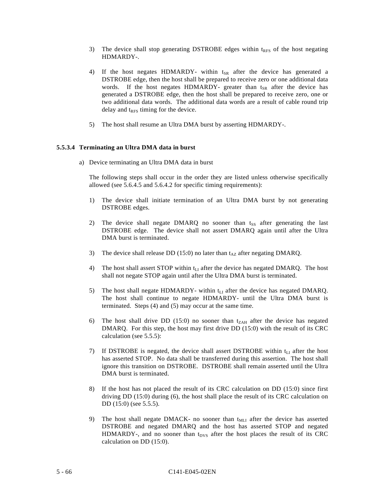- 3) The device shall stop generating DSTROBE edges within  $t_{RFS}$  of the host negating HDMARDY-.
- 4) If the host negates HDMARDY- within t<sub>SR</sub> after the device has generated a DSTROBE edge, then the host shall be prepared to receive zero or one additional data words. If the host negates HDMARDY- greater than t<sub>SR</sub> after the device has generated a DSTROBE edge, then the host shall be prepared to receive zero, one or two additional data words. The additional data words are a result of cable round trip delay and  $t_{RFS}$  timing for the device.
- 5) The host shall resume an Ultra DMA burst by asserting HDMARDY-.

## **5.5.3.4 Terminating an Ultra DMA data in burst**

a) Device terminating an Ultra DMA data in burst

The following steps shall occur in the order they are listed unless otherwise specifically allowed (see 5.6.4.5 and 5.6.4.2 for specific timing requirements):

- 1) The device shall initiate termination of an Ultra DMA burst by not generating DSTROBE edges.
- 2) The device shall negate DMARQ no sooner than  $t_{SS}$  after generating the last DSTROBE edge. The device shall not assert DMARQ again until after the Ultra DMA burst is terminated.
- 3) The device shall release DD (15:0) no later than  $t_{AZ}$  after negating DMARQ.
- 4) The host shall assert STOP within  $t<sub>LI</sub>$  after the device has negated DMARQ. The host shall not negate STOP again until after the Ultra DMA burst is terminated.
- 5) The host shall negate HDMARDY- within  $t_{LI}$  after the device has negated DMARQ. The host shall continue to negate HDMARDY- until the Ultra DMA burst is terminated. Steps (4) and (5) may occur at the same time.
- 6) The host shall drive DD (15:0) no sooner than  $t_{ZAH}$  after the device has negated DMARQ. For this step, the host may first drive DD (15:0) with the result of its CRC calculation (see 5.5.5):
- 7) If DSTROBE is negated, the device shall assert DSTROBE within  $t_{LI}$  after the host has asserted STOP. No data shall be transferred during this assertion. The host shall ignore this transition on DSTROBE. DSTROBE shall remain asserted until the Ultra DMA burst is terminated.
- 8) If the host has not placed the result of its CRC calculation on DD (15:0) since first driving DD (15:0) during (6), the host shall place the result of its CRC calculation on DD (15:0) (see 5.5.5).
- 9) The host shall negate DMACK- no sooner than  $t_{MLI}$  after the device has asserted DSTROBE and negated DMARQ and the host has asserted STOP and negated  $HDMARDY$ -, and no sooner than t<sub>DVS</sub> after the host places the result of its CRC calculation on DD (15:0).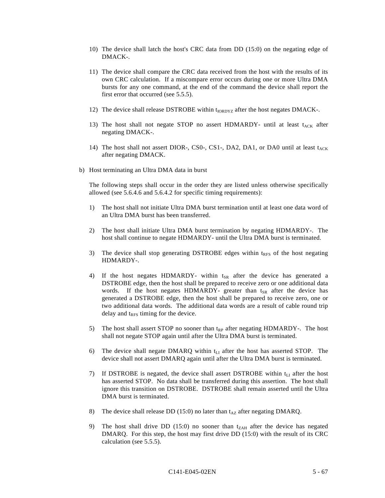- 10) The device shall latch the host's CRC data from DD (15:0) on the negating edge of DMACK-.
- 11) The device shall compare the CRC data received from the host with the results of its own CRC calculation. If a miscompare error occurs during one or more Ultra DMA bursts for any one command, at the end of the command the device shall report the first error that occurred (see 5.5.5).
- 12) The device shall release DSTROBE within t<sub>IORDYZ</sub> after the host negates DMACK-.
- 13) The host shall not negate STOP no assert HDMARDY- until at least  $t_{ACK}$  after negating DMACK-.
- 14) The host shall not assert DIOR-, CS0-, CS1-, DA2, DA1, or DA0 until at least  $t_{ACK}$ after negating DMACK.
- b) Host terminating an Ultra DMA data in burst

The following steps shall occur in the order they are listed unless otherwise specifically allowed (see 5.6.4.6 and 5.6.4.2 for specific timing requirements):

- 1) The host shall not initiate Ultra DMA burst termination until at least one data word of an Ultra DMA burst has been transferred.
- 2) The host shall initiate Ultra DMA burst termination by negating HDMARDY-. The host shall continue to negate HDMARDY- until the Ultra DMA burst is terminated.
- 3) The device shall stop generating DSTROBE edges within  $t_{RFS}$  of the host negating HDMARDY-.
- 4) If the host negates HDMARDY- within  $t_{SR}$  after the device has generated a DSTROBE edge, then the host shall be prepared to receive zero or one additional data words. If the host negates HDMARDY- greater than t<sub>SR</sub> after the device has generated a DSTROBE edge, then the host shall be prepared to receive zero, one or two additional data words. The additional data words are a result of cable round trip delay and  $t_{RFS}$  timing for the device.
- 5) The host shall assert STOP no sooner than  $t_{RP}$  after negating HDMARDY-. The host shall not negate STOP again until after the Ultra DMA burst is terminated.
- 6) The device shall negate DMARQ within  $t_{LI}$  after the host has asserted STOP. The device shall not assert DMARQ again until after the Ultra DMA burst is terminated.
- 7) If DSTROBE is negated, the device shall assert DSTROBE within  $t_{L1}$  after the host has asserted STOP. No data shall be transferred during this assertion. The host shall ignore this transition on DSTROBE. DSTROBE shall remain asserted until the Ultra DMA burst is terminated.
- 8) The device shall release DD (15:0) no later than  $t_{AZ}$  after negating DMARQ.
- 9) The host shall drive DD (15:0) no sooner than  $t_{ZAH}$  after the device has negated DMARQ. For this step, the host may first drive DD (15:0) with the result of its CRC calculation (see 5.5.5).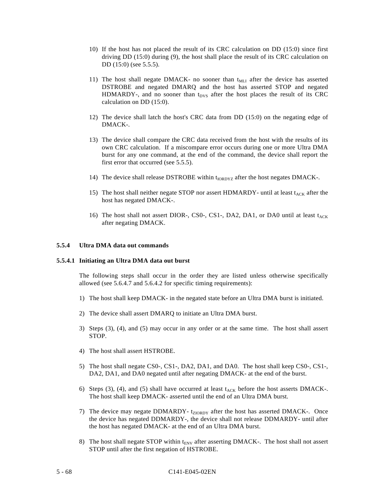- 10) If the host has not placed the result of its CRC calculation on DD (15:0) since first driving DD (15:0) during (9), the host shall place the result of its CRC calculation on DD (15:0) (see 5.5.5).
- 11) The host shall negate DMACK- no sooner than  $t_{MLI}$  after the device has asserted DSTROBE and negated DMARQ and the host has asserted STOP and negated  $HDMARDY$ -, and no sooner than t<sub>DVS</sub> after the host places the result of its CRC calculation on DD (15:0).
- 12) The device shall latch the host's CRC data from DD (15:0) on the negating edge of DMACK-.
- 13) The device shall compare the CRC data received from the host with the results of its own CRC calculation. If a miscompare error occurs during one or more Ultra DMA burst for any one command, at the end of the command, the device shall report the first error that occurred (see 5.5.5).
- 14) The device shall release DSTROBE within t<sub>IORDYZ</sub> after the host negates DMACK-.
- 15) The host shall neither negate STOP nor assert HDMARDY- until at least  $t_{ACK}$  after the host has negated DMACK-.
- 16) The host shall not assert DIOR-, CS0-, CS1-, DA2, DA1, or DA0 until at least  $t_{ACK}$ after negating DMACK.

#### **5.5.4 Ultra DMA data out commands**

#### **5.5.4.1 Initiating an Ultra DMA data out burst**

The following steps shall occur in the order they are listed unless otherwise specifically allowed (see 5.6.4.7 and 5.6.4.2 for specific timing requirements):

- 1) The host shall keep DMACK- in the negated state before an Ultra DMA burst is initiated.
- 2) The device shall assert DMARQ to initiate an Ultra DMA burst.
- 3) Steps (3), (4), and (5) may occur in any order or at the same time. The host shall assert STOP.
- 4) The host shall assert HSTROBE.
- 5) The host shall negate CS0-, CS1-, DA2, DA1, and DA0. The host shall keep CS0-, CS1-, DA2, DA1, and DA0 negated until after negating DMACK- at the end of the burst.
- 6) Steps (3), (4), and (5) shall have occurred at least  $t_{ACK}$  before the host asserts DMACK-. The host shall keep DMACK- asserted until the end of an Ultra DMA burst.
- 7) The device may negate DDMARDY- t<sub>ZIORDY</sub> after the host has asserted DMACK-. Once the device has negated DDMARDY-, the device shall not release DDMARDY- until after the host has negated DMACK- at the end of an Ultra DMA burst.
- 8) The host shall negate STOP within t<sub>ENV</sub> after asserting DMACK-. The host shall not assert STOP until after the first negation of HSTROBE.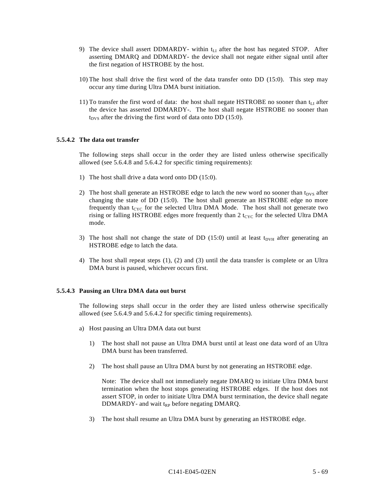- 9) The device shall assert DDMARDY- within  $t_{LI}$  after the host has negated STOP. After asserting DMARQ and DDMARDY- the device shall not negate either signal until after the first negation of HSTROBE by the host.
- 10) The host shall drive the first word of the data transfer onto DD (15:0). This step may occur any time during Ultra DMA burst initiation.
- 11) To transfer the first word of data: the host shall negate HSTROBE no sooner than  $t_{LI}$  after the device has asserted DDMARDY-. The host shall negate HSTROBE no sooner than  $t_{DVS}$  after the driving the first word of data onto DD (15:0).

#### **5.5.4.2 The data out transfer**

The following steps shall occur in the order they are listed unless otherwise specifically allowed (see 5.6.4.8 and 5.6.4.2 for specific timing requirements):

- 1) The host shall drive a data word onto DD (15:0).
- 2) The host shall generate an HSTROBE edge to latch the new word no sooner than  $t_{DVS}$  after changing the state of DD (15:0). The host shall generate an HSTROBE edge no more frequently than  $t_{CYC}$  for the selected Ultra DMA Mode. The host shall not generate two rising or falling HSTROBE edges more frequently than  $2 t_{CYC}$  for the selected Ultra DMA mode.
- 3) The host shall not change the state of DD (15:0) until at least  $t_{DVH}$  after generating an HSTROBE edge to latch the data.
- 4) The host shall repeat steps (1), (2) and (3) until the data transfer is complete or an Ultra DMA burst is paused, whichever occurs first.

#### **5.5.4.3 Pausing an Ultra DMA data out burst**

The following steps shall occur in the order they are listed unless otherwise specifically allowed (see 5.6.4.9 and 5.6.4.2 for specific timing requirements).

- a) Host pausing an Ultra DMA data out burst
	- 1) The host shall not pause an Ultra DMA burst until at least one data word of an Ultra DMA burst has been transferred.
	- 2) The host shall pause an Ultra DMA burst by not generating an HSTROBE edge.

Note: The device shall not immediately negate DMARQ to initiate Ultra DMA burst termination when the host stops generating HSTROBE edges. If the host does not assert STOP, in order to initiate Ultra DMA burst termination, the device shall negate DDMARDY- and wait  $t_{RP}$  before negating DMARQ.

3) The host shall resume an Ultra DMA burst by generating an HSTROBE edge.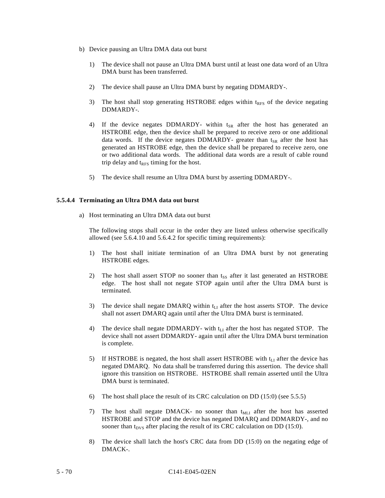- b) Device pausing an Ultra DMA data out burst
	- 1) The device shall not pause an Ultra DMA burst until at least one data word of an Ultra DMA burst has been transferred.
	- 2) The device shall pause an Ultra DMA burst by negating DDMARDY-.
	- 3) The host shall stop generating HSTROBE edges within  $t_{RFS}$  of the device negating DDMARDY-.
	- 4) If the device negates DDMARDY- within  $t_{SR}$  after the host has generated an HSTROBE edge, then the device shall be prepared to receive zero or one additional data words. If the device negates DDMARDY- greater than  $t_{SR}$  after the host has generated an HSTROBE edge, then the device shall be prepared to receive zero, one or two additional data words. The additional data words are a result of cable round trip delay and  $t_{RFS}$  timing for the host.
	- 5) The device shall resume an Ultra DMA burst by asserting DDMARDY-.

## **5.5.4.4 Terminating an Ultra DMA data out burst**

a) Host terminating an Ultra DMA data out burst

The following stops shall occur in the order they are listed unless otherwise specifically allowed (see 5.6.4.10 and 5.6.4.2 for specific timing requirements):

- 1) The host shall initiate termination of an Ultra DMA burst by not generating HSTROBE edges.
- 2) The host shall assert STOP no sooner than  $t_{SS}$  after it last generated an HSTROBE edge. The host shall not negate STOP again until after the Ultra DMA burst is terminated.
- 3) The device shall negate DMARQ within  $t_{LI}$  after the host asserts STOP. The device shall not assert DMARQ again until after the Ultra DMA burst is terminated.
- 4) The device shall negate DDMARDY- with  $t<sub>LI</sub>$  after the host has negated STOP. The device shall not assert DDMARDY- again until after the Ultra DMA burst termination is complete.
- 5) If HSTROBE is negated, the host shall assert HSTROBE with  $t_{L1}$  after the device has negated DMARQ. No data shall be transferred during this assertion. The device shall ignore this transition on HSTROBE. HSTROBE shall remain asserted until the Ultra DMA burst is terminated.
- 6) The host shall place the result of its CRC calculation on DD (15:0) (see 5.5.5)
- 7) The host shall negate DMACK- no sooner than  $t_{MLI}$  after the host has asserted HSTROBE and STOP and the device has negated DMARQ and DDMARDY-, and no sooner than  $t_{DVS}$  after placing the result of its CRC calculation on DD (15:0).
- 8) The device shall latch the host's CRC data from DD (15:0) on the negating edge of DMACK-.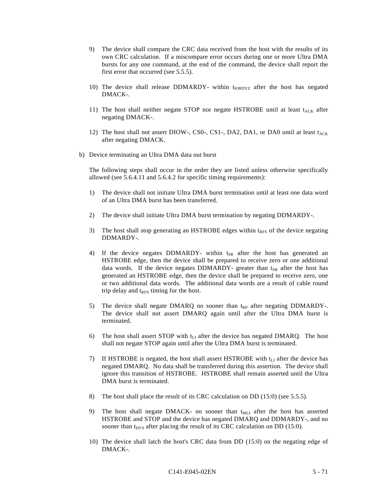- 9) The device shall compare the CRC data received from the host with the results of its own CRC calculation. If a miscompare error occurs during one or more Ultra DMA bursts for any one command, at the end of the command, the device shall report the first error that occurred (see 5.5.5).
- 10) The device shall release DDMARDY- within t<sub>IORDYZ</sub> after the host has negated DMACK-.
- 11) The host shall neither negate STOP nor negate HSTROBE until at least  $t_{ACK}$  after negating DMACK-.
- 12) The host shall not assert DIOW-, CS0-, CS1-, DA2, DA1, or DA0 until at least  $t_{ACK}$ after negating DMACK.
- b) Device terminating an Ultra DMA data out burst

The following steps shall occur in the order they are listed unless otherwise specifically allowed (see 5.6.4.11 and 5.6.4.2 for specific timing requirements):

- 1) The device shall not initiate Ultra DMA burst termination until at least one data word of an Ultra DMA burst has been transferred.
- 2) The device shall initiate Ultra DMA burst termination by negating DDMARDY-.
- 3) The host shall stop generating an HSTROBE edges within  $t_{RFS}$  of the device negating DDMARDY-.
- 4) If the device negates DDMARDY- within  $t_{SR}$  after the host has generated an HSTROBE edge, then the device shall be prepared to receive zero or one additional data words. If the device negates DDMARDY- greater than  $t_{SR}$  after the host has generated an HSTROBE edge, then the device shall be prepared to receive zero, one or two additional data words. The additional data words are a result of cable round trip delay and  $t_{RFS}$  timing for the host.
- 5) The device shall negate DMARQ no sooner than  $t_{RP}$  after negating DDMARDY-. The device shall not assert DMARQ again until after the Ultra DMA burst is terminated.
- 6) The host shall assert STOP with  $t_{L1}$  after the device has negated DMARQ. The host shall not negate STOP again until after the Ultra DMA burst is terminated.
- 7) If HSTROBE is negated, the host shall assert HSTROBE with  $t_{LI}$  after the device has negated DMARQ. No data shall be transferred during this assertion. The device shall ignore this transition of HSTROBE. HSTROBE shall remain asserted until the Ultra DMA burst is terminated.
- 8) The host shall place the result of its CRC calculation on DD (15:0) (see 5.5.5).
- 9) The host shall negate DMACK- no sooner than t<sub>MLI</sub> after the host has asserted HSTROBE and STOP and the device has negated DMARQ and DDMARDY-, and no sooner than t<sub>DVS</sub> after placing the result of its CRC calculation on DD (15:0).
- 10) The device shall latch the host's CRC data from DD (15:0) on the negating edge of DMACK-.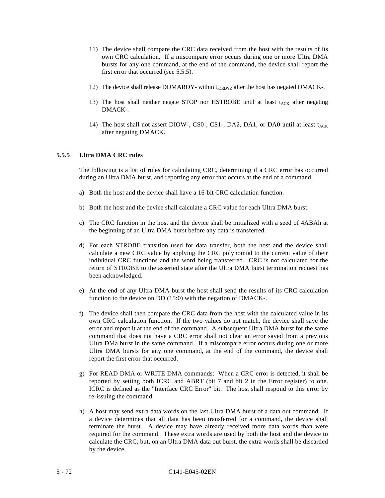- 11) The device shall compare the CRC data received from the host with the results of its own CRC calculation. If a miscompare error occurs during one or more Ultra DMA bursts for any one command, at the end of the command, the device shall report the first error that occurred (see 5.5.5).
- 12) The device shall release DDMARDY- within t<sub>IORDYZ</sub> after the host has negated DMACK-.
- 13) The host shall neither negate STOP nor HSTROBE until at least  $t_{ACK}$  after negating DMACK-.
- 14) The host shall not assert DIOW-, CS0-, CS1-, DA2, DA1, or DA0 until at least  $t_{ACK}$ after negating DMACK.

## **5.5.5 Ultra DMA CRC rules**

The following is a list of rules for calculating CRC, determining if a CRC error has occurred during an Ultra DMA burst, and reporting any error that occurs at the end of a command.

- a) Both the host and the device shall have a 16-bit CRC calculation function.
- b) Both the host and the device shall calculate a CRC value for each Ultra DMA burst.
- c) The CRC function in the host and the device shall be initialized with a seed of 4ABAh at the beginning of an Ultra DMA burst before any data is transferred.
- d) For each STROBE transition used for data transfer, both the host and the device shall calculate a new CRC value by applying the CRC polynomial to the current value of their individual CRC functions and the word being transferred. CRC is not calculated for the return of STROBE to the asserted state after the Ultra DMA burst termination request has been acknowledged.
- e) At the end of any Ultra DMA burst the host shall send the results of its CRC calculation function to the device on DD (15:0) with the negation of DMACK-.
- f) The device shall then compare the CRC data from the host with the calculated value in its own CRC calculation function. If the two values do not match, the device shall save the error and report it at the end of the command. A subsequent Ultra DMA burst for the same command that does not have a CRC error shall not clear an error saved from a previous Ultra DMa burst in the same command. If a miscompare error occurs during one or more Ultra DMA bursts for any one command, at the end of the command, the device shall report the first error that occurred.
- g) For READ DMA or WRITE DMA commands: When a CRC error is detected, it shall be reported by setting both ICRC and ABRT (bit 7 and bit 2 in the Error register) to one. ICRC is defined as the "Interface CRC Error" bit. The host shall respond to this error by re-issuing the command.
- h) A host may send extra data words on the last Ultra DMA burst of a data out command. If a device determines that all data has been transferred for a command, the device shall terminate the burst. A device may have already received more data words than were required for the command. These extra words are used by both the host and the device to calculate the CRC, but, on an Ultra DMA data out burst, the extra words shall be discarded by the device.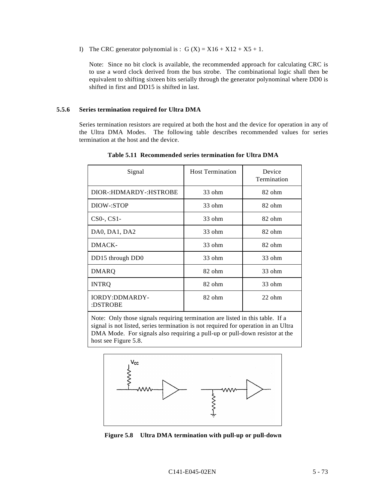I) The CRC generator polynomial is :  $G(X) = X16 + X12 + X5 + 1$ .

Note: Since no bit clock is available, the recommended approach for calculating CRC is to use a word clock derived from the bus strobe. The combinational logic shall then be equivalent to shifting sixteen bits serially through the generator polynominal where DD0 is shifted in first and DD15 is shifted in last.

#### **5.5.6 Series termination required for Ultra DMA**

Series termination resistors are required at both the host and the device for operation in any of the Ultra DMA Modes. The following table describes recommended values for series termination at the host and the device.

| Signal                            | <b>Host Termination</b> | Device<br>Termination |  |
|-----------------------------------|-------------------------|-----------------------|--|
| DIOR-:HDMARDY-:HSTROBE            | $33$ ohm                | 82 ohm                |  |
| DIOW-:STOP                        | $33$ ohm                | 82 ohm                |  |
| $CS0-, CS1-$                      | $33$ ohm                | 82 ohm                |  |
| DA0, DA1, DA2                     | $33$ ohm                | 82 ohm                |  |
| DMACK-                            | $33$ ohm                | 82 ohm                |  |
| DD15 through DD0                  | $33$ ohm                | $33$ ohm              |  |
| <b>DMARQ</b>                      | 82 ohm                  | $33$ ohm              |  |
| <b>INTRQ</b>                      | $82$ ohm                | 33 ohm                |  |
| <b>IORDY:DDMARDY-</b><br>:DSTROBE | 82 ohm                  | $22$ ohm              |  |
|                                   |                         |                       |  |

**Table 5.11 Recommended series termination for Ultra DMA**

Note: Only those signals requiring termination are listed in this table. If a signal is not listed, series termination is not required for operation in an Ultra DMA Mode. For signals also requiring a pull-up or pull-down resistor at the host see Figure 5.8.



**Figure 5.8 Ultra DMA termination with pull-up or pull-down**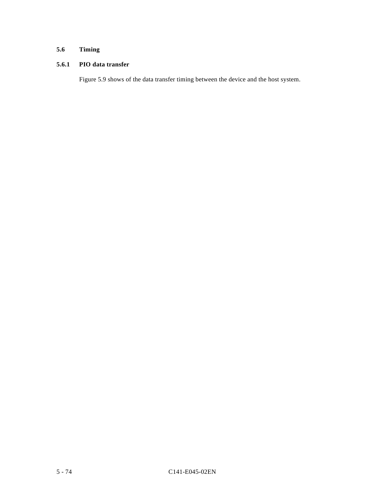# **5.6 Timing**

## **5.6.1 PIO data transfer**

Figure 5.9 shows of the data transfer timing between the device and the host system.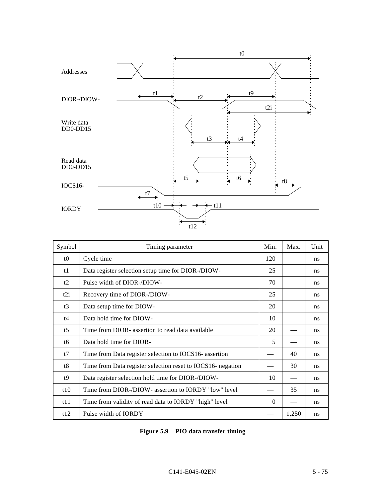

| Symbol          | Timing parameter                                            | Min.     | Max.  | Unit |
|-----------------|-------------------------------------------------------------|----------|-------|------|
| t <sub>0</sub>  | Cycle time                                                  | 120      |       | ns   |
| t1              | Data register selection setup time for DIOR-/DIOW-          | 25       |       | ns   |
| t2              | Pulse width of DIOR-/DIOW-                                  | 70       |       | ns   |
| t2i             | Recovery time of DIOR-/DIOW-                                | 25       |       | ns   |
| t3              | Data setup time for DIOW-                                   | 20       |       | ns   |
| t4              | Data hold time for DIOW-                                    | 10       |       | ns   |
| $t\overline{5}$ | Time from DIOR- assertion to read data available            | 20       |       | ns   |
| tб              | Data hold time for DIOR-                                    | 5        |       | ns   |
| t7              | Time from Data register selection to IOCS16- assertion      |          | 40    | ns   |
| t8              | Time from Data register selection reset to IOCS16- negation |          | 30    | ns   |
| t9              | Data register selection hold time for DIOR-/DIOW-           | 10       |       | ns   |
| t10             | Time from DIOR-/DIOW- assertion to IORDY "low" level        |          | 35    | ns   |
| t11             | Time from validity of read data to IORDY "high" level       | $\Omega$ |       | ns   |
| t12             | Pulse width of <b>IORDY</b>                                 |          | 1,250 | ns   |

| Figure 5.9 PIO data transfer timing |  |  |  |  |
|-------------------------------------|--|--|--|--|
|-------------------------------------|--|--|--|--|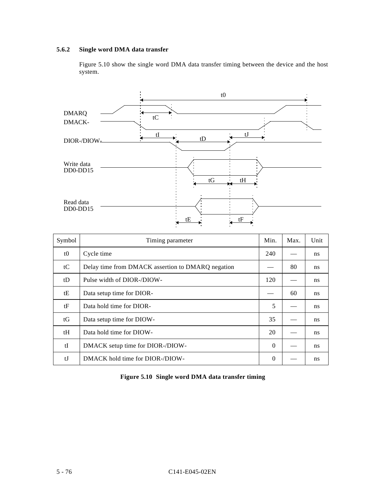## **5.6.2 Single word DMA data transfer**

Figure 5.10 show the single word DMA data transfer timing between the device and the host system.



| Symbol | Timing parameter                                  | Min.     | Max. | Unit |
|--------|---------------------------------------------------|----------|------|------|
| t0     | Cycle time                                        | 240      |      | ns   |
| tC     | Delay time from DMACK assertion to DMARQ negation |          | 80   | ns   |
| tD     | Pulse width of DIOR-/DIOW-                        | 120      |      | ns   |
| tΕ     | Data setup time for DIOR-                         |          | 60   | ns   |
| tF     | Data hold time for DIOR-                          | 5        |      | ns   |
| tG     | Data setup time for DIOW-                         | 35       |      | ns   |
| tH     | Data hold time for DIOW-                          | 20       |      | ns   |
| tI     | DMACK setup time for DIOR-/DIOW-                  | $\Omega$ |      | ns   |
| tJ     | DMACK hold time for DIOR-/DIOW-                   | $\Omega$ |      | ns   |

| Figure 5.10 Single word DMA data transfer timing |  |  |  |
|--------------------------------------------------|--|--|--|
|                                                  |  |  |  |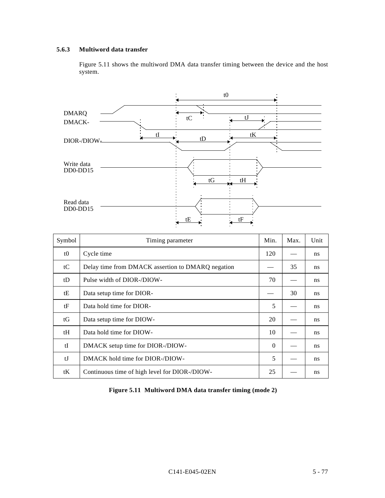## **5.6.3 Multiword data transfer**

Figure 5.11 shows the multiword DMA data transfer timing between the device and the host system.



| Symbol | Timing parameter                                  | Min.     | Max. | Unit |
|--------|---------------------------------------------------|----------|------|------|
| t0     | Cycle time                                        | 120      |      | ns   |
| tC     | Delay time from DMACK assertion to DMARQ negation |          | 35   | ns   |
| tD     | Pulse width of DIOR-/DIOW-                        | 70       |      | ns   |
| tΕ     | Data setup time for DIOR-                         |          | 30   | ns   |
| tF     | Data hold time for DIOR-                          | 5        |      | ns   |
| tG     | Data setup time for DIOW-                         | 20       |      | ns   |
| tH     | Data hold time for DIOW-                          | 10       |      | ns   |
| tI     | DMACK setup time for DIOR-/DIOW-                  | $\Omega$ |      | ns   |
| tJ     | DMACK hold time for DIOR-/DIOW-                   | 5        |      | ns   |
| tK     | Continuous time of high level for DIOR-/DIOW-     | 25       |      | ns   |

|  |  | Figure 5.11 Multiword DMA data transfer timing (mode 2) |  |
|--|--|---------------------------------------------------------|--|
|--|--|---------------------------------------------------------|--|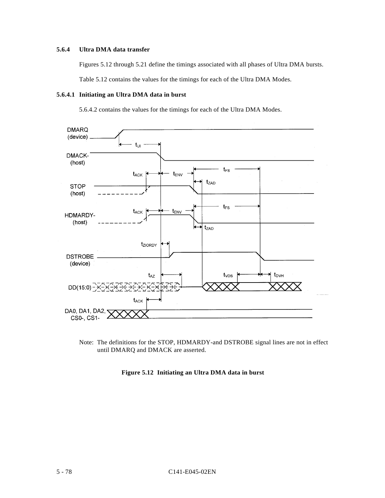## **5.6.4 Ultra DMA data transfer**

Figures 5.12 through 5.21 define the timings associated with all phases of Ultra DMA bursts.

Table 5.12 contains the values for the timings for each of the Ultra DMA Modes.

#### **5.6.4.1 Initiating an Ultra DMA data in burst**

5.6.4.2 contains the values for the timings for each of the Ultra DMA Modes.



Note: The definitions for the STOP, HDMARDY-and DSTROBE signal lines are not in effect until DMARQ and DMACK are asserted.

**Figure 5.12 Initiating an Ultra DMA data in burst**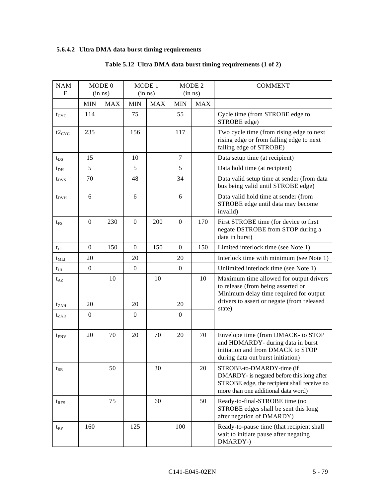# **5.6.4.2 Ultra DMA data burst timing requirements**

| <b>NAM</b><br>E  |                  | MODE 0<br>$(in \; ns)$ |              | MODE 1<br>$(in \; ns)$ | MODE <sub>2</sub><br>$(in \; ns)$ |            |                                                                                                                                                              |  | <b>COMMENT</b> |  |
|------------------|------------------|------------------------|--------------|------------------------|-----------------------------------|------------|--------------------------------------------------------------------------------------------------------------------------------------------------------------|--|----------------|--|
|                  | <b>MIN</b>       | <b>MAX</b>             | <b>MIN</b>   | <b>MAX</b>             | <b>MIN</b>                        | <b>MAX</b> |                                                                                                                                                              |  |                |  |
| $t_{CYC}$        | 114              |                        | 75           |                        | 55                                |            | Cycle time (from STROBE edge to<br>STROBE edge)                                                                                                              |  |                |  |
| $t2_{CYC}$       | 235              |                        | 156          |                        | 117                               |            | Two cycle time (from rising edge to next<br>rising edge or from falling edge to next<br>falling edge of STROBE)                                              |  |                |  |
| $t_{DS}$         | 15               |                        | 10           |                        | 7                                 |            | Data setup time (at recipient)                                                                                                                               |  |                |  |
| $t_{DH}$         | 5                |                        | 5            |                        | 5                                 |            | Data hold time (at recipient)                                                                                                                                |  |                |  |
| $t_{DVS}$        | 70               |                        | 48           |                        | 34                                |            | Data valid setup time at sender (from data<br>bus being valid until STROBE edge)                                                                             |  |                |  |
| $t_{\rm DVH}$    | 6                |                        | 6            |                        | 6                                 |            | Data valid hold time at sender (from<br>STROBE edge until data may become<br>invalid)                                                                        |  |                |  |
| $t_{FS}$         | $\mathbf{0}$     | 230                    | $\mathbf{0}$ | 200                    | $\boldsymbol{0}$                  | 170        | First STROBE time (for device to first<br>negate DSTROBE from STOP during a<br>data in burst)                                                                |  |                |  |
| $t_{LI}$         | $\overline{0}$   | 150                    | $\mathbf{0}$ | 150                    | $\mathbf{0}$                      | 150        | Limited interlock time (see Note 1)                                                                                                                          |  |                |  |
| $t_{MLI}$        | 20               |                        | 20           |                        | 20                                |            | Interlock time with minimum (see Note 1)                                                                                                                     |  |                |  |
| $t_{UI}$         | $\mathbf{0}$     |                        | $\mathbf{0}$ |                        | $\boldsymbol{0}$                  |            | Unlimited interlock time (see Note 1)                                                                                                                        |  |                |  |
| $t_{AZ}$         |                  | 10                     |              | 10                     |                                   | 10         | Maximum time allowed for output drivers<br>to release (from being asserted or<br>Minimum delay time required for output                                      |  |                |  |
| $t_{ZAH}$        | 20               |                        | 20           |                        | 20                                |            | drivers to assert or negate (from released                                                                                                                   |  |                |  |
| $t_{ZAD}$        | $\boldsymbol{0}$ |                        | $\mathbf{0}$ |                        | $\boldsymbol{0}$                  |            | state)                                                                                                                                                       |  |                |  |
| $t_{\text{ENV}}$ | 20               | 70                     | 20           | 70                     | 20                                | 70         | Envelope time (from DMACK- to STOP<br>and HDMARDY- during data in burst<br>initiation and from DMACK to STOP<br>during data out burst initiation)            |  |                |  |
| $t_{\rm SR}$     |                  | 50                     |              | 30                     |                                   | 20         | STROBE-to-DMARDY-time (if<br>DMARDY- is negated before this long after<br>STROBE edge, the recipient shall receive no<br>more than one additional data word) |  |                |  |
| $t_{RFS}$        |                  | 75                     |              | 60                     |                                   | 50         | Ready-to-final-STROBE time (no<br>STROBE edges shall be sent this long<br>after negation of DMARDY)                                                          |  |                |  |
| $t_{RP}$         | 160              |                        | 125          |                        | 100                               |            | Ready-to-pause time (that recipient shall<br>wait to initiate pause after negating<br>DMARDY-)                                                               |  |                |  |

# **Table 5.12 Ultra DMA data burst timing requirements (1 of 2)**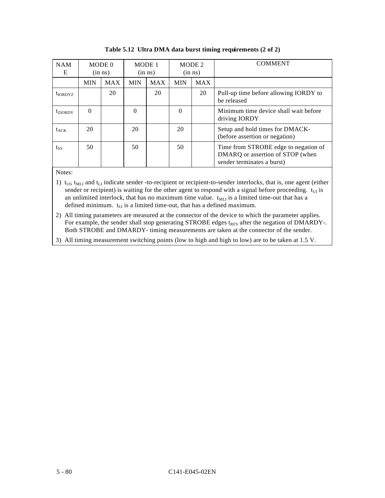| <b>NAM</b><br>E |            | MODE 0<br>$(in \; ns)$ |            | MODE 1<br>$(in \; ns)$ | MODE 2<br>$(in \; ns)$ |            | <b>COMMENT</b>                                                                                         |
|-----------------|------------|------------------------|------------|------------------------|------------------------|------------|--------------------------------------------------------------------------------------------------------|
|                 | <b>MIN</b> | <b>MAX</b>             | <b>MIN</b> | <b>MAX</b>             | <b>MIN</b>             | <b>MAX</b> |                                                                                                        |
| $t_{IORDYZ}$    |            | 20                     |            | 20                     |                        | 20         | Pull-up time before allowing IORDY to<br>be released                                                   |
| $t_{ZIORDY}$    | $\Omega$   |                        | $\Omega$   |                        | $\Omega$               |            | Minimum time device shall wait before<br>driving IORDY                                                 |
| $t_{ACK}$       | 20         |                        | 20         |                        | 20                     |            | Setup and hold times for DMACK-<br>(before assertion or negation)                                      |
| $t_{SS}$        | 50         |                        | 50         |                        | 50                     |            | Time from STROBE edge to negation of<br>DMARQ or assertion of STOP (when<br>sender terminates a burst) |

|  |  | Table 5.12 Ultra DMA data burst timing requirements (2 of 2) |  |
|--|--|--------------------------------------------------------------|--|
|  |  |                                                              |  |

Notes:

- 1)  $t_{UI}$ ,  $t_{MLI}$  and  $t_{LI}$  indicate sender -to-recipient or recipient-to-sender interlocks, that is, one agent (either sender or recipient) is waiting for the other agent to respond with a signal before proceeding.  $t_U$  is an unlimited interlock, that has no maximum time value.  $t_{ML}$  is a limited time-out that has a defined minimum.  $t_{\text{LI}}$  is a limited time-out, that has a defined maximum.
- 2) All timing parameters are measured at the connector of the device to which the parameter applies. For example, the sender shall stop generating STROBE edges t<sub>RFS</sub> after the negation of DMARDY-. Both STROBE and DMARDY- timing measurements are taken at the connector of the sender.

3) All timing measurement switching points (low to high and high to low) are to be taken at 1.5 V.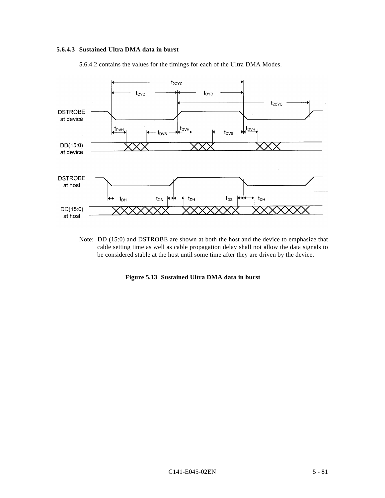# **5.6.4.3 Sustained Ultra DMA data in burst**

5.6.4.2 contains the values for the timings for each of the Ultra DMA Modes.



Note: DD (15:0) and DSTROBE are shown at both the host and the device to emphasize that cable setting time as well as cable propagation delay shall not allow the data signals to be considered stable at the host until some time after they are driven by the device.

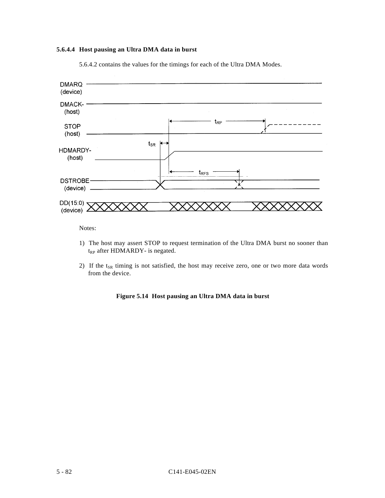# **5.6.4.4 Host pausing an Ultra DMA data in burst**



5.6.4.2 contains the values for the timings for each of the Ultra DMA Modes.

Notes:

- 1) The host may assert STOP to request termination of the Ultra DMA burst no sooner than t<sub>RP</sub> after HDMARDY- is negated.
- 2) If the  $t_{SR}$  timing is not satisfied, the host may receive zero, one or two more data words from the device.

## **Figure 5.14 Host pausing an Ultra DMA data in burst**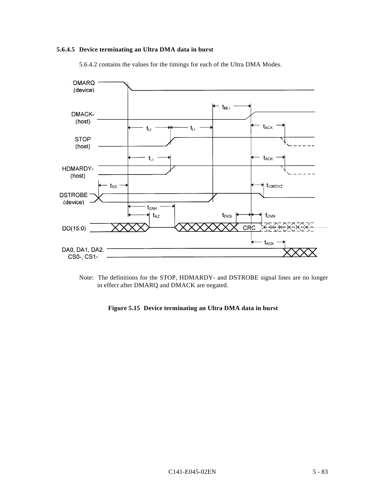# **5.6.4.5 Device terminating an Ultra DMA data in burst**

5.6.4.2 contains the values for the timings for each of the Ultra DMA Modes.



Note: The definitions for the STOP, HDMARDY- and DSTROBE signal lines are no longer in effect after DMARQ and DMACK are negated.

**Figure 5.15 Device terminating an Ultra DMA data in burst**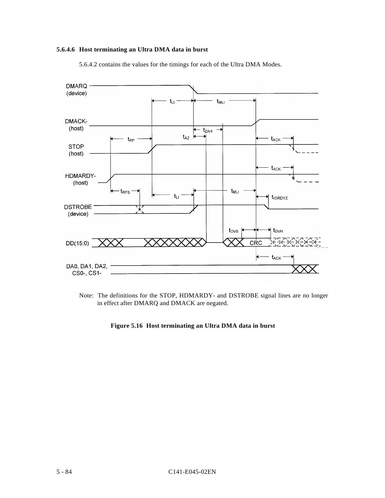# **5.6.4.6 Host terminating an Ultra DMA data in burst**

5.6.4.2 contains the values for the timings for each of the Ultra DMA Modes.



Note: The definitions for the STOP, HDMARDY- and DSTROBE signal lines are no longer in effect after DMARQ and DMACK are negated.

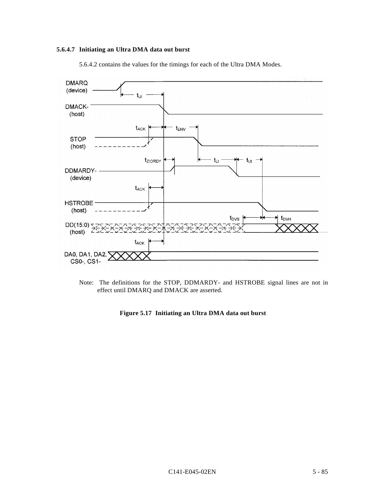# **5.6.4.7 Initiating an Ultra DMA data out burst**





Note: The definitions for the STOP, DDMARDY- and HSTROBE signal lines are not in effect until DMARQ and DMACK are asserted.

**Figure 5.17 Initiating an Ultra DMA data out burst**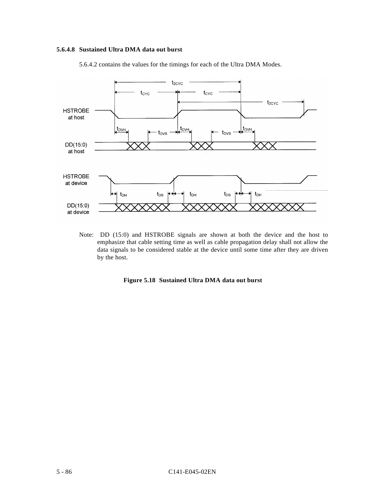# **5.6.4.8 Sustained Ultra DMA data out burst**

5.6.4.2 contains the values for the timings for each of the Ultra DMA Modes.



Note: DD (15:0) and HSTROBE signals are shown at both the device and the host to emphasize that cable setting time as well as cable propagation delay shall not allow the data signals to be considered stable at the device until some time after they are driven by the host.

## **Figure 5.18 Sustained Ultra DMA data out burst**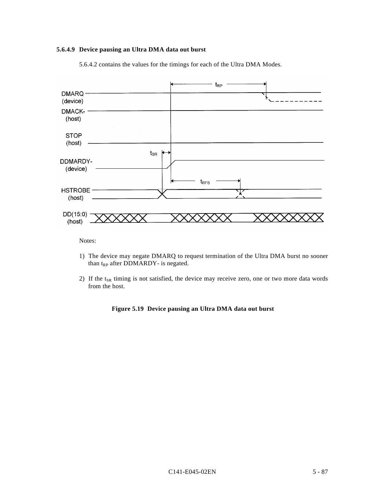# **5.6.4.9 Device pausing an Ultra DMA data out burst**

5.6.4.2 contains the values for the timings for each of the Ultra DMA Modes.



- 1) The device may negate DMARQ to request termination of the Ultra DMA burst no sooner than  $t_{RP}$  after DDMARDY- is negated.
- 2) If the  $t_{SR}$  timing is not satisfied, the device may receive zero, one or two more data words from the host.

## **Figure 5.19 Device pausing an Ultra DMA data out burst**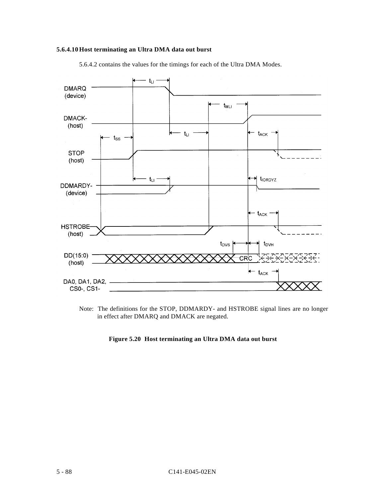# **5.6.4.10 Host terminating an Ultra DMA data out burst**



5.6.4.2 contains the values for the timings for each of the Ultra DMA Modes.

Note: The definitions for the STOP, DDMARDY- and HSTROBE signal lines are no longer in effect after DMARQ and DMACK are negated.

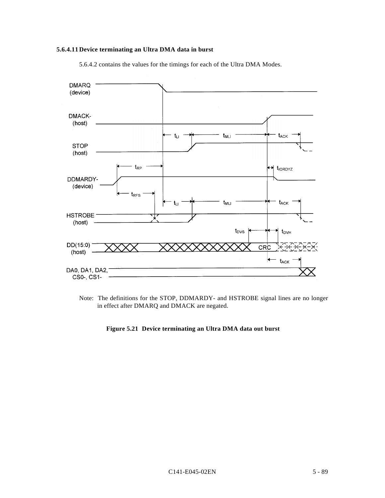# **5.6.4.11Device terminating an Ultra DMA data in burst**

5.6.4.2 contains the values for the timings for each of the Ultra DMA Modes.



Note: The definitions for the STOP, DDMARDY- and HSTROBE signal lines are no longer in effect after DMARQ and DMACK are negated.

# **Figure 5.21 Device terminating an Ultra DMA data out burst**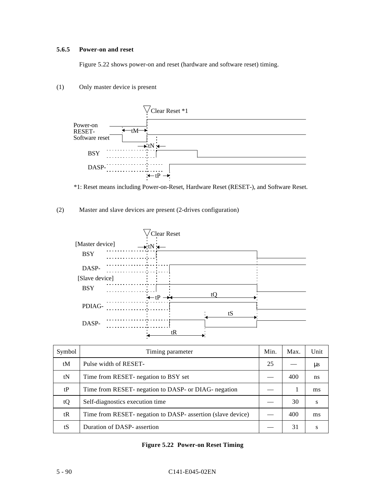# **5.6.5 Power-on and reset**

Figure 5.22 shows power-on and reset (hardware and software reset) timing.

# (1) Only master device is present



\*1: Reset means including Power-on-Reset, Hardware Reset (RESET-), and Software Reset.

# (2) Master and slave devices are present (2-drives configuration)



| Symbol | Timing parameter                                            | Min. | Max. | Unit          |
|--------|-------------------------------------------------------------|------|------|---------------|
| tM     | Pulse width of RESET-                                       | 25   |      | $\mu$ s       |
| tN     | Time from RESET- negation to BSY set                        |      | 400  | ns            |
| tP     | Time from RESET- negation to DASP- or DIAG- negation        |      |      | <sub>ms</sub> |
| tQ     | Self-diagnostics execution time                             |      | 30   | S             |
| tR     | Time from RESET- negation to DASP- assertion (slave device) |      | 400  | ms            |
| tS     | Duration of DASP- assertion                                 |      | 31   |               |

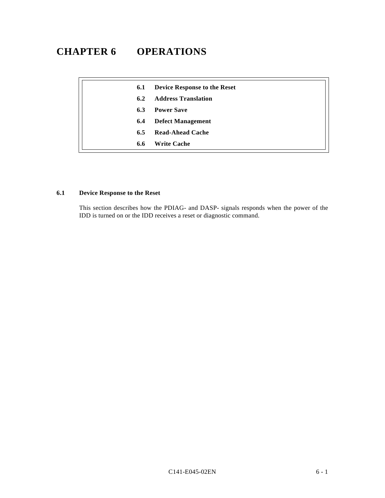# **CHAPTER 6 OPERATIONS**

| 6.1 | <b>Device Response to the Reset</b> |
|-----|-------------------------------------|
| 6.2 | <b>Address Translation</b>          |
| 6.3 | <b>Power Save</b>                   |
| 6.4 | <b>Defect Management</b>            |
| 6.5 | Read-Ahead Cache                    |
| 6.6 | <b>Write Cache</b>                  |

# **6.1 Device Response to the Reset**

This section describes how the PDIAG- and DASP- signals responds when the power of the IDD is turned on or the IDD receives a reset or diagnostic command.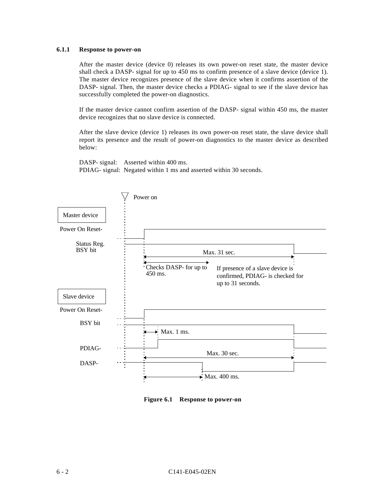## **6.1.1 Response to power-on**

After the master device (device 0) releases its own power-on reset state, the master device shall check a DASP- signal for up to 450 ms to confirm presence of a slave device (device 1). The master device recognizes presence of the slave device when it confirms assertion of the DASP- signal. Then, the master device checks a PDIAG- signal to see if the slave device has successfully completed the power-on diagnostics.

If the master device cannot confirm assertion of the DASP- signal within 450 ms, the master device recognizes that no slave device is connected.

After the slave device (device 1) releases its own power-on reset state, the slave device shall report its presence and the result of power-on diagnostics to the master device as described below:

DASP- signal: Asserted within 400 ms. PDIAG- signal: Negated within 1 ms and asserted within 30 seconds.



**Figure 6.1 Response to power-on**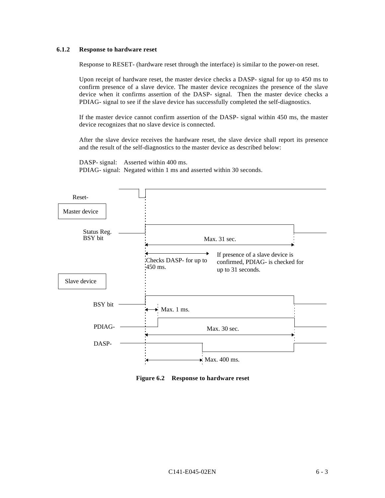## **6.1.2 Response to hardware reset**

Response to RESET- (hardware reset through the interface) is similar to the power-on reset.

Upon receipt of hardware reset, the master device checks a DASP- signal for up to 450 ms to confirm presence of a slave device. The master device recognizes the presence of the slave device when it confirms assertion of the DASP- signal. Then the master device checks a PDIAG- signal to see if the slave device has successfully completed the self-diagnostics.

If the master device cannot confirm assertion of the DASP- signal within 450 ms, the master device recognizes that no slave device is connected.

After the slave device receives the hardware reset, the slave device shall report its presence and the result of the self-diagnostics to the master device as described below:

DASP- signal: Asserted within 400 ms. PDIAG- signal: Negated within 1 ms and asserted within 30 seconds.



**Figure 6.2 Response to hardware reset**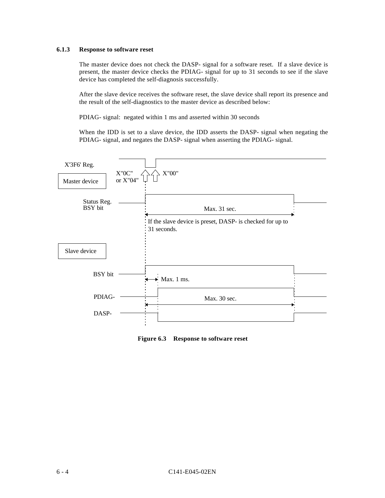# **6.1.3 Response to software reset**

The master device does not check the DASP- signal for a software reset. If a slave device is present, the master device checks the PDIAG- signal for up to 31 seconds to see if the slave device has completed the self-diagnosis successfully.

After the slave device receives the software reset, the slave device shall report its presence and the result of the self-diagnostics to the master device as described below:

PDIAG- signal: negated within 1 ms and asserted within 30 seconds

When the IDD is set to a slave device, the IDD asserts the DASP- signal when negating the PDIAG- signal, and negates the DASP- signal when asserting the PDIAG- signal.



**Figure 6.3 Response to software reset**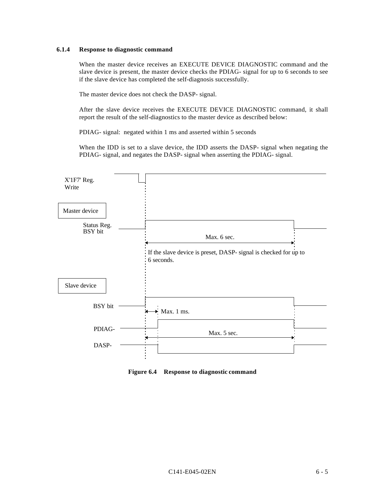## **6.1.4 Response to diagnostic command**

When the master device receives an EXECUTE DEVICE DIAGNOSTIC command and the slave device is present, the master device checks the PDIAG- signal for up to 6 seconds to see if the slave device has completed the self-diagnosis successfully.

The master device does not check the DASP- signal.

After the slave device receives the EXECUTE DEVICE DIAGNOSTIC command, it shall report the result of the self-diagnostics to the master device as described below:

PDIAG- signal: negated within 1 ms and asserted within 5 seconds

When the IDD is set to a slave device, the IDD asserts the DASP- signal when negating the PDIAG- signal, and negates the DASP- signal when asserting the PDIAG- signal.



**Figure 6.4 Response to diagnostic command**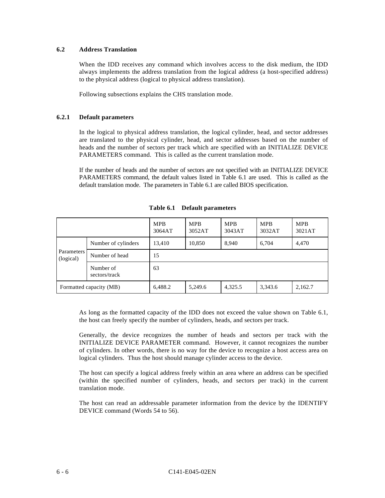# **6.2 Address Translation**

When the IDD receives any command which involves access to the disk medium, the IDD always implements the address translation from the logical address (a host-specified address) to the physical address (logical to physical address translation).

Following subsections explains the CHS translation mode.

## **6.2.1 Default parameters**

In the logical to physical address translation, the logical cylinder, head, and sector addresses are translated to the physical cylinder, head, and sector addresses based on the number of heads and the number of sectors per track which are specified with an INITIALIZE DEVICE PARAMETERS command. This is called as the current translation mode.

If the number of heads and the number of sectors are not specified with an INITIALIZE DEVICE PARAMETERS command, the default values listed in Table 6.1 are used. This is called as the default translation mode. The parameters in Table 6.1 are called BIOS specification.

|                         |                            | <b>MPB</b><br>3064AT | <b>MPB</b><br>3052AT | <b>MPB</b><br>3043AT | <b>MPB</b><br>3032AT | <b>MPB</b><br>3021AT |
|-------------------------|----------------------------|----------------------|----------------------|----------------------|----------------------|----------------------|
| Parameters<br>(logical) | Number of cylinders        | 13,410               | 10,850               | 8,940                | 6,704                | 4,470                |
|                         | Number of head             | 15                   |                      |                      |                      |                      |
|                         | Number of<br>sectors/track | 63                   |                      |                      |                      |                      |
| Formatted capacity (MB) |                            | 6,488.2              | 5,249.6              | 4,325.5              | 3,343.6              | 2,162.7              |

**Table 6.1 Default parameters**

As long as the formatted capacity of the IDD does not exceed the value shown on Table 6.1, the host can freely specify the number of cylinders, heads, and sectors per track.

Generally, the device recognizes the number of heads and sectors per track with the INITIALIZE DEVICE PARAMETER command. However, it cannot recognizes the number of cylinders. In other words, there is no way for the device to recognize a host access area on logical cylinders. Thus the host should manage cylinder access to the device.

The host can specify a logical address freely within an area where an address can be specified (within the specified number of cylinders, heads, and sectors per track) in the current translation mode.

The host can read an addressable parameter information from the device by the IDENTIFY DEVICE command (Words 54 to 56).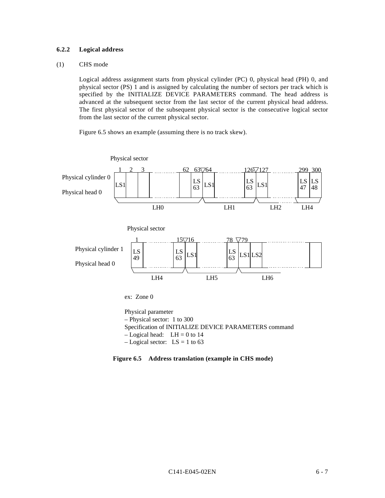# **6.2.2 Logical address**

## (1) CHS mode

Logical address assignment starts from physical cylinder (PC) 0, physical head (PH) 0, and physical sector (PS) 1 and is assigned by calculating the number of sectors per track which is specified by the INITIALIZE DEVICE PARAMETERS command. The head address is advanced at the subsequent sector from the last sector of the current physical head address. The first physical sector of the subsequent physical sector is the consecutive logical sector from the last sector of the current physical sector.

Figure 6.5 shows an example (assuming there is no track skew).



Physical parameter – Physical sector: 1 to 300 Specification of INITIALIZE DEVICE PARAMETERS command  $-$  Logical head: LH = 0 to 14  $-$  Logical sector: LS = 1 to 63

**Figure 6.5 Address translation (example in CHS mode)**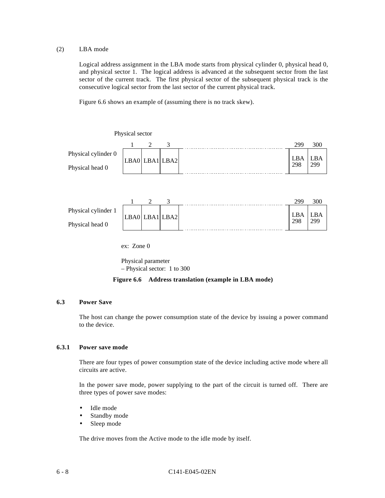## (2) LBA mode

Logical address assignment in the LBA mode starts from physical cylinder 0, physical head 0, and physical sector 1. The logical address is advanced at the subsequent sector from the last sector of the current track. The first physical sector of the subsequent physical track is the consecutive logical sector from the last sector of the current physical track.

Figure 6.6 shows an example of (assuming there is no track skew).



Physical parameter – Physical sector: 1 to 300

**Figure 6.6 Address translation (example in LBA mode)**

## **6.3 Power Save**

The host can change the power consumption state of the device by issuing a power command to the device.

## **6.3.1 Power save mode**

There are four types of power consumption state of the device including active mode where all circuits are active.

In the power save mode, power supplying to the part of the circuit is turned off. There are three types of power save modes:

- Idle mode
- Standby mode
- Sleep mode

The drive moves from the Active mode to the idle mode by itself.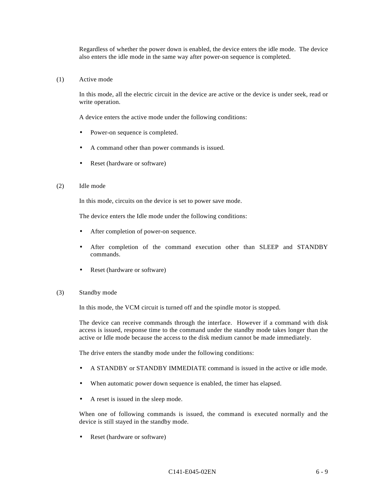Regardless of whether the power down is enabled, the device enters the idle mode. The device also enters the idle mode in the same way after power-on sequence is completed.

#### (1) Active mode

In this mode, all the electric circuit in the device are active or the device is under seek, read or write operation.

A device enters the active mode under the following conditions:

- Power-on sequence is completed.
- A command other than power commands is issued.
- Reset (hardware or software)

#### (2) Idle mode

In this mode, circuits on the device is set to power save mode.

The device enters the Idle mode under the following conditions:

- After completion of power-on sequence.
- After completion of the command execution other than SLEEP and STANDBY commands.
- Reset (hardware or software)

#### (3) Standby mode

In this mode, the VCM circuit is turned off and the spindle motor is stopped.

The device can receive commands through the interface. However if a command with disk access is issued, response time to the command under the standby mode takes longer than the active or Idle mode because the access to the disk medium cannot be made immediately.

The drive enters the standby mode under the following conditions:

- A STANDBY or STANDBY IMMEDIATE command is issued in the active or idle mode.
- When automatic power down sequence is enabled, the timer has elapsed.
- A reset is issued in the sleep mode.

When one of following commands is issued, the command is executed normally and the device is still stayed in the standby mode.

Reset (hardware or software)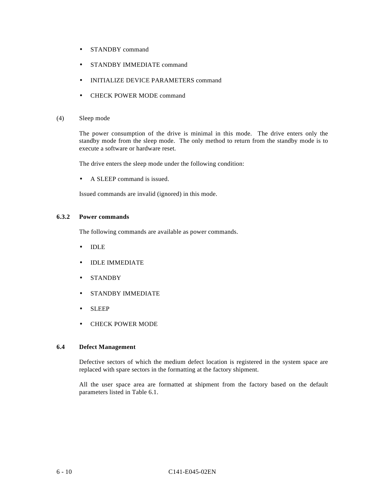- STANDBY command
- STANDBY IMMEDIATE command
- INITIALIZE DEVICE PARAMETERS command
- CHECK POWER MODE command

## (4) Sleep mode

The power consumption of the drive is minimal in this mode. The drive enters only the standby mode from the sleep mode. The only method to return from the standby mode is to execute a software or hardware reset.

The drive enters the sleep mode under the following condition:

• A SLEEP command is issued.

Issued commands are invalid (ignored) in this mode.

# **6.3.2 Power commands**

The following commands are available as power commands.

- IDLE
- IDLE IMMEDIATE
- STANDBY
- STANDBY IMMEDIATE
- SLEEP
- CHECK POWER MODE

## **6.4 Defect Management**

Defective sectors of which the medium defect location is registered in the system space are replaced with spare sectors in the formatting at the factory shipment.

All the user space area are formatted at shipment from the factory based on the default parameters listed in Table 6.1.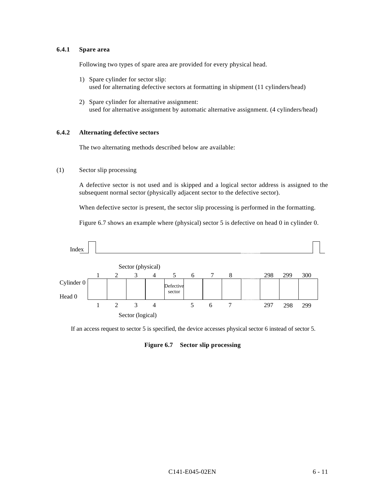# **6.4.1 Spare area**

Following two types of spare area are provided for every physical head.

- 1) Spare cylinder for sector slip: used for alternating defective sectors at formatting in shipment (11 cylinders/head)
- 2) Spare cylinder for alternative assignment: used for alternative assignment by automatic alternative assignment. (4 cylinders/head)

## **6.4.2 Alternating defective sectors**

The two alternating methods described below are available:

# (1) Sector slip processing

A defective sector is not used and is skipped and a logical sector address is assigned to the subsequent normal sector (physically adjacent sector to the defective sector).

When defective sector is present, the sector slip processing is performed in the formatting.

Figure 6.7 shows an example where (physical) sector 5 is defective on head 0 in cylinder 0.



If an access request to sector 5 is specified, the device accesses physical sector 6 instead of sector 5.

#### **Figure 6.7 Sector slip processing**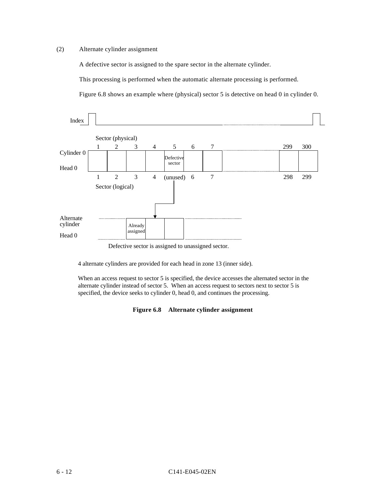# (2) Alternate cylinder assignment

A defective sector is assigned to the spare sector in the alternate cylinder.

This processing is performed when the automatic alternate processing is performed.

Figure 6.8 shows an example where (physical) sector 5 is detective on head 0 in cylinder 0.



Defective sector is assigned to unassigned sector.

4 alternate cylinders are provided for each head in zone 13 (inner side).

When an access request to sector 5 is specified, the device accesses the alternated sector in the alternate cylinder instead of sector 5. When an access request to sectors next to sector 5 is specified, the device seeks to cylinder 0, head 0, and continues the processing.

## **Figure 6.8 Alternate cylinder assignment**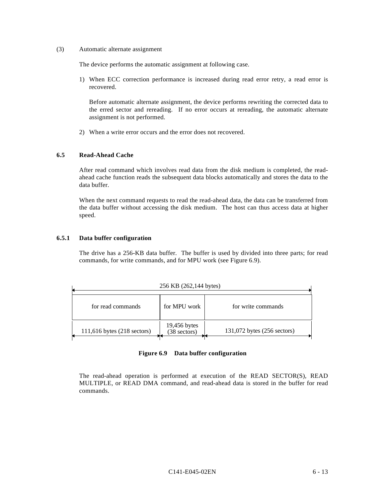(3) Automatic alternate assignment

The device performs the automatic assignment at following case.

1) When ECC correction performance is increased during read error retry, a read error is recovered.

Before automatic alternate assignment, the device performs rewriting the corrected data to the erred sector and rereading. If no error occurs at rereading, the automatic alternate assignment is not performed.

2) When a write error occurs and the error does not recovered.

# **6.5 Read-Ahead Cache**

After read command which involves read data from the disk medium is completed, the readahead cache function reads the subsequent data blocks automatically and stores the data to the data buffer.

When the next command requests to read the read-ahead data, the data can be transferred from the data buffer without accessing the disk medium. The host can thus access data at higher speed.

## **6.5.1 Data buffer configuration**

The drive has a 256-KB data buffer. The buffer is used by divided into three parts; for read commands, for write commands, and for MPU work (see Figure 6.9).

| 256 KB (262,144 bytes)      |                                |                             |  |  |
|-----------------------------|--------------------------------|-----------------------------|--|--|
| for read commands           | for MPU work                   | for write commands          |  |  |
| 111,616 bytes (218 sectors) | $19,456$ bytes<br>(38 sectors) | 131,072 bytes (256 sectors) |  |  |

#### **Figure 6.9 Data buffer configuration**

The read-ahead operation is performed at execution of the READ SECTOR(S), READ MULTIPLE, or READ DMA command, and read-ahead data is stored in the buffer for read commands.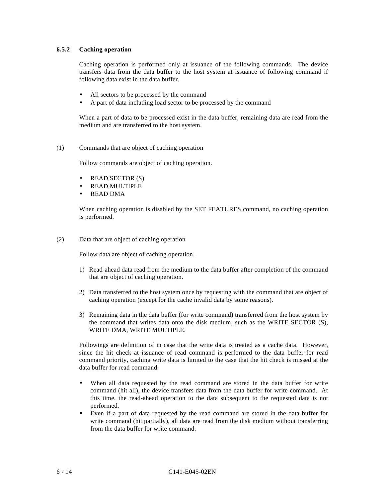## **6.5.2 Caching operation**

Caching operation is performed only at issuance of the following commands. The device transfers data from the data buffer to the host system at issuance of following command if following data exist in the data buffer.

- All sectors to be processed by the command
- A part of data including load sector to be processed by the command

When a part of data to be processed exist in the data buffer, remaining data are read from the medium and are transferred to the host system.

#### (1) Commands that are object of caching operation

Follow commands are object of caching operation.

- READ SECTOR (S)
- READ MULTIPLE
- READ DMA

When caching operation is disabled by the SET FEATURES command, no caching operation is performed.

(2) Data that are object of caching operation

Follow data are object of caching operation.

- 1) Read-ahead data read from the medium to the data buffer after completion of the command that are object of caching operation.
- 2) Data transferred to the host system once by requesting with the command that are object of caching operation (except for the cache invalid data by some reasons).
- 3) Remaining data in the data buffer (for write command) transferred from the host system by the command that writes data onto the disk medium, such as the WRITE SECTOR (S), WRITE DMA, WRITE MULTIPLE.

Followings are definition of in case that the write data is treated as a cache data. However, since the hit check at issuance of read command is performed to the data buffer for read command priority, caching write data is limited to the case that the hit check is missed at the data buffer for read command.

- When all data requested by the read command are stored in the data buffer for write command (hit all), the device transfers data from the data buffer for write command. At this time, the read-ahead operation to the data subsequent to the requested data is not performed.
- Even if a part of data requested by the read command are stored in the data buffer for write command (hit partially), all data are read from the disk medium without transferring from the data buffer for write command.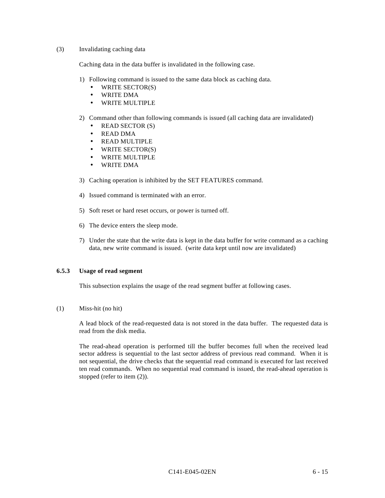## (3) Invalidating caching data

Caching data in the data buffer is invalidated in the following case.

- 1) Following command is issued to the same data block as caching data.
	- WRITE SECTOR(S)
	- WRITE DMA
	- WRITE MULTIPLE
- 2) Command other than following commands is issued (all caching data are invalidated)
	- READ SECTOR (S)
	- READ DMA
	- READ MULTIPLE
	- WRITE SECTOR(S)
	- WRITE MULTIPLE
	- WRITE DMA
- 3) Caching operation is inhibited by the SET FEATURES command.
- 4) Issued command is terminated with an error.
- 5) Soft reset or hard reset occurs, or power is turned off.
- 6) The device enters the sleep mode.
- 7) Under the state that the write data is kept in the data buffer for write command as a caching data, new write command is issued. (write data kept until now are invalidated)

## **6.5.3 Usage of read segment**

This subsection explains the usage of the read segment buffer at following cases.

## (1) Miss-hit (no hit)

A lead block of the read-requested data is not stored in the data buffer. The requested data is read from the disk media.

The read-ahead operation is performed till the buffer becomes full when the received lead sector address is sequential to the last sector address of previous read command. When it is not sequential, the drive checks that the sequential read command is executed for last received ten read commands. When no sequential read command is issued, the read-ahead operation is stopped (refer to item (2)).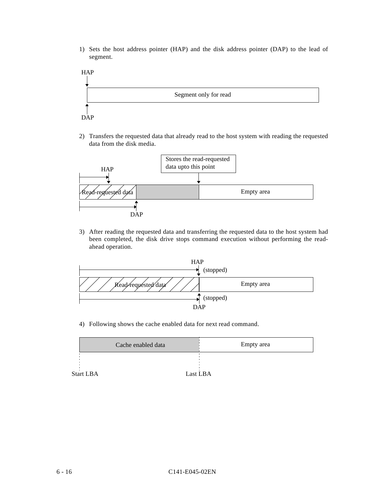1) Sets the host address pointer (HAP) and the disk address pointer (DAP) to the lead of segment.



2) Transfers the requested data that already read to the host system with reading the requested data from the disk media.



3) After reading the requested data and transferring the requested data to the host system had been completed, the disk drive stops command execution without performing the readahead operation.



4) Following shows the cache enabled data for next read command.

|           | Cache enabled data | Empty area |
|-----------|--------------------|------------|
|           |                    |            |
|           |                    |            |
| Start LBA |                    | Last LBA   |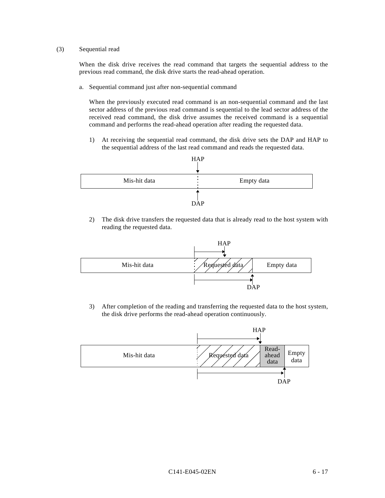## (3) Sequential read

When the disk drive receives the read command that targets the sequential address to the previous read command, the disk drive starts the read-ahead operation.

a. Sequential command just after non-sequential command

When the previously executed read command is an non-sequential command and the last sector address of the previous read command is sequential to the lead sector address of the received read command, the disk drive assumes the received command is a sequential command and performs the read-ahead operation after reading the requested data.

1) At receiving the sequential read command, the disk drive sets the DAP and HAP to the sequential address of the last read command and reads the requested data.



2) The disk drive transfers the requested data that is already read to the host system with reading the requested data.



3) After completion of the reading and transferring the requested data to the host system, the disk drive performs the read-ahead operation continuously.

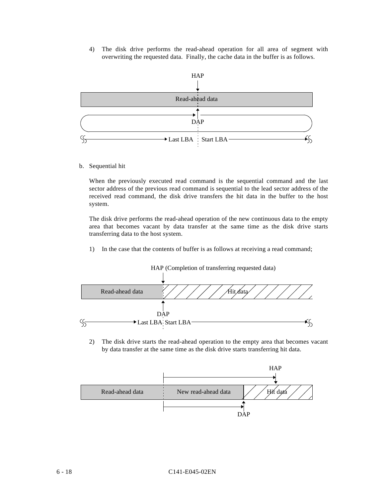4) The disk drive performs the read-ahead operation for all area of segment with overwriting the requested data. Finally, the cache data in the buffer is as follows.



b. Sequential hit

When the previously executed read command is the sequential command and the last sector address of the previous read command is sequential to the lead sector address of the received read command, the disk drive transfers the hit data in the buffer to the host system.

The disk drive performs the read-ahead operation of the new continuous data to the empty area that becomes vacant by data transfer at the same time as the disk drive starts transferring data to the host system.

1) In the case that the contents of buffer is as follows at receiving a read command;



2) The disk drive starts the read-ahead operation to the empty area that becomes vacant by data transfer at the same time as the disk drive starts transferring hit data.

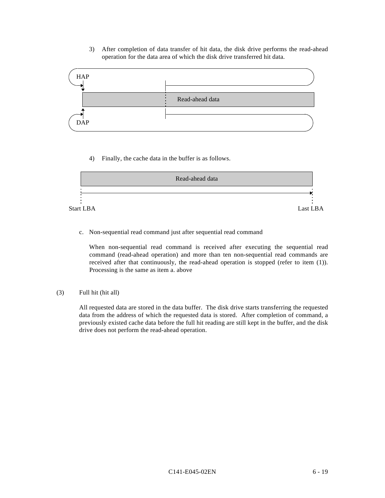3) After completion of data transfer of hit data, the disk drive performs the read-ahead operation for the data area of which the disk drive transferred hit data.



4) Finally, the cache data in the buffer is as follows.



c. Non-sequential read command just after sequential read command

When non-sequential read command is received after executing the sequential read command (read-ahead operation) and more than ten non-sequential read commands are received after that continuously, the read-ahead operation is stopped (refer to item (1)). Processing is the same as item a. above

(3) Full hit (hit all)

All requested data are stored in the data buffer. The disk drive starts transferring the requested data from the address of which the requested data is stored. After completion of command, a previously existed cache data before the full hit reading are still kept in the buffer, and the disk drive does not perform the read-ahead operation.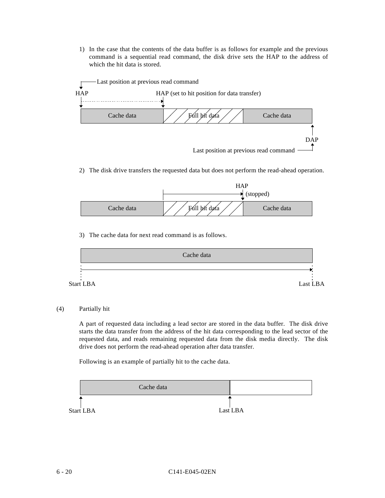1) In the case that the contents of the data buffer is as follows for example and the previous command is a sequential read command, the disk drive sets the HAP to the address of which the hit data is stored.



2) The disk drive transfers the requested data but does not perform the read-ahead operation.



3) The cache data for next read command is as follows.



## (4) Partially hit

A part of requested data including a lead sector are stored in the data buffer. The disk drive starts the data transfer from the address of the hit data corresponding to the lead sector of the requested data, and reads remaining requested data from the disk media directly. The disk drive does not perform the read-ahead operation after data transfer.

Following is an example of partially hit to the cache data.

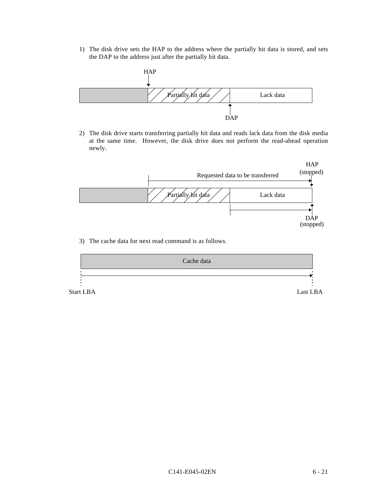1) The disk drive sets the HAP to the address where the partially hit data is stored, and sets the DAP to the address just after the partially hit data.



2) The disk drive starts transferring partially hit data and reads lack data from the disk media at the same time. However, the disk drive does not perform the read-ahead operation newly.



3) The cache data for next read command is as follows.



C141-E045-02EN 6 - 21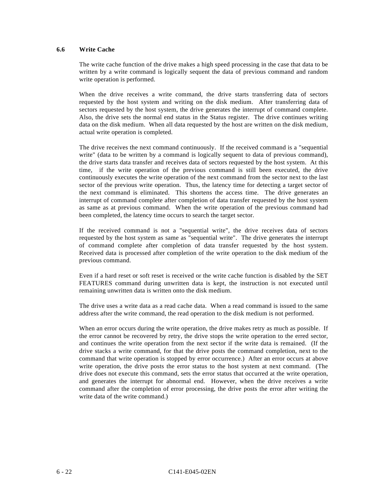# **6.6 Write Cache**

The write cache function of the drive makes a high speed processing in the case that data to be written by a write command is logically sequent the data of previous command and random write operation is performed.

When the drive receives a write command, the drive starts transferring data of sectors requested by the host system and writing on the disk medium. After transferring data of sectors requested by the host system, the drive generates the interrupt of command complete. Also, the drive sets the normal end status in the Status register. The drive continues writing data on the disk medium. When all data requested by the host are written on the disk medium, actual write operation is completed.

The drive receives the next command continuously. If the received command is a "sequential write" (data to be written by a command is logically sequent to data of previous command), the drive starts data transfer and receives data of sectors requested by the host system. At this time, if the write operation of the previous command is still been executed, the drive continuously executes the write operation of the next command from the sector next to the last sector of the previous write operation. Thus, the latency time for detecting a target sector of the next command is eliminated. This shortens the access time. The drive generates an interrupt of command complete after completion of data transfer requested by the host system as same as at previous command. When the write operation of the previous command had been completed, the latency time occurs to search the target sector.

If the received command is not a "sequential write", the drive receives data of sectors requested by the host system as same as "sequential write". The drive generates the interrupt of command complete after completion of data transfer requested by the host system. Received data is processed after completion of the write operation to the disk medium of the previous command.

Even if a hard reset or soft reset is received or the write cache function is disabled by the SET FEATURES command during unwritten data is kept, the instruction is not executed until remaining unwritten data is written onto the disk medium.

The drive uses a write data as a read cache data. When a read command is issued to the same address after the write command, the read operation to the disk medium is not performed.

When an error occurs during the write operation, the drive makes retry as much as possible. If the error cannot be recovered by retry, the drive stops the write operation to the erred sector, and continues the write operation from the next sector if the write data is remained. (If the drive stacks a write command, for that the drive posts the command completion, next to the command that write operation is stopped by error occurrence.) After an error occurs at above write operation, the drive posts the error status to the host system at next command. (The drive does not execute this command, sets the error status that occurred at the write operation, and generates the interrupt for abnormal end. However, when the drive receives a write command after the completion of error processing, the drive posts the error after writing the write data of the write command.)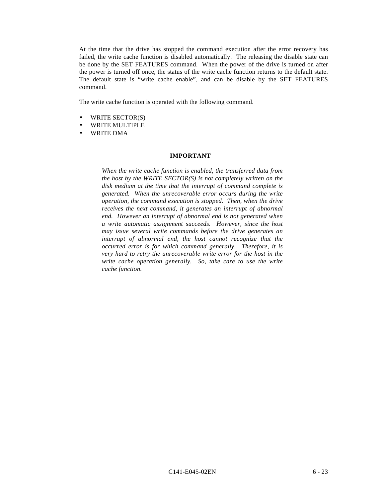At the time that the drive has stopped the command execution after the error recovery has failed, the write cache function is disabled automatically. The releasing the disable state can be done by the SET FEATURES command. When the power of the drive is turned on after the power is turned off once, the status of the write cache function returns to the default state. The default state is "write cache enable", and can be disable by the SET FEATURES command.

The write cache function is operated with the following command.

- WRITE SECTOR(S)
- WRITE MULTIPLE
- WRITE DMA

#### **IMPORTANT**

*When the write cache function is enabled, the transferred data from the host by the WRITE SECTOR(S) is not completely written on the disk medium at the time that the interrupt of command complete is generated. When the unrecoverable error occurs during the write operation, the command execution is stopped. Then, when the drive receives the next command, it generates an interrupt of abnormal end. However an interrupt of abnormal end is not generated when a write automatic assignment succeeds. However, since the host may issue several write commands before the drive generates an interrupt of abnormal end, the host cannot recognize that the occurred error is for which command generally. Therefore, it is very hard to retry the unrecoverable write error for the host in the write cache operation generally. So, take care to use the write cache function.*